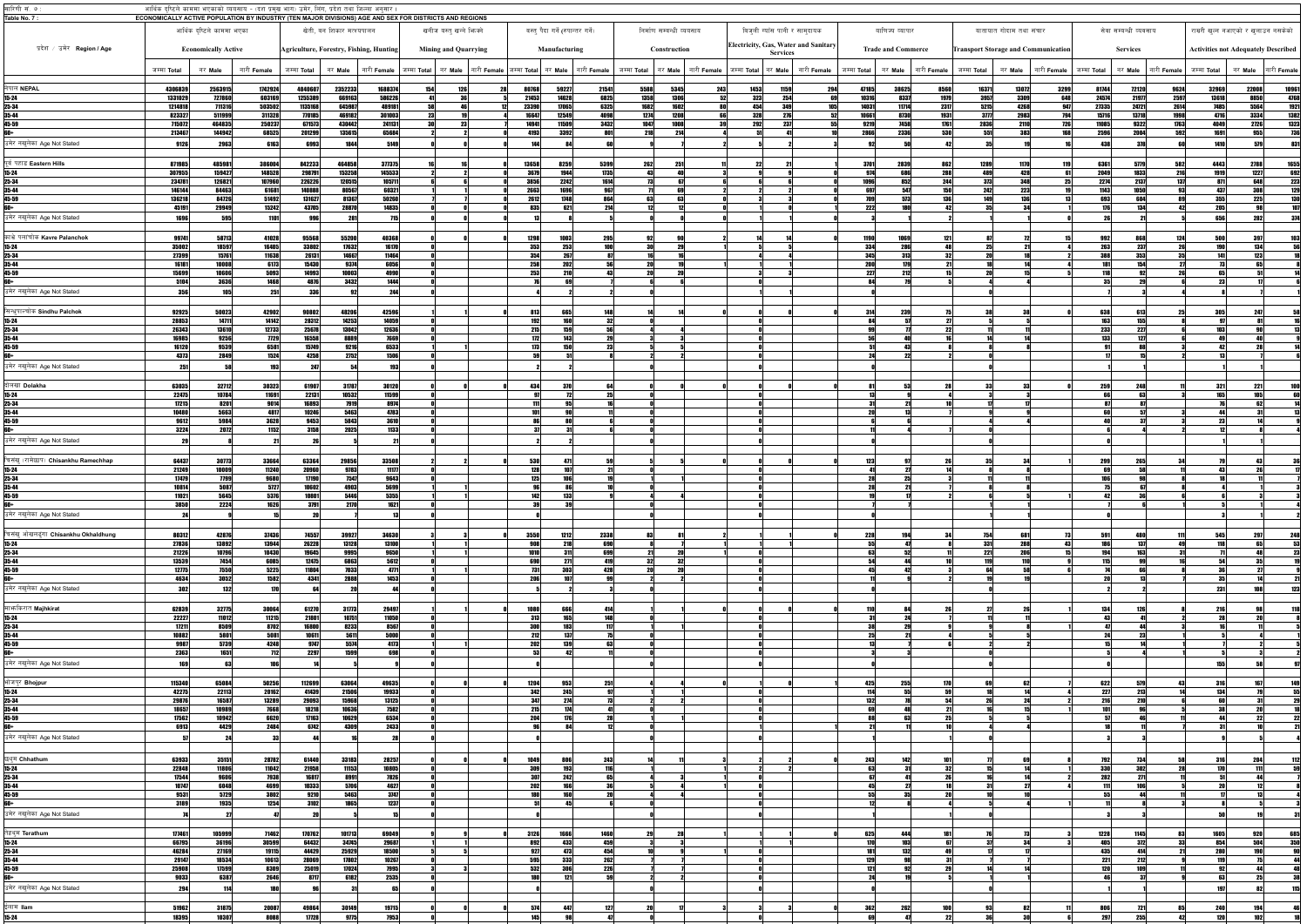| सारिणी सं. ७ :                       |                            | आर्थिक दृष्टिले काममा भएकाको व्यबसाय - (दश प्रमुख भाग) उमेर, लिंग, प्रदेश तथा जिल्ला अनुसार । |              |                    |                                         |                                   |                                                                                                        |                                              |                   |                                   |                   |                    |                          |                                             |                        |                             |                           |                          |                               |                                            |                               |                    |                       |      |                                                        |                                                                           |
|--------------------------------------|----------------------------|-----------------------------------------------------------------------------------------------|--------------|--------------------|-----------------------------------------|-----------------------------------|--------------------------------------------------------------------------------------------------------|----------------------------------------------|-------------------|-----------------------------------|-------------------|--------------------|--------------------------|---------------------------------------------|------------------------|-----------------------------|---------------------------|--------------------------|-------------------------------|--------------------------------------------|-------------------------------|--------------------|-----------------------|------|--------------------------------------------------------|---------------------------------------------------------------------------|
| Table No. 7 :                        |                            |                                                                                               |              |                    |                                         |                                   | ECONOMICALLY ACTIVE POPULATION BY INDUSTRY (TEN MAJOR DIVISIONS) AGE AND SEX FOR DISTRICTS AND REGIONS |                                              |                   |                                   |                   |                    |                          |                                             |                        |                             |                           |                          |                               |                                            |                               |                    |                       |      |                                                        |                                                                           |
|                                      |                            | आर्थिक दृष्टिले काममा भएका                                                                    |              |                    | खेती, वन शिकार मत्श्यपालन               |                                   | खनीज बस्त् खन्ने भिज्क्ने                                                                              |                                              |                   | वस्त् पैदा गर्ने (रुपान्तर गर्ने) |                   |                    | निर्माण सम्बन्धी व्यबसाय |                                             |                        | विजली ग्याँस पानी र सामदायक |                           | बाणिज्य व्यापार          |                               |                                            | यातायात गोदाम तथा संचार       |                    | सेवा सम्बन्धी व्यवसाय |      |                                                        | राम्ररी खुल्न नआएको र खुलाउन नसकेको                                       |
|                                      |                            |                                                                                               |              |                    |                                         |                                   |                                                                                                        |                                              |                   |                                   |                   |                    |                          |                                             |                        |                             |                           |                          |                               |                                            |                               |                    |                       |      |                                                        |                                                                           |
|                                      | <b>Economically Active</b> |                                                                                               |              |                    | Agriculture, Forestry, Fishing, Hunting | <b>Mining and Quarrying</b>       |                                                                                                        |                                              | Manufacturing     |                                   |                   | Construction       |                          | <b>Electricity, Gas, Water and Sanitary</b> |                        |                             | <b>Trade and Commerce</b> |                          |                               | <b>Transport Storage and Communication</b> |                               | <b>Services</b>    |                       |      | <b>Activities not Adequately Described</b>             |                                                                           |
|                                      |                            |                                                                                               |              |                    |                                         |                                   |                                                                                                        |                                              |                   |                                   |                   |                    |                          |                                             | <b>Services</b>        |                             |                           |                          |                               |                                            |                               |                    |                       |      |                                                        |                                                                           |
|                                      |                            |                                                                                               |              |                    |                                         |                                   |                                                                                                        |                                              |                   |                                   |                   |                    |                          |                                             |                        |                             |                           |                          |                               |                                            |                               |                    |                       |      |                                                        |                                                                           |
|                                      | जम्मा <b>Total</b>         | नारी Female<br>नर Male                                                                        |              | जम्मा <b>Total</b> | नर Male                                 | । नारी <b>Female</b> <sup>।</sup> | जम्मा Total कर Male                                                                                    | नारी Female जिम्मा Total तर Male जारी Female |                   |                                   |                   | जम्मा <b>Total</b> | नर Male                  | नारी Female                                 | जम्मा Total<br>नर Male | ा नारी <b>Female</b>        | जम्मा Total               | नर Male                  | नारी <b>Female</b>            | जम्मा <b>Total</b>                         | नारी <b>Female</b><br>नर Male | जम्मा <b>Total</b> | नर Male नारी Female   |      | जम्मा <b>Total</b>                                     | नर Male नारी Female                                                       |
|                                      |                            |                                                                                               |              |                    |                                         |                                   |                                                                                                        |                                              |                   |                                   |                   |                    |                          |                                             |                        |                             |                           |                          |                               |                                            |                               |                    |                       |      |                                                        |                                                                           |
| नेपाल NEPAL                          | 4306839                    | 2563915                                                                                       | 1742924      | 4040607            | 2352233                                 | 1688374                           | 154                                                                                                    | 126 l                                        | 80768             | 59227                             | 21541             | 5588               | 5345                     | 243                                         | 1453                   | 1159                        | 294                       | 47185<br>38625           |                               | 16371                                      | 13072<br>3299                 | 81744              | 72120                 | 9624 | 32969                                                  | 10961<br>22008                                                            |
| 15-24                                | 1331029                    | 727860                                                                                        | 603169       | 1255389            | 669163                                  | 586226                            |                                                                                                        |                                              | 21453             | 14628                             | 6825              | 1358               | 1306                     | Б9                                          | 323                    | 254                         |                           | 8337<br>10316            |                               | 3957                                       | 3309                          | 24574<br>648       | 21977                 | 2597 | 13618                                                  | 4768<br>8850                                                              |
| 25-34                                | 1214818                    | 711316                                                                                        | 503502       | 1135168            | 645987                                  | 489181                            |                                                                                                        |                                              | 23390             | 17065                             | 6325              | 1682               | 1602                     |                                             | <b>454</b>             | 349                         | 105                       | 11714<br>14031           | <u>8560<br/>1979<br/>2317</u> |                                            | 4268                          | 947<br>27335       | 24721                 | 2614 | 7485                                                   | 5564<br>1921                                                              |
| 35-44                                | 823327                     | 511999                                                                                        | 311328       | 770185             | 469182                                  | 301003                            |                                                                                                        |                                              | 16647             | 12549                             | 4098              | 1274               | 1208                     |                                             | 328                    | 276                         |                           | 10661<br>8730            | 1931                          | $\frac{5215}{3777}$                        | 2983                          | 794<br>15716       | 13718                 | 1998 | 4716                                                   |                                                                           |
| 45-59                                | 715072                     | 464835                                                                                        | 250237       | 671573             | 430442                                  | 241131                            |                                                                                                        |                                              | 14941             | 11509                             | 3432              | 1047               | 1008                     |                                             | 29                     | 237                         | 55                        | 7458<br>9219             | 1761                          | 2836                                       | <b>2110</b>                   | 726<br>11085       | 9322                  | 1763 | 4049                                                   | 3334<br>2726<br>1382<br>1323<br>736                                       |
| 60+                                  | 213467                     | 144942                                                                                        | 68525        | 201299             | 135615                                  | 65684                             |                                                                                                        |                                              | 4193              | 3392                              |                   | 218                | 214                      |                                             |                        |                             |                           | 2336<br><b>2866</b>      | 530                           | 551                                        | 383                           | 2596<br>168        | 2004                  | 592  | 1691                                                   | 955                                                                       |
| उमेर नखुलेका Age Not Stated          |                            |                                                                                               |              |                    |                                         |                                   |                                                                                                        |                                              | 11I               |                                   |                   |                    |                          |                                             |                        |                             |                           |                          |                               |                                            |                               |                    |                       |      |                                                        | 579                                                                       |
|                                      | 9126                       | 2963                                                                                          | 6163         | 6993               | 1844                                    | 5149                              |                                                                                                        |                                              |                   |                                   |                   |                    |                          |                                             |                        |                             |                           |                          |                               |                                            |                               | 438                | 378                   |      | 1410                                                   | 831                                                                       |
|                                      |                            |                                                                                               |              |                    |                                         |                                   |                                                                                                        |                                              |                   |                                   |                   |                    |                          |                                             |                        |                             |                           |                          |                               |                                            |                               |                    |                       |      |                                                        |                                                                           |
| पूर्व पहाड Eastern Hills             | 871985                     | 485981                                                                                        | 386004       | 842233             | 464858                                  | 377375                            |                                                                                                        |                                              | 13658             | 8259                              | 5399              | 262                | 25                       |                                             |                        |                             |                           | 2839<br><b>3701</b>      | 862                           | 1289                                       | 1170                          | 119<br>6361        | 5779                  | 582  | 4443                                                   | 2788<br>1655                                                              |
| 15-24                                | 307955                     | 159427                                                                                        | 148528       | 298791             | 153258                                  | 145533                            |                                                                                                        |                                              | 3679              | 1944                              | $\overline{1735}$ | 43                 | <b>An</b>                |                                             |                        |                             |                           | 686<br>07/               | 288                           | 489                                        | 428                           | 2049               | 1833                  | 216  | 1919                                                   | 1227<br>692                                                               |
| 25-34                                | 234781                     | 126821                                                                                        | 107960       | 226226             | 120515                                  | 105711                            |                                                                                                        |                                              | 3856              | 2242                              | 1614              |                    | 67                       |                                             |                        |                             |                           | 1096<br>852              | 244                           | 373                                        | 348                           | 2274               | 2137                  | 137  | 871                                                    | 648<br>223                                                                |
| 35-44                                | 146144                     | 84463                                                                                         | 61681        | 140888             | 80567                                   | 60321                             |                                                                                                        |                                              | 2663              | 1696                              | 967               |                    | <b>GO</b>                |                                             |                        |                             |                           | 547<br>607               | 150                           | 242                                        | 223                           | 1143               | 1050                  |      | 437                                                    | 308<br>129                                                                |
| 45-59                                | 136218                     | 84726                                                                                         | 51492        | 131627             | 81367                                   | 50260                             |                                                                                                        |                                              | 2612              | 1749                              |                   |                    | 62                       |                                             |                        |                             |                           | 573                      | 136                           | 140                                        |                               | 693                | 604                   |      | <b>355</b>                                             | $\frac{130}{107}$<br>225                                                  |
| 60+                                  | 45191                      | 29949                                                                                         | 15242        | 43705              | 28870                                   | 14835                             |                                                                                                        |                                              | 835               |                                   |                   |                    |                          |                                             |                        |                             |                           | 180                      |                               |                                            |                               | 170                | 134                   |      | 205                                                    | 98                                                                        |
| उमेर नखुलेका Age Not Stated          | 1696                       | 595                                                                                           | 1101         |                    | 281                                     |                                   |                                                                                                        |                                              |                   |                                   |                   |                    |                          |                                             |                        |                             |                           |                          |                               |                                            |                               |                    |                       |      | 656                                                    | 282<br>374                                                                |
|                                      |                            |                                                                                               |              |                    |                                         |                                   |                                                                                                        |                                              |                   |                                   |                   |                    |                          |                                             |                        |                             |                           |                          |                               |                                            |                               |                    |                       |      |                                                        |                                                                           |
| काभ्रे पलांचोक Kavre Palanchok       | 99741                      | 58713                                                                                         | 41028        | 95568              | 55200                                   | 40368                             |                                                                                                        |                                              | 1298              | 1003                              | 295               |                    |                          |                                             |                        |                             |                           | 119<br>1069              | 121                           |                                            |                               | 992                | 868                   | 12   |                                                        | 397<br>103                                                                |
| 15-24                                | 35002                      | 18597                                                                                         | 16405        | 33802              | 17632                                   | 16170                             |                                                                                                        |                                              | 353               | 253                               |                   | 30                 | 29                       |                                             |                        |                             |                           | 286<br>334               | <b>AR</b>                     | 25                                         |                               | 263                | 237                   |      |                                                        | 134                                                                       |
| 25-34                                | 27399                      | 15761                                                                                         | 11638        | 26131              | 14667                                   | 11464                             |                                                                                                        |                                              | 354               | 267                               |                   |                    |                          |                                             |                        |                             |                           | 345<br>313               |                               |                                            |                               | 388                | 353                   |      |                                                        | 123                                                                       |
| 35-44                                | 16181                      | 10008                                                                                         | 6173         | 15430              | 9374                                    | 6056                              |                                                                                                        |                                              | 258               | 202                               |                   |                    |                          |                                             |                        |                             |                           | 179                      |                               |                                            |                               | 181                | 154                   |      |                                                        | 65                                                                        |
| 45-59                                | 15699                      | 10606                                                                                         | 5093         | 14993              | 10003                                   | 4990                              |                                                                                                        |                                              | 253               |                                   |                   | 20                 |                          |                                             |                        |                             |                           | 212                      |                               |                                            |                               | 119                |                       |      |                                                        |                                                                           |
| 60+                                  | 5104                       | 3636                                                                                          | 1468         | 4876               | 3432                                    | 1444                              |                                                                                                        |                                              |                   |                                   |                   |                    |                          |                                             |                        |                             |                           |                          |                               |                                            |                               |                    |                       |      |                                                        |                                                                           |
| उमेर नखुलेका Age Not Stated          |                            |                                                                                               |              |                    |                                         |                                   |                                                                                                        |                                              |                   |                                   |                   |                    |                          |                                             |                        |                             |                           |                          |                               |                                            |                               |                    |                       |      |                                                        |                                                                           |
|                                      | 356                        | 105                                                                                           | 251          | 336                |                                         | 24                                |                                                                                                        |                                              |                   |                                   |                   |                    |                          |                                             |                        |                             |                           |                          |                               |                                            |                               |                    |                       |      |                                                        |                                                                           |
|                                      |                            |                                                                                               |              |                    |                                         |                                   |                                                                                                        |                                              |                   |                                   |                   |                    |                          |                                             |                        |                             |                           |                          |                               |                                            |                               |                    |                       |      |                                                        |                                                                           |
| सिन्धुपाल्चोक Sindhu Palchok         | 92925                      | 50023                                                                                         | 42902        | 90802              | 48206                                   | 42596                             |                                                                                                        |                                              | 813               | 665                               |                   |                    |                          |                                             |                        |                             |                           | 239                      |                               |                                            |                               | 638                | 613                   |      | 30!                                                    | 247                                                                       |
| $15 - 24$                            | 28853                      | 14711                                                                                         | 14142        | 28312              | 14253                                   | 14059                             |                                                                                                        |                                              | 192               | 160                               |                   |                    |                          |                                             |                        |                             |                           |                          |                               |                                            |                               | 163                | 155                   |      |                                                        |                                                                           |
| 25-34                                | 26343                      | 13610                                                                                         | 12733        | 25678              | 13042                                   | 12636                             |                                                                                                        |                                              | 215               |                                   |                   |                    |                          |                                             |                        |                             |                           |                          |                               |                                            |                               | 233                | 227                   |      |                                                        |                                                                           |
| 35-44                                | 16985                      | 9256                                                                                          | 7729         | 16558              | 8889                                    | 7669                              |                                                                                                        |                                              |                   |                                   |                   |                    |                          |                                             |                        |                             |                           |                          |                               |                                            |                               | 133                | 127                   |      |                                                        |                                                                           |
| 45-59                                | 16120                      | 9539                                                                                          | 6581         | 15749              | 9216                                    | 6533                              |                                                                                                        |                                              | 179               |                                   |                   |                    |                          |                                             |                        |                             |                           |                          |                               |                                            |                               |                    |                       |      |                                                        |                                                                           |
|                                      | 4373                       | 2849                                                                                          | 1524         | 4258               | 21521                                   |                                   |                                                                                                        |                                              |                   |                                   |                   |                    |                          |                                             |                        |                             |                           |                          |                               |                                            |                               |                    |                       |      |                                                        |                                                                           |
| उमेर नखुलेका Age Not Stated          | 251                        |                                                                                               | 193          | 24                 |                                         |                                   |                                                                                                        |                                              |                   |                                   |                   |                    |                          |                                             |                        |                             |                           |                          |                               |                                            |                               |                    |                       |      |                                                        |                                                                           |
|                                      |                            |                                                                                               |              |                    |                                         |                                   |                                                                                                        |                                              |                   |                                   |                   |                    |                          |                                             |                        |                             |                           |                          |                               |                                            |                               |                    |                       |      |                                                        |                                                                           |
| दोलखा Dolakha                        | 63035                      | 32712                                                                                         | 30323        | 61907              | 31787                                   | 30120                             |                                                                                                        |                                              | 434               |                                   |                   |                    |                          |                                             |                        |                             |                           |                          |                               |                                            |                               | 259                | 248                   |      | 321                                                    | 221<br>100                                                                |
|                                      |                            |                                                                                               |              |                    |                                         |                                   |                                                                                                        |                                              |                   |                                   |                   |                    |                          |                                             |                        |                             |                           |                          |                               |                                            |                               |                    |                       |      |                                                        |                                                                           |
| $15 - 24$                            | 22475                      | 10784                                                                                         | 11691        | 22131              | 10532                                   | 11599<br>8974                     |                                                                                                        |                                              |                   |                                   |                   |                    |                          |                                             |                        |                             |                           |                          |                               |                                            |                               |                    |                       |      |                                                        |                                                                           |
| 25-34                                | 17215                      | 8201                                                                                          | 9014<br>4817 | 16893<br>10246     | 7919                                    |                                   |                                                                                                        |                                              |                   |                                   |                   |                    |                          |                                             |                        |                             |                           |                          |                               |                                            |                               |                    |                       |      |                                                        |                                                                           |
| 35-44                                | 10480                      | 5663                                                                                          |              | 9453               | 5463                                    | 4783                              |                                                                                                        |                                              |                   |                                   |                   |                    |                          |                                             |                        |                             |                           |                          |                               |                                            |                               |                    |                       |      |                                                        |                                                                           |
| 45-59                                | 9612                       | 5984                                                                                          | 3628         |                    | 5843                                    | 3610<br>1133                      |                                                                                                        |                                              |                   |                                   |                   |                    |                          |                                             |                        |                             |                           |                          |                               |                                            |                               |                    |                       |      |                                                        |                                                                           |
|                                      | 3224                       | 2072                                                                                          | 1152         | 3158               | 2025                                    |                                   |                                                                                                        |                                              |                   |                                   |                   |                    |                          |                                             |                        |                             |                           |                          |                               |                                            |                               |                    |                       |      |                                                        |                                                                           |
| उमेर नखुलेका Age Not Stated          |                            |                                                                                               |              |                    |                                         |                                   |                                                                                                        |                                              |                   |                                   |                   |                    |                          |                                             |                        |                             |                           |                          |                               |                                            |                               |                    |                       |      |                                                        |                                                                           |
|                                      |                            |                                                                                               |              |                    |                                         |                                   |                                                                                                        |                                              |                   |                                   |                   |                    |                          |                                             |                        |                             |                           |                          |                               |                                            |                               |                    |                       |      |                                                        |                                                                           |
| चिसंख् (रामेछाप) Chisankhu Ramechhap | 64437                      | 30773                                                                                         | 33664        | 63364              | 29856                                   | 33508                             |                                                                                                        |                                              | 530               |                                   |                   |                    |                          |                                             |                        |                             |                           |                          |                               |                                            |                               | 299                | 265                   |      |                                                        |                                                                           |
| 15-24                                | 21249                      | 10009                                                                                         | 11240        | 20960              | 9783                                    | 11177                             |                                                                                                        |                                              | 128               |                                   |                   |                    |                          |                                             |                        |                             |                           |                          |                               |                                            |                               |                    |                       |      |                                                        |                                                                           |
| 25-34                                | 17479                      | 7799                                                                                          | 9680         | 17190              | 7547                                    | 9643                              |                                                                                                        |                                              | 125               |                                   |                   |                    |                          |                                             |                        |                             |                           | 25                       |                               |                                            |                               |                    |                       |      |                                                        |                                                                           |
| 35-44                                | 10814                      | 5087                                                                                          | 5727         | 10602              | 4903                                    | 5699                              |                                                                                                        |                                              |                   |                                   |                   |                    |                          |                                             |                        |                             |                           |                          |                               |                                            |                               |                    |                       |      |                                                        |                                                                           |
| 45-59                                | 11021                      | 5645                                                                                          | 5376         | <b>1080</b>        | 5446                                    | 5355                              |                                                                                                        |                                              | 142               | 133                               |                   |                    |                          |                                             |                        |                             |                           |                          |                               |                                            |                               |                    |                       |      |                                                        |                                                                           |
|                                      | 3850                       | 2224                                                                                          | 1626         | 379                | 2170                                    | 162                               |                                                                                                        |                                              |                   |                                   |                   |                    |                          |                                             |                        |                             |                           |                          |                               |                                            |                               |                    |                       |      |                                                        |                                                                           |
| उमेर नखुलेका Age Not Stated          |                            |                                                                                               |              |                    |                                         |                                   |                                                                                                        |                                              |                   |                                   |                   |                    |                          |                                             |                        |                             |                           |                          |                               |                                            |                               |                    |                       |      |                                                        |                                                                           |
|                                      |                            |                                                                                               |              |                    |                                         |                                   |                                                                                                        |                                              |                   |                                   |                   |                    |                          |                                             |                        |                             |                           |                          |                               |                                            |                               |                    |                       |      |                                                        |                                                                           |
|                                      |                            |                                                                                               |              |                    |                                         |                                   |                                                                                                        |                                              |                   |                                   |                   |                    |                          |                                             |                        |                             |                           |                          |                               |                                            |                               |                    |                       |      |                                                        |                                                                           |
| चिसंख् ओखलढ्ंगा Chisankhu Okhaldhung | 80312                      | 42876                                                                                         | 37436        | 74557              | 39927                                   | 34630                             |                                                                                                        |                                              | 3550              | 1212                              | 2338              |                    |                          |                                             |                        |                             |                           | 22<br>194                |                               | 754                                        | 68                            | 591                | 480                   |      |                                                        | 248<br>297                                                                |
| 15-24                                | 27836                      | 13892                                                                                         | 13944        | 26228              | 13128                                   | 13100                             |                                                                                                        |                                              | 908               |                                   | 690               |                    |                          |                                             |                        |                             |                           |                          |                               | 331                                        | 288                           | 186                | 137                   |      |                                                        |                                                                           |
| 25-34                                | 21226                      | 10796                                                                                         | 10430        | 19645              | 9995                                    | 9650                              |                                                                                                        |                                              | 1010              |                                   |                   |                    |                          |                                             |                        |                             |                           |                          |                               | 221                                        |                               |                    |                       |      |                                                        |                                                                           |
| 35-44                                | 13539                      | 7454                                                                                          | 6085         | 12475              | 6863                                    | 5612                              |                                                                                                        |                                              | 690               |                                   |                   |                    |                          |                                             |                        |                             |                           |                          |                               |                                            |                               |                    |                       |      |                                                        |                                                                           |
| 45-59                                | 12775                      | 7550                                                                                          | 5225         | 11804              | 7033                                    | 4771                              |                                                                                                        |                                              | 731               | 303                               | 42                |                    |                          |                                             |                        |                             |                           |                          |                               |                                            |                               |                    |                       |      |                                                        |                                                                           |
|                                      | 4634                       | 3052                                                                                          | 1582         | 4341               | 2888                                    | 1453                              |                                                                                                        |                                              | <b>206</b>        |                                   |                   |                    |                          |                                             |                        |                             |                           |                          |                               |                                            |                               |                    |                       |      |                                                        |                                                                           |
| उमेर नखुलेका Age Not Stated          | 302                        | 132                                                                                           |              |                    |                                         |                                   |                                                                                                        |                                              |                   |                                   |                   |                    |                          |                                             |                        |                             |                           |                          |                               |                                            |                               |                    |                       |      |                                                        | 123                                                                       |
|                                      |                            |                                                                                               |              |                    |                                         |                                   |                                                                                                        |                                              |                   |                                   |                   |                    |                          |                                             |                        |                             |                           |                          |                               |                                            |                               |                    |                       |      |                                                        |                                                                           |
| माभ्रकिरात Majhkirat                 | 62839                      | 32775                                                                                         | 30064        | 61270              | 31773                                   | 29497                             |                                                                                                        |                                              | 1080              | 661                               |                   |                    |                          |                                             |                        |                             |                           |                          |                               |                                            |                               | 134                |                       |      |                                                        | 118                                                                       |
| $15 - 24$                            | 22227                      | 11012                                                                                         | 11215        | 21801              | 10751                                   | 11050                             |                                                                                                        |                                              | 313               | 165                               |                   |                    |                          |                                             |                        |                             |                           |                          |                               |                                            |                               |                    |                       |      |                                                        |                                                                           |
| 25-34                                | 17211                      | 8509                                                                                          | 8702         | 16800              | 8233                                    | 8567                              |                                                                                                        |                                              | 300               | 183                               |                   |                    |                          |                                             |                        |                             |                           |                          |                               |                                            |                               |                    |                       |      |                                                        |                                                                           |
| 35-44                                | 10882                      | 5801                                                                                          | 5081         | 10611              | 5611                                    | 5000                              |                                                                                                        |                                              | 212               | 137                               |                   |                    |                          |                                             |                        |                             |                           |                          |                               |                                            |                               |                    |                       |      |                                                        |                                                                           |
| 45-59                                | 9987                       | 5739                                                                                          | 4248         | 9747               | 5574                                    | 4173                              |                                                                                                        |                                              | <b>202</b>        |                                   |                   |                    |                          |                                             |                        |                             |                           |                          |                               |                                            |                               |                    |                       |      |                                                        |                                                                           |
|                                      | 2363                       | 1651                                                                                          | <b>712</b>   | 2297               | 1599                                    |                                   |                                                                                                        |                                              |                   |                                   |                   |                    |                          |                                             |                        |                             |                           |                          |                               |                                            |                               |                    |                       |      |                                                        |                                                                           |
| उमेर नखुलेका Age Not Stated          | 169                        |                                                                                               |              |                    |                                         |                                   |                                                                                                        |                                              |                   |                                   |                   |                    |                          |                                             |                        |                             |                           |                          |                               |                                            |                               |                    |                       |      |                                                        |                                                                           |
|                                      |                            |                                                                                               |              |                    |                                         |                                   |                                                                                                        |                                              |                   |                                   |                   |                    |                          |                                             |                        |                             |                           |                          |                               |                                            |                               |                    |                       |      |                                                        |                                                                           |
| भोजपुर Bhojpur                       | 115340                     | 65084                                                                                         | 50256        | 112699             | 63064                                   | 49635                             |                                                                                                        |                                              | 1204              | 959                               |                   |                    |                          |                                             |                        |                             |                           | A?                       |                               |                                            |                               | 622                |                       |      |                                                        | 149                                                                       |
| 15-24                                | 42275                      | 22113                                                                                         | 20162        | 41439              | 21506                                   | 19933                             |                                                                                                        |                                              | 342               | 245                               |                   |                    |                          |                                             |                        |                             |                           |                          |                               |                                            |                               | 227                |                       |      |                                                        |                                                                           |
| 25-34                                | 29876                      | 16587                                                                                         | 13289        | 29093              | 15968                                   | 13125                             |                                                                                                        |                                              | 347               | 974                               |                   |                    |                          |                                             |                        |                             |                           |                          | 54                            |                                            |                               | <b>216</b>         | 210                   |      |                                                        |                                                                           |
| 35-44                                | 18657                      | 10989                                                                                         | 7668         | 18218              | 10636                                   | 7582                              |                                                                                                        |                                              | 215               | 174                               |                   |                    |                          |                                             |                        |                             |                           | 48                       |                               |                                            |                               | 101                |                       |      |                                                        | 20                                                                        |
| 45-59                                | 17562                      | 10942                                                                                         | 6620         | 17163              | 10629                                   | 6534                              |                                                                                                        |                                              | 204               | 176                               |                   |                    |                          |                                             |                        |                             |                           | 63                       | -25                           |                                            |                               |                    |                       |      |                                                        | $\overline{22}$<br>22                                                     |
| 60+                                  | 6913                       | 4429                                                                                          | 2484         | 6742               | 4309                                    | 2433                              |                                                                                                        |                                              |                   |                                   |                   |                    |                          |                                             |                        |                             |                           |                          |                               |                                            |                               |                    |                       |      |                                                        |                                                                           |
| उमेर नखुलेका Age Not Stated          |                            |                                                                                               | -33          |                    |                                         |                                   |                                                                                                        |                                              |                   |                                   |                   |                    |                          |                                             |                        |                             |                           |                          |                               |                                            |                               |                    |                       |      |                                                        |                                                                           |
|                                      |                            |                                                                                               |              |                    |                                         |                                   |                                                                                                        |                                              |                   |                                   |                   |                    |                          |                                             |                        |                             |                           |                          |                               |                                            |                               |                    |                       |      |                                                        |                                                                           |
|                                      |                            |                                                                                               |              |                    |                                         |                                   |                                                                                                        |                                              |                   |                                   |                   |                    |                          |                                             |                        |                             |                           |                          |                               |                                            |                               |                    |                       |      |                                                        |                                                                           |
| छथुम Chhathum                        | 63933                      | 35151                                                                                         | 28782        | 61440              | 33183                                   | 28257                             |                                                                                                        |                                              | 1049              | 806                               | 243               |                    |                          |                                             |                        |                             |                           | 243<br>142               |                               |                                            |                               | 792                | 734                   |      |                                                        | 204<br>112                                                                |
| 15-24                                | 22848                      | 11806                                                                                         | 11042        | 21958              | 11153                                   | 10805                             |                                                                                                        |                                              | 309               | 193                               |                   |                    |                          |                                             |                        |                             |                           |                          | 32                            |                                            |                               | 330                | 302                   |      |                                                        |                                                                           |
| 25-34                                | 17544                      | 9606                                                                                          | 7938         | 16817              | 8991                                    | 7826                              |                                                                                                        |                                              | <b>307</b>        | 242                               |                   |                    |                          |                                             |                        |                             |                           |                          |                               |                                            |                               | 282                | 271                   |      |                                                        |                                                                           |
| 35-44                                | 10747                      | 6048                                                                                          | 4699         | 10333              | 5706                                    | 4627                              |                                                                                                        |                                              | 202               |                                   |                   |                    |                          |                                             |                        |                             |                           |                          |                               |                                            |                               |                    |                       |      |                                                        |                                                                           |
| 45-59                                | 9531                       | 5729                                                                                          | 3802         |                    | 5463                                    | 3747                              |                                                                                                        |                                              |                   |                                   |                   |                    |                          |                                             |                        |                             |                           |                          |                               |                                            |                               |                    |                       |      |                                                        |                                                                           |
| 60+                                  | 3189                       | 1935                                                                                          | 1254         | 3102               | 1865                                    | 1237                              |                                                                                                        |                                              |                   |                                   |                   |                    |                          |                                             |                        |                             |                           |                          |                               |                                            |                               |                    |                       |      |                                                        |                                                                           |
| उमेर नखुलेका Age Not Stated          |                            |                                                                                               |              |                    |                                         |                                   |                                                                                                        |                                              |                   |                                   |                   |                    |                          |                                             |                        |                             |                           |                          |                               |                                            |                               |                    |                       |      | 50                                                     |                                                                           |
|                                      |                            |                                                                                               |              |                    |                                         |                                   |                                                                                                        |                                              |                   |                                   |                   |                    |                          |                                             |                        |                             |                           |                          |                               |                                            |                               |                    |                       |      |                                                        |                                                                           |
| तेह्रथुम Terathum                    |                            |                                                                                               |              |                    |                                         |                                   |                                                                                                        |                                              |                   |                                   |                   |                    |                          |                                             |                        |                             |                           |                          |                               |                                            |                               |                    |                       |      |                                                        |                                                                           |
|                                      | 177461                     | 105999                                                                                        | 71462        | 170762             | 101713                                  | 69049                             |                                                                                                        |                                              | 3126              | 1666                              | 1460<br>459       | -29                |                          |                                             |                        |                             |                           | 625<br>444<br>103<br>170 | 67                            | 37                                         | 34                            | 1228<br>405        | 1145                  | 33   | 1605<br>854                                            | 920<br>685                                                                |
| $15 - 24$                            | 66795                      | 36196                                                                                         | 30599        | 64432              | 34745                                   | 29687                             |                                                                                                        |                                              | 892               | 433                               |                   |                    |                          |                                             |                        |                             |                           |                          |                               |                                            |                               |                    | 372                   |      |                                                        | 504<br>350                                                                |
| 25-34                                | 46284                      | 27169                                                                                         | 19115        | 44429              | 25929                                   | 18500                             |                                                                                                        |                                              | 927               | 473                               | 454               |                    |                          |                                             |                        |                             |                           | 132                      |                               |                                            |                               | 435                | 414                   |      | 280                                                    |                                                                           |
| 35-44                                | 29147                      | 18534                                                                                         | 10613        | 28069              | 17802                                   | 10267                             |                                                                                                        |                                              | 595               | 333                               | 262               |                    |                          |                                             |                        |                             |                           | 129                      |                               |                                            |                               | 221                | 212                   |      |                                                        | 75                                                                        |
| 45-59                                | 25908                      | 17599                                                                                         | 8309         | 25019              | 17024                                   | 7995                              |                                                                                                        |                                              | 532<br>180        |                                   | <b>226</b>        |                    |                          |                                             |                        |                             |                           | 121                      |                               |                                            |                               | 120                | 109                   |      |                                                        | ΔД                                                                        |
| 60+                                  | 9033                       | 6387                                                                                          | 2646         | 8717               | 6182                                    | 2535                              |                                                                                                        |                                              |                   | 121                               |                   |                    |                          |                                             |                        |                             |                           |                          |                               |                                            |                               |                    |                       |      |                                                        | 25                                                                        |
| उमेर नखुलेका Age Not Stated          | 294                        |                                                                                               | <b>180</b>   |                    |                                         |                                   |                                                                                                        |                                              |                   |                                   |                   |                    |                          |                                             |                        |                             |                           |                          |                               |                                            |                               |                    |                       |      |                                                        | 115                                                                       |
|                                      |                            |                                                                                               |              |                    |                                         |                                   |                                                                                                        |                                              |                   |                                   |                   |                    |                          |                                             |                        |                             |                           |                          |                               |                                            |                               |                    |                       |      |                                                        |                                                                           |
| ईलाम llam                            | 51962                      | 31875                                                                                         | 20087        | 49864              | 30149                                   | 19715                             |                                                                                                        |                                              | $\frac{574}{145}$ |                                   |                   |                    |                          |                                             |                        |                             |                           | 362                      |                               |                                            |                               | $\frac{806}{297}$  | 721                   |      | $\begin{array}{c}\n 240 \\ \hline\n 120\n \end{array}$ | $\begin{array}{c}\n 194 \\ \hline\n 102\n \end{array}$<br>$\frac{46}{18}$ |
| $15 - 24$                            | 18395                      | 10307                                                                                         | 8088         | 17728              | 9775                                    | 7953                              |                                                                                                        |                                              |                   |                                   |                   |                    |                          |                                             |                        |                             |                           |                          |                               |                                            |                               |                    | 255                   |      |                                                        |                                                                           |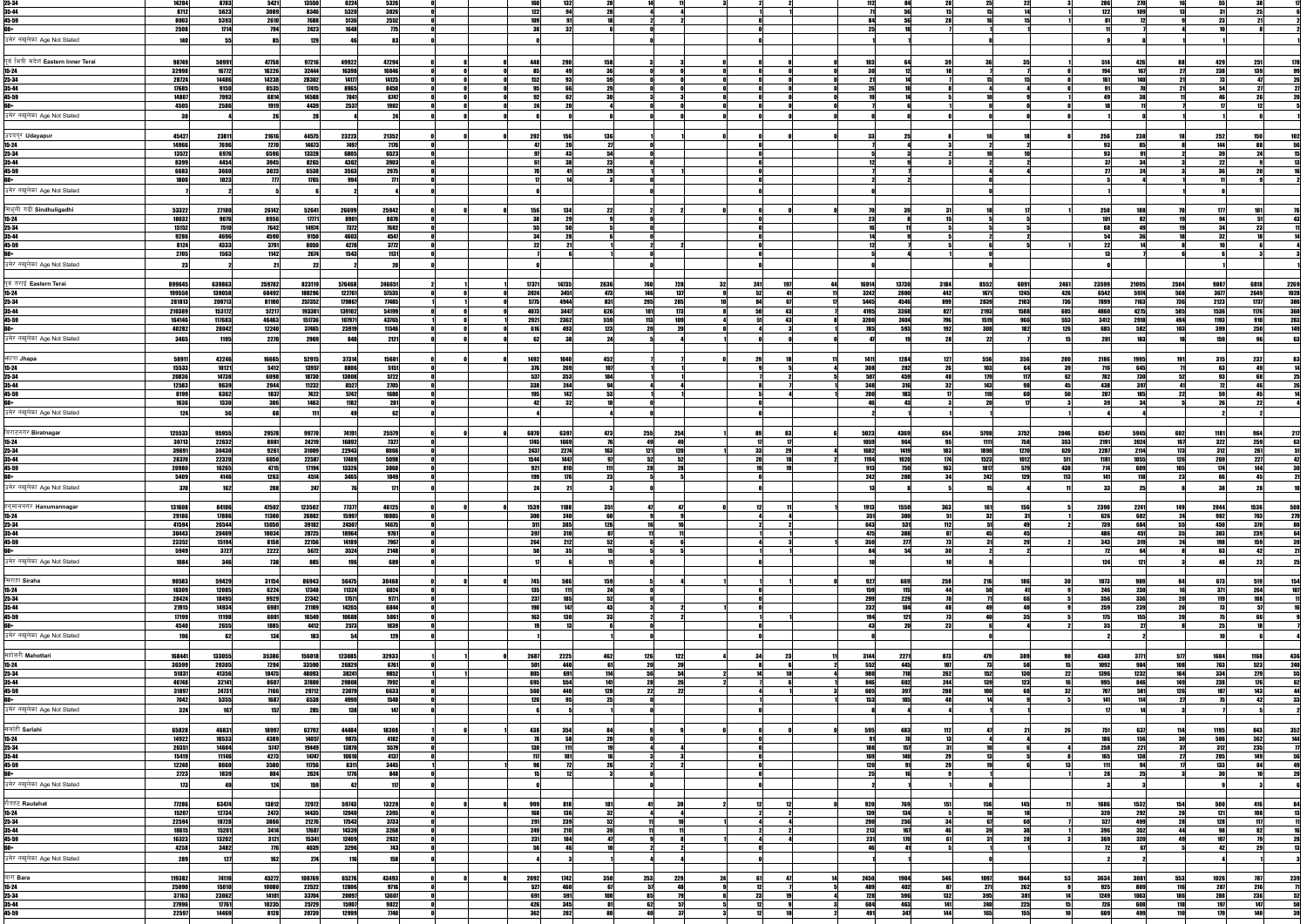| 25-34<br>35-44                        | 14204<br>8712       | 8783<br>5623     | 5421<br>3089   | 13550<br>8346    | 8224<br>5320     | 5326<br>3026          |                          |                                |            |                 |            |          |          |                  |              |             |                              |            | 286<br>199   | <b>270</b><br>100          |                   |                        |
|---------------------------------------|---------------------|------------------|----------------|------------------|------------------|-----------------------|--------------------------|--------------------------------|------------|-----------------|------------|----------|----------|------------------|--------------|-------------|------------------------------|------------|--------------|----------------------------|-------------------|------------------------|
| 45-59                                 | 8003                | 5393             | 2610           | 7688             | 5136             | 2552                  |                          |                                |            |                 |            |          |          |                  |              |             |                              |            |              |                            |                   |                        |
|                                       | 2508                | 1714             | 794            | 2423             | 1648             |                       |                          |                                |            |                 |            |          |          |                  |              |             |                              |            |              |                            |                   |                        |
| उमेर नखुलेका Age Not Stated           | <b>140</b>          |                  |                |                  |                  |                       |                          |                                |            |                 |            |          |          |                  |              |             |                              |            |              |                            |                   |                        |
|                                       |                     |                  |                |                  |                  |                       |                          |                                |            |                 |            |          |          |                  |              |             |                              |            |              |                            |                   |                        |
| पूर्व भित्री मदेश Eastern Inner Terai | 98749               | 50991            | 47758          | 97216            | 49922            | 47294                 | 448                      | 291                            | 158        |                 |            |          |          | 10               |              |             |                              |            | 514          | 426                        | 429               | 251                    |
| 15-24<br>25-34                        | 32998<br>28724      | 16772<br>14486   | 16226<br>14238 | 32444<br>28302   | 16398<br>14177   | <b>16046</b><br>14125 | 152                      |                                |            |                 |            |          |          |                  |              |             |                              |            | 194<br>161   | 167<br>140                 | 238               | 139                    |
| 35-44                                 | 17685               | 9150             | 8535           | 17415            | 8965             | 8450                  |                          |                                |            |                 |            |          |          |                  |              |             |                              |            |              |                            | БЛ                |                        |
| 45-59                                 | 14807               | 7993             | 6814           | 14588            | 7841             | 6747                  |                          |                                |            |                 |            |          |          |                  |              |             |                              |            |              |                            |                   |                        |
|                                       | 4505                | 2586             | 1919           | 4439             | 2537             | 1902                  |                          |                                |            |                 |            |          |          |                  |              |             |                              |            |              |                            |                   |                        |
| उमेर नखुलेका Age Not Stated           |                     |                  |                |                  |                  |                       |                          |                                |            |                 |            |          |          |                  |              |             |                              |            |              |                            |                   |                        |
| उदयपुर Udayapur                       | 45427               | 23811            | 21616          | 44575            | 23223            | 21352                 | 292                      |                                | 136        |                 |            |          |          |                  |              |             |                              |            | 256          | 238                        | 252               | 150                    |
| 15-24                                 | 14966               | 7696             | 7270           | 14673            | 7497             | 7176                  |                          |                                |            |                 |            |          |          |                  |              |             |                              |            |              |                            | 144               |                        |
| 25-34                                 | <b>13572</b>        | 6976             | 6596           | 13328            | 6805             | 6523                  |                          |                                |            |                 |            |          |          |                  |              |             |                              |            |              |                            |                   |                        |
| 35-44<br>45-59                        | 8399<br><b>6683</b> | 4454<br>3660     | 3945<br>3023   | 8265<br>6538     | 4362<br>3563     | 3903<br>2975          |                          |                                |            |                 |            |          |          |                  |              |             |                              |            |              |                            |                   |                        |
|                                       | 1800                | 1023             | 777            | 176!             | 994              | 771                   |                          |                                |            |                 |            |          |          |                  |              |             |                              |            |              |                            |                   |                        |
| उमेर नखुलेका Age Not Stated           |                     |                  |                |                  |                  |                       |                          |                                |            |                 |            |          |          |                  |              |             |                              |            |              |                            |                   |                        |
|                                       |                     |                  |                |                  |                  |                       |                          |                                |            |                 |            |          |          |                  |              |             |                              |            |              |                            |                   |                        |
| सिंधुली गढी Sindhuligadhi             | 53322               | 27180            | 26142          | 52641            | 26699            | 25942                 | 151                      |                                |            |                 |            |          |          |                  |              |             |                              |            | 258<br>101   | 188                        |                   |                        |
| 15-24<br>25-34                        | 18032<br>15152      | 9076<br>7510     | 8956<br>7642   | 17771<br>14974   | 8901<br>7372     | 8870<br>7602          |                          |                                |            |                 |            |          |          | 23               |              |             |                              |            |              |                            |                   |                        |
| 35-44                                 | 9286                | 4696             | 4590           | 9150             | 4603             | 4547                  |                          |                                |            |                 |            |          |          |                  |              |             |                              |            | Б.           |                            |                   |                        |
| 45-59                                 | 8124                | 4333             | 3791           | 8050             | 4278             | 3772                  |                          |                                |            |                 |            |          |          |                  |              |             |                              |            | 22           |                            |                   |                        |
| उमेर नखुलेका Age Not Stated           | 2705                | 1563             | 1142           | 2674             | 1543             | 1131                  |                          |                                |            |                 |            |          |          |                  |              |             |                              |            |              |                            |                   |                        |
|                                       |                     |                  |                |                  |                  |                       |                          |                                |            |                 |            |          |          |                  |              |             |                              |            |              |                            |                   |                        |
| पूर्व तराई Eastern Terai              | 899645              | 639863           | 259782         | 823119           | 576468           | 246651                | 17371                    | 14735                          | 2636       | 760             |            | 24       |          | 16914            | 13730        | <b>3184</b> | 8552<br>6091                 | 2461       | 23599        | 2504<br>21095              | 9087              | 2269<br>6818           |
| 15-24                                 | 199550              | 139058           | 60492          | 180296           | 122761           | 57535                 | 3924                     | 3451                           | 473        | 146             | 137        | 52       |          | 3242             | 2800         | 442         | 1671<br>1245                 | 426        | 6542         | 568<br>5974                | 3677              | $\boxed{1028}$<br>2649 |
| 25-34<br>35-44                        | 281813<br>210389    | 200713           | 81100          | 257352           | 179867           | 77485                 | 5775<br>4073             | 4944<br>3447                   | 831<br>626 | 295<br>181      | 285<br>173 | RÆ<br>50 | 67<br>43 | 5445<br>4195     | 4546         | 899<br>827  | 2839<br>2103<br>1588         | 736        | 7899<br>4860 | 7163<br>736<br>4275        | 2123              | 386<br>1737<br>36'     |
| 45-59                                 | 164146              | 153172<br>117683 | 57217<br>46463 | 193301<br>151736 | 139102<br>107971 | 54199<br>43765        | 2921                     | 2362                           | 559        | 113             | 109        |          | 43       | 3200             | 3368<br>2404 | 796         | 2193<br>1519<br>966          | 605<br>553 | 3412         | 585<br>2918<br>494         | 1536<br>1193      | 1176<br>910<br>28      |
|                                       | 40282               | 28042            | 12240          | 37465            | 25919            | 11546                 | 616                      | 49                             | 123        | 20              |            |          |          | 785              | 593          | 192         | 308<br>182                   | 126        | 685          | 582<br>103                 | <b>399</b>        | 250                    |
| उमेर नखुलेका Age Not Stated           | 3465                | <b>1195</b>      | 2270           | 2969             | 8481             | 2121                  |                          |                                |            |                 |            |          |          |                  |              |             |                              |            | 201          | 183                        | 150               |                        |
|                                       |                     |                  |                |                  |                  |                       |                          |                                |            |                 |            |          |          |                  |              |             |                              |            |              |                            |                   |                        |
| भापा <b>Jhapa</b><br>15-24            | 58911<br>15533      | 42246<br>10121   | 16665<br>5412  | 52915<br>13957   | 37314<br>8806    | 15601<br>5151         | 1492<br>$\overline{376}$ | 1040<br>269                    | 452<br>107 |                 |            |          |          | 1411<br>308      | 1284<br>282  | 127         | 556<br>356<br>103            | 200        | 2186<br>716  | 1995<br>191<br>645         | 315<br>62         | 232                    |
| 25-34                                 | 20836               | 14738            | 6098           | 18730            | 13008            | 5722                  |                          | 537<br>353                     | <b>184</b> |                 |            |          |          | 507              | 459          |             | 170                          |            | 782          | 730                        |                   |                        |
| 35-44                                 | 12583               | 9639             | 2944           | 11232            | 8527             | 2705                  | 338                      | 244                            |            |                 |            |          |          | 348              | <b>316</b>   |             | 143                          |            | 438          | 397                        |                   |                        |
| 45-59                                 | 8199                | 6362             | 1837           | 7422             | 5742             | 1680                  |                          | 142                            |            |                 |            |          |          | 200              | 183          |             |                              |            | 207          | 185                        |                   |                        |
| उमेर नखुलेका Age Not Stated           | 1636<br>124         | 1330<br>56       | 306<br>68      | 1463             | 1182             | 281<br>ĥ7             |                          |                                |            |                 |            |          |          |                  |              |             |                              |            |              |                            |                   |                        |
|                                       |                     |                  |                |                  |                  |                       |                          |                                |            |                 |            |          |          |                  |              |             |                              |            |              |                            |                   |                        |
| बिराटनगर Biratnagar                   | 125533              | 95955            | 29578          | 99770            | 74191            | 25579                 | 6870                     | 6397                           | 473        | 255             | 254        |          |          | 5023             | 4369         | 654         | 3752<br>5798                 | 2046       | 6547         | 602<br>5945                | 1181              | 964                    |
| 15-24                                 | 30713               | 22632            | 8081           | 24219            | 16892            | 7327                  | 1745                     | 1669                           |            | <b>AQ</b>       |            |          |          | 1059             | 964          |             | 1111<br>758                  | 353        | 2191         | 2024                       | 322<br>167        | 259                    |
| 25-34<br>35-44                        | 39691<br>28370      | 30430<br>22320   | 9261<br>6050   | 31009<br>22587   | 22943<br>17489   | 8066<br>5098          | 2437<br>1544             | 2274<br>1447                   | 163        | 121<br>52       | 120        | 33       |          | 1602<br>1194     | 1419<br>1020 | 183<br>174  | 1890<br>1270<br>1523<br>1012 | 620<br>511 | 2287<br>1181 | 2114<br>173<br>1055<br>126 | 312<br>269        | 261<br>227             |
| 45-59                                 | 20980               | <u>16265</u>     | 4715           | 17194            | 13326            | 3868                  | Q?                       |                                |            |                 |            |          |          | 913              | 750          |             | 1017<br>-579                 | 438        | 714          | 6N.                        | 174               | 144                    |
|                                       | <u>5409</u>         | 4146             | 1263           | 4514             | <b>3465</b>      | 1049                  |                          |                                |            |                 |            |          |          | 242              | 208          |             | 242                          |            | 141          | 119                        |                   |                        |
| उमेर नखुलेका Age Not Stated           | 370                 | 162              | 208            |                  |                  | 171                   |                          |                                |            |                 |            |          |          |                  |              |             |                              |            |              |                            |                   |                        |
| हनुमाननगर Hanumannagar                |                     | 84106            | 47502          | 123502           | 77377            | 46125                 | 1539                     | 1188                           | 351        |                 |            |          |          | 1913             | 1550         | 363         |                              |            | 2390         | 2241<br>149                | 2044              | 1536<br>508            |
| 15-24                                 | 131608<br>29186     | 17886            | 11300          | 26882            | 15997            | 10885                 | 300                      | <b>240</b>                     | . Gol      |                 |            |          |          | 351              | 300          |             | 22                           |            | 626          | 602                        | 982               | 703<br>279             |
| 25-34                                 | 41594               | 26544            | 15050          | 39182            | 24507            | 14675                 |                          | 385                            | 126        |                 |            |          |          | 643              | 531          | 112         |                              |            | 739          | 684                        | 450               | 370                    |
| 35-44<br>45-59                        | 30443               | 20409<br>15194   | 10034<br>8158  | 28725            | 18964<br>14189   | 9761<br>7967          | 397<br>264               | 310<br>212                     |            |                 |            |          |          | 475<br>350       | 388<br>277   |             |                              |            | 486<br>343   | 451<br>319                 | 303<br>198        | 239<br>159             |
|                                       | 23352<br>5949       | 3727             | 2222           | 22156<br>5672    | 3524             | 2148                  |                          |                                |            |                 |            |          |          | <b>QA</b>        | 54           |             |                              |            |              | 64                         | 63                |                        |
| उमेर नखुलेका Age Not Stated           | 1084                | <b>346</b>       | 738            | 885              | 1961             | 689                   |                          |                                |            |                 |            |          |          |                  |              |             |                              |            | 124          |                            |                   |                        |
|                                       |                     |                  |                |                  |                  |                       |                          |                                |            |                 |            |          |          |                  |              |             |                              |            |              |                            |                   |                        |
| सिराहा Siraha                         | 90583               | 59429            | 31154          | 86943            | 56475            | 30468                 | 745                      | 586                            | 159        |                 |            |          |          | 92               | 669          | 258         | 216                          |            | 1073         | 989                        | 673               | 519<br>154             |
| 15-24<br>25-34                        | 18309<br>28424      | 12085<br>18495   | 6224<br>9929   | 17348<br>27342   | 11324<br>17571   | 6024<br>9771          |                          | 135<br>237                     |            |                 |            |          |          | 159<br>299       | 115<br>229   |             |                              |            | 246<br>356   | 230<br>336                 | -371              | 264                    |
| 35-44                                 | 21915               | 14934<br>11198   | 6981           | 21109            | 14265            | 6844                  |                          |                                |            |                 |            |          |          | 232              |              |             |                              |            | 259          | <b>239</b>                 |                   |                        |
| 45-59                                 | 17199               |                  | 6001           | 16549            | 10688            | 5861                  |                          |                                |            |                 |            |          |          |                  | 121          |             |                              |            | 175          | 155                        |                   |                        |
| उमेर नखुलेका Age Not Stated           | 4540<br>196         | 2655             | 1885<br>134    | 4412             | 2573             | 1839<br>129           |                          |                                |            |                 |            |          |          | 43               |              | 23          |                              |            |              |                            | 25                |                        |
|                                       |                     |                  |                |                  |                  |                       |                          |                                |            |                 |            |          |          |                  |              |             |                              |            |              |                            |                   |                        |
| महोत्तरी Mahottari                    | 168441              | 133055           | 35386          | 156018           | 123085           | 32933                 | 2687                     | 2225                           | 462        | 126             | <b>122</b> | - 34     |          | 3144             | 2271         | 873         | 389<br>479                   |            | 4348         | 3771<br>577                | 1604              | 1168<br>436            |
| 15-24                                 | 36599               | 29305            | 7294           | 33590            | 26829            | 6761                  | 501                      | 440                            |            | 20              |            |          |          | 552              | 445          | 107         |                              |            | 1092         | 984<br>108                 | 763               | 523<br>240             |
| 25-34<br>35-44                        | 51831<br>40748      | 41356<br>32141   | 10475<br>8607  | 48093<br>37800   | 38241<br>29808   | 9852<br>7992          | 805<br>695               | 691<br>554                     | 114        | 56              | 51         |          |          | 980              | 718<br>602   | 262<br>244  | 130<br>152                   |            | 1396<br>995  | 1232<br>RAƘ<br>140         | 334<br>164<br>238 | 279<br>1761            |
| 45-59                                 | 31897               | 24731            | 7166           | 29712            | 23079            | 6633                  | 560                      | <b>AAO</b>                     | 120        |                 |            |          |          | 605              | 397          | <b>208</b>  |                              |            | 707          | 581<br>126                 | 187               | 143                    |
|                                       | 7042                | $5355$           | 1687           | 6538             | 4990             | 1548                  |                          | 1201<br>951                    | -25        |                 |            |          |          | 153              | 105          |             |                              |            | 141          |                            |                   |                        |
| उमेर नखुलेका Age Not Stated           | 324                 | 167              | 157            | 285              | 138              | 147                   |                          |                                |            |                 |            |          |          |                  |              |             |                              |            |              |                            |                   |                        |
| सर्लाही Sarlahi                       |                     |                  |                |                  |                  |                       |                          |                                |            |                 |            |          |          |                  |              |             |                              |            |              |                            |                   |                        |
| 15-24                                 | 65828<br>14922      | 46831<br>10533   | 18997<br>4389  | 62792<br>14057   | 44484<br>9875    | 18308<br>4182         | 438                      | 354<br>58                      |            |                 |            |          |          | 595              | 483          | 112         |                              |            | 751<br>186   | 637<br>156                 | 1195<br>506       | 843<br>352<br>362      |
| 25-34                                 | 20351               | 14604            | 5747           | 19449            | 13870            | 5579                  |                          | <b>130</b><br>111              |            |                 |            |          |          | 188              | 157          |             |                              |            | 258          | 221                        | 312               | 235                    |
| 35-44                                 | 15419               | 11146            | 4273           | 14747            | 10610            | 4137                  | 117                      |                                |            |                 |            |          |          | 169              | 140          |             |                              |            | 165<br>111   | 138                        | 205               | 149                    |
| 45-59                                 | 12240<br>2723       | 8660<br>1839     | 3580<br>884    | 11756<br>2624    | 8311<br>1776     | 3445<br>848           |                          |                                |            |                 |            |          |          | <b>120</b><br>25 |              |             |                              |            |              |                            | 133               |                        |
| उमेर नखुलेका Age Not Stated           | 173                 |                  | 124            |                  |                  | 117                   |                          |                                |            |                 |            |          |          |                  |              |             |                              |            |              |                            |                   |                        |
|                                       |                     |                  |                |                  |                  |                       |                          |                                |            |                 |            |          |          |                  |              |             |                              |            |              |                            |                   |                        |
| रौतहट Rautahat                        | 77286               | 63474            | 13812          | 72972            | 59743            | 13229                 | 999                      | 818                            | 181        |                 |            |          |          | 920              |              | 151         | 156<br>145                   |            | 1686         | 1532<br>154                | 500               | 416                    |
| $15 - 24$                             | 15207               | 12734            | 2473           | 14435            | 12040            | 2395                  |                          | <b>168</b><br><b>136</b><br>23 | -99        |                 |            |          |          | 139              | 134<br>256   |             |                              |            | 320<br>527   | 292                        | 121<br>128        | 108<br>117             |
| 25-34<br>35-44                        | 22594<br>18615      | 18728<br>15201   | 3866<br>3414   | 21276<br>17607   | 17543<br>14339   | 3733<br>3268          | 249                      |                                |            |                 |            |          |          | 213              | 167          |             |                              |            | 396          | 499<br>352                 |                   |                        |
| 45-59                                 | 16323               | 13202            | 3121           | <b>15341</b>     | 12409            | 2932                  |                          | 231                            |            |                 |            |          |          | 231              | 170          |             |                              |            | 369          | 320                        | 107               |                        |
|                                       | 4258                | 3482             | 776            | 4039             | <b>3296</b>      | 743                   |                          |                                |            |                 |            |          |          |                  |              |             |                              |            |              |                            |                   |                        |
| उमेर नखुलेका Age Not Stated           | 289                 | 127              | 162            |                  |                  | 158                   |                          |                                |            |                 |            |          |          |                  |              |             |                              |            |              |                            |                   |                        |
| बारा Bara                             | 119382              | 74110            | 45272          | 108769           | 65276            | 43493                 | 2092                     | 1742                           | 350        | 253             | 229        |          |          | 2450             | 1904         | 546         | 1097<br>1044                 |            | 3634         | <b>3081</b><br>553         | 1026              | 239<br>787             |
| $15 - 24$                             | 25090               | 15010            | 10080          | 22522            | 12806            | 9716                  | 527                      | 460                            | 67         | 57              |            |          |          | 489              | 402          | 87          | 271<br>262                   |            | 925          | 809<br>116                 | 287               | 216                    |
| 25-34                                 | 37163               | 23062            | 14101          | 33704            | 20097            | 13607                 | 691                      | 591                            | 100        | 85              |            | 23       |          | 728              | 596          | 132         | 395<br>381                   |            | 1249         | 1063<br><b>186</b>         | 288               | 236                    |
| 35-44<br>45-59                        | 27996<br>22597      | 17761<br>14469   | 10235<br>8128  | 25729<br>20739   | 15907<br>12999   | 9822<br>7740          | 426<br>362               | 345<br>282                     |            | 62<br><b>AN</b> |            |          |          | 491              | 463<br>347   | 141<br>111  | 240<br>225<br>155<br>165     |            | 726<br>609   | 608<br>499<br>110          | 197<br>179        | 147<br>140             |
|                                       |                     |                  |                |                  |                  |                       |                          |                                |            |                 |            |          |          |                  |              |             |                              |            |              |                            |                   |                        |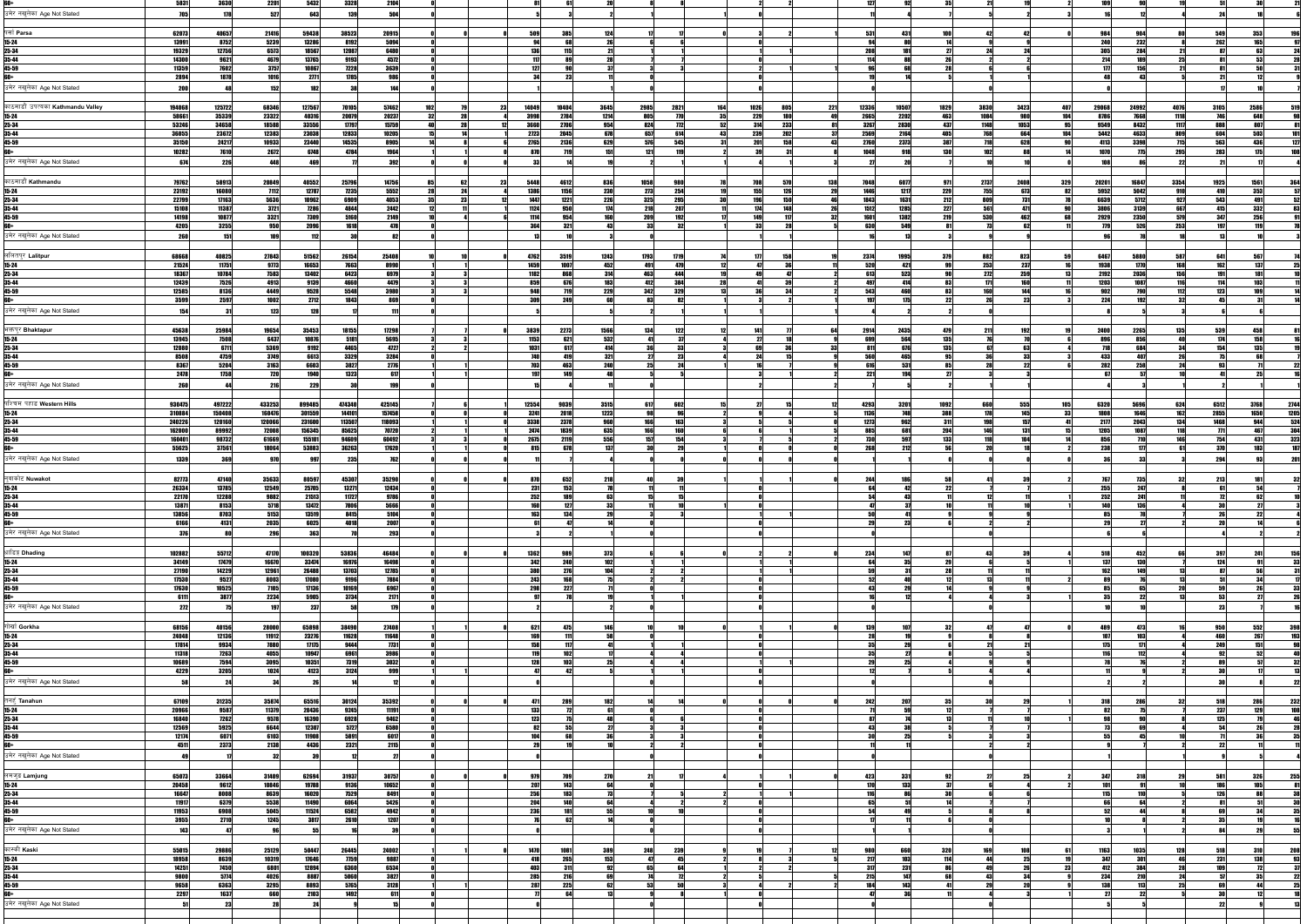| 40657<br>20915<br>62073<br>59438<br>38523<br>385<br>984<br>qn.<br>21416<br>124<br>53<br>353<br>43<br>8752<br>5239<br>5094<br>13286<br>8192<br>210<br>232<br>13991<br>6480<br>25-34<br>6573<br><b>18567</b><br>136<br>12756<br>12087<br>284<br>19329<br>4572<br>14300<br>9621<br>13765<br>214<br>4679<br>9193<br>117<br>11<br>45-59<br>3757<br>3639<br><u> 11359  </u><br>7602<br>10867<br>127<br>177<br>7228<br>2894<br>1016<br>986<br>1785<br>1878<br>277<br>200<br>152<br>125722<br>57462<br><b>3645</b><br>10507<br>194068<br>127567<br>10404<br>12336<br>3423<br>68346<br>14049<br>$\begin{array}{c}\n 1829 \\ \hline\n 463\n \end{array}$<br><b>3830</b><br>29068<br>24992<br>3105<br>2586<br>70105<br>2985<br>2821<br>$22^{\circ}$<br>4076<br>1021<br>164<br>1026<br>1084<br>35339<br>20237<br>1214<br>980<br>58661<br>23322<br>40316<br>20079<br>3998<br>2784<br>2665<br>2202<br>8786<br>7668<br>648<br>805<br><b>229</b><br>104<br>1118<br>180<br>746<br>35<br>321<br>437<br>807<br>15759<br>954<br>95<br>53246<br>3660<br>824<br>233<br>3267<br>1053<br>9549<br>8432<br>1117<br>25-34<br>34658<br>33556<br>17797<br>2706<br>772<br>-52<br>314<br>2830<br>1148<br>888<br>18588<br>10205<br>405<br>503<br>36055<br>23038<br>2723<br>2045<br>678<br>657<br>239<br>202<br>2569<br>2164<br>768<br>664<br>104<br>5442<br>4633<br><b>RN9</b><br>604<br>23672<br>12383<br>12833<br>614<br>35150<br>45-59<br>23440<br>8905<br>2765<br>2373<br>387<br>3398<br>563<br>436<br>24217<br>10933<br>14535<br>2136<br>629<br>576<br>545<br>158<br>2760<br>628<br>4113<br>715<br>201<br>719<br>10282<br>7610<br>2672<br>4784<br>1964<br>870<br>151<br>1048<br>130<br>1070<br>295<br>283<br>175<br>6748<br>918<br>775<br>102<br>121<br>674<br>392<br>226<br>448<br>101<br>-23<br>58913<br>40552<br>14756<br>79762<br>25796<br>5448<br>4612<br>7048<br>6077<br>2408<br>16847<br>3354<br>1925<br>20849<br>836<br>1058<br>138<br>971<br>2737<br>20201<br>1561<br>36<br>570<br>329<br>5552<br><b>230</b><br>16080<br>12787<br>254<br>155<br><b>126</b><br>1446<br>229<br>755<br>5952<br>5042<br>353<br>23192<br>7112<br>7235<br>1386<br>1156<br>273<br>1217<br>673<br>410<br>212<br>4053<br>1447<br>325<br>150<br>809<br>6639<br>5712<br>927<br>543<br>491<br>25-34<br>22799<br>1221<br>226<br>295<br>1843<br>731<br>17163<br>5636<br>10962<br>6909<br>1631<br>3721<br>227<br>11387<br>7286<br>4844<br>2442<br>1124<br>950<br>174<br>148<br>561<br>3806<br>3139<br>667<br>415<br>332<br>15108<br>207<br>1512<br>1285<br>471<br>45-59<br>10877<br>3321<br><b>1114</b><br>2350<br>14198<br>5160<br>2149<br>954<br>530<br>2929<br>347<br>7309<br>1382<br>462<br>579<br>256<br>3255<br>364<br>950<br>253<br>107<br>4205<br>1618<br>478<br>526<br>260<br>109<br>25408<br>68668<br>40825<br>27843<br>51562<br>26154<br>4762<br>1243<br>237<br>6467<br>5880<br>58<br>3519<br>1995<br>379<br>1793<br>158<br>882<br>823<br>11751<br>452<br>8990<br>253<br>137<br>21524<br>16653<br>520<br>237<br>1770<br>9773<br>7663<br>1459<br>1007<br>1938<br>169<br>421<br>6979<br>18367<br>7583<br>13402<br>1182<br><b>RAR</b><br>314<br>463<br>613<br>523<br>272<br>259<br>2192<br>2036<br><b>156</b><br>191<br>181<br>10784<br>6423<br><b>AAA</b><br>4479<br>12439<br>4913<br>9139<br>4660<br>859<br>676<br>183<br>384<br>414<br>160<br>1203<br>1087<br>114<br>7526<br>412<br>-171<br>103<br>12585<br>3980<br>45-59<br>8136<br>948<br>229<br>543<br>902<br>4449<br>9528<br>5548<br>342<br>329<br>144<br>123<br>83<br>112<br>3599<br><b>309</b><br>869<br>2597<br>1002<br>2712<br>249<br>224<br>1843<br>175<br>102<br>23<br>154<br>123<br>111<br>17298<br>1566<br>25984<br>3839<br>2435<br>45638<br>19654<br>35453<br>18155<br>2273<br>2914<br>479<br>2400<br>2265<br>539<br>458<br>192<br>135<br>532<br>135<br>158<br>13945<br>5695<br>1153<br>174<br>7508<br>6437<br>10876<br>5181<br>621<br>699<br>564<br>agal<br>856<br>12080<br>5369<br>4465<br>4727<br>1021<br><b>GQA</b><br>154<br>125<br><b>G711</b><br>9192<br><b>A1A</b><br>676<br>135<br>. V / I I<br>3284<br>3329<br>419<br>433<br>407<br>740<br>321<br>$\frac{8508}{8367}$<br>4759<br>3749<br>6613<br><b>560</b><br>465<br>45-59<br>5204<br>3163<br>3827<br>2776<br>703<br>463<br>531<br>282<br>258<br>6603<br><b>240</b><br>1758<br>2478<br><b>720</b><br>617<br>107<br>10/<br>1323<br>104<br>140<br>221<br>260<br>216<br>10<br>22<br>899485<br>474340<br>425145<br>930475<br>497222<br>3515<br>2744<br>1205<br>433253<br>12554<br>9039<br>602<br>4293<br>3201<br><u>1092</u><br>660<br>555<br>6320<br>5696<br>62<br>6512<br>3768<br>150408<br>301559<br>157458<br>3241<br>388<br>1646<br>310884<br>160476<br>144101<br>2018<br>1223<br>1136<br>145<br>1808<br>2855<br>1650<br>179<br>162<br>524<br>231600<br>3338<br>240220<br>120160<br>120066<br>113507<br>118093<br>2378<br>960<br>311<br>2177<br>2043<br>1468<br>944<br>1273<br>962<br>157<br>163<br>30 <sub>4</sub><br>89992<br>156345<br>72008<br>70720<br>2474<br>1839<br>204<br>1087<br>635<br>1205<br>162000<br>85625<br>131<br>885<br>681<br>323<br>98732<br>61669<br>60492<br>45-59<br>160401<br>155101<br>94609<br>2675<br>2119<br>556<br>133<br>856<br>754<br>597<br>104<br>431<br>37561<br>53883<br>17620<br>815<br>137<br>268<br>212<br><b>370</b><br>18064<br>36263<br>678<br>238<br>177<br>18<br>55625<br>उमेर नखुलेका Age Not Stated<br>970<br>762<br>1339<br>369<br>2351<br>35290<br>652<br>218<br><b>767</b><br>735<br>82773<br>47140<br>80597<br>45307<br>870<br>58<br>35633<br>244<br>186<br>213<br>12434<br>231<br>153<br>255<br>247<br>26334<br>13785<br>25705<br>13271<br>54<br>12549<br>A9<br>22<br><u>12288</u><br>21513<br>9786<br>252<br>189<br>22170<br>11727<br>252<br>241<br>9882<br>63<br>43<br>62<br>8153<br>13472<br>5666<br>160<br>127<br>13871<br>5718<br>7806<br>140<br>136<br>8703<br>5104<br>134<br>45-59<br>13856<br>5153<br>13519<br>8415<br>163<br>2035<br>2007<br>4131<br>4018<br>6166<br>6025<br>उमेर नखुलेका Age Not Stated<br>296<br>293<br><b>376</b><br>363<br>46484<br>102882<br>55712<br>47170<br>100320<br>53836<br>1362<br>989<br>373<br>518<br>452<br>234<br>397<br>156<br>33474<br>16498<br>342<br><b>240</b><br>137<br><b>130</b><br>34149<br>17479<br>16670<br>16976<br>102<br>124<br>29<br>14229<br>26488<br>12785<br><b>380</b><br>104<br>162<br>27190<br>12961<br>13703<br>276<br>149<br>28<br>9527<br>17080<br>7884<br>243<br>17530<br>8003<br>168<br>9196<br>24<br>17136<br>298<br>227<br>10525<br>7105<br>6967<br>17630<br>10169<br>29<br>85<br>65<br>3877<br>2234<br>5905<br>2171<br>6111<br>3734<br>उमेर नखुलेका Age Not Stated<br>272<br>19<br>179<br>23<br>27408<br>146<br>489<br>68156<br>40156<br>65898<br>38490<br>475<br><b>139</b><br>32<br>473<br>950<br><b>398</b><br>28000<br>621<br>552<br>$\overline{19}$<br>267<br>11648<br>169<br>103<br>12136<br>23276<br>11628<br>460<br>24048<br>107<br>11912<br>58<br>9934<br>7731<br>158<br>17814<br>7880<br>17175<br>9444<br>175<br>171<br><b>249</b><br>117<br>3986<br>119<br><b>102</b><br><b>7263</b><br>10947<br>11318<br>4055<br>6961<br>119<br>116<br>7594<br>3095<br>10351<br>3032<br>128<br>10689<br>7319<br>103<br>3124<br>1024<br>999<br>3205<br>4229<br>4123<br>उमेर नखुलेका Age Not Stated<br>67109<br>31235<br>35874<br>65516<br>30124<br>35392<br>289<br>242<br>207<br>518<br>471<br>182<br>318<br>286 I<br>286<br>232<br>35  <br>29<br>9587<br>7262<br>20966<br>20436<br>9245<br>11191<br>133<br>237<br>101<br>$15 - 24$<br>11379<br><b>129</b><br>82<br><b>16390</b><br>16840<br>9578<br>6928<br>9462<br>123<br>1251<br>35-44<br>5925<br>6644<br>12307<br>6580<br>12569<br>5727<br>73<br>69<br>82<br>55<br>۵Л<br>5891<br>6017<br>12174<br>6071<br>6103<br>11908<br>104<br>25<br>45<br>4511<br>2138<br>2115<br>2373<br>4436<br>2321<br>29<br>22<br>उमेर नखुलेका Age Not Stated<br>33664<br>62694<br>30757<br>65073<br>31409<br>31937<br>979<br><b>270</b><br>331<br>347<br>318<br>255<br><b>709</b><br>423<br>581<br>326<br>92<br>20458<br>9612<br>19788<br>10652<br>207<br>$15 - 24$<br>10846<br>9136<br>143<br>101<br><b>105</b><br>64<br>133<br>186l<br>-37<br>-171<br>8008<br>183<br>256<br>16647<br>7529<br>8491<br>110<br>8639<br>16020<br>115<br>126<br>88<br>204<br>11917<br>6379<br>5538<br>6064<br>5426<br>11490<br>140<br>ĥД<br>ĥД<br>11953<br>6908<br>5045<br>6582<br>4942<br>236<br>11524<br>52<br>2710<br>1207<br>3955<br>1245<br>3817<br>2610<br>उमेर नखुलेका Age Not Stated<br>143<br>29<br>26445<br>24002<br>55015<br>29886<br>50447<br>1470<br>389<br>1035<br>25129<br>1081<br>660<br>320<br>1163<br>980<br>128<br>310<br>208<br>248<br>239<br>518<br>$15 - 24$<br><u>18958</u><br>8639<br>10319<br><b>17646</b><br>9887<br>418<br>114<br>301<br>7759<br>265<br>153<br>347<br>231<br>138<br>7450<br><u>12894</u><br>6534<br>384<br>14251<br>6801<br>6360<br>403<br>311<br>412<br>231<br>31<br>4026<br><b>5060</b><br>3827<br><u>9800</u><br>5774<br>8887<br>285<br>216<br>147<br><b>234</b><br>210<br><b>9658</b><br>6363<br>3295<br>5765<br>3128<br>287<br>225<br>8893<br>143<br>139<br>2297<br>1637<br>660<br>2103<br>1492<br>उमेर नखुलेका Age Not Stated | उमेर नखुलेका Age Not Stated       | 5831<br>705 | 3630<br>178 | 2201<br>527 | 5432<br>643 | 3328<br>139 | 2104<br>504 |  |  |  |  |  | 1971 |  |  |  |  | 30 |
|-------------------------------------------------------------------------------------------------------------------------------------------------------------------------------------------------------------------------------------------------------------------------------------------------------------------------------------------------------------------------------------------------------------------------------------------------------------------------------------------------------------------------------------------------------------------------------------------------------------------------------------------------------------------------------------------------------------------------------------------------------------------------------------------------------------------------------------------------------------------------------------------------------------------------------------------------------------------------------------------------------------------------------------------------------------------------------------------------------------------------------------------------------------------------------------------------------------------------------------------------------------------------------------------------------------------------------------------------------------------------------------------------------------------------------------------------------------------------------------------------------------------------------------------------------------------------------------------------------------------------------------------------------------------------------------------------------------------------------------------------------------------------------------------------------------------------------------------------------------------------------------------------------------------------------------------------------------------------------------------------------------------------------------------------------------------------------------------------------------------------------------------------------------------------------------------------------------------------------------------------------------------------------------------------------------------------------------------------------------------------------------------------------------------------------------------------------------------------------------------------------------------------------------------------------------------------------------------------------------------------------------------------------------------------------------------------------------------------------------------------------------------------------------------------------------------------------------------------------------------------------------------------------------------------------------------------------------------------------------------------------------------------------------------------------------------------------------------------------------------------------------------------------------------------------------------------------------------------------------------------------------------------------------------------------------------------------------------------------------------------------------------------------------------------------------------------------------------------------------------------------------------------------------------------------------------------------------------------------------------------------------------------------------------------------------------------------------------------------------------------------------------------------------------------------------------------------------------------------------------------------------------------------------------------------------------------------------------------------------------------------------------------------------------------------------------------------------------------------------------------------------------------------------------------------------------------------------------------------------------------------------------------------------------------------------------------------------------------------------------------------------------------------------------------------------------------------------------------------------------------------------------------------------------------------------------------------------------------------------------------------------------------------------------------------------------------------------------------------------------------------------------------------------------------------------------------------------------------------------------------------------------------------------------------------------------------------------------------------------------------------------------------------------------------------------------------------------------------------------------------------------------------------------------------------------------------------------------------------------------------------------------------------------------------------------------------------------------------------------------------------------------------------------------------------------------------------------------------------------------------------------------------------------------------------------------------------------------------------------------------------------------------------------------------------------------------------------------------------------------------------------------------------------------------------------------------------------------------------------------------------------------------------------------------------------------------------------------------------------------------------------------------------------------------------------------------------------------------------------------------------------------------------------------------------------------------------------------------------------------------------------------------------------------------------------------------------------------------------------------------------------------------------------------------------------------------------------------------------------------------------------------------------------------------------------------------------------------------------------------------------------------------------------------------------------------------------------------------------------------------------------------------------------------------------------------------------------------------------------------------------------------------------------------------------------------------------------------------------------------------------------------------------------------------------------------------------------------------------------------------------------------------------------------------------------------------------------------------------------------------------------------------------------------------------------------------------------------------------------------------------------------------------------------------------------------------------------------------------------------------------------------------------------------------------------------------------------------------------------------------------------------------------------------------------------------------------------------------------------------------------------------------------------------------------------------------------------------------------------------------------------------------------------------------------------------------------------------------------------------------------------------------------------------------------------------------------------------------------------------------------------------------------------------------------------------------------------------------------------------------------------------------------------------------------------------------------------------------------------------------------------------------------------------------------------------------------------------------------------------------------------------------------------------------------------------------------------------------------------------------------------------------------------------------------------------------------------------------------------------------------------------------------------------------------------------------------------------------------------------------------------------------------------------------------------------------------------------------------------------------------------------------------------------------------------------------------------------------|-----------------------------------|-------------|-------------|-------------|-------------|-------------|-------------|--|--|--|--|--|------|--|--|--|--|----|
|                                                                                                                                                                                                                                                                                                                                                                                                                                                                                                                                                                                                                                                                                                                                                                                                                                                                                                                                                                                                                                                                                                                                                                                                                                                                                                                                                                                                                                                                                                                                                                                                                                                                                                                                                                                                                                                                                                                                                                                                                                                                                                                                                                                                                                                                                                                                                                                                                                                                                                                                                                                                                                                                                                                                                                                                                                                                                                                                                                                                                                                                                                                                                                                                                                                                                                                                                                                                                                                                                                                                                                                                                                                                                                                                                                                                                                                                                                                                                                                                                                                                                                                                                                                                                                                                                                                                                                                                                                                                                                                                                                                                                                                                                                                                                                                                                                                                                                                                                                                                                                                                                                                                                                                                                                                                                                                                                                                                                                                                                                                                                                                                                                                                                                                                                                                                                                                                                                                                                                                                                                                                                                                                                                                                                                                                                                                                                                                                                                                                                                                                                                                                                                                                                                                                                                                                                                                                                                                                                                                                                                                                                                                                                                                                                                                                                                                                                                                                                                                                                                                                                                                                                                                                                                                                                                                                                                                                                                                                                                                                                                                                                                                                                                                                                                                                                                                                                                                                                                                                                                                                                                                                                                                                                                                                                                                                                                                                                                                                                                                                                                                                                                 | पर्सा Parsa                       |             |             |             |             |             |             |  |  |  |  |  |      |  |  |  |  |    |
|                                                                                                                                                                                                                                                                                                                                                                                                                                                                                                                                                                                                                                                                                                                                                                                                                                                                                                                                                                                                                                                                                                                                                                                                                                                                                                                                                                                                                                                                                                                                                                                                                                                                                                                                                                                                                                                                                                                                                                                                                                                                                                                                                                                                                                                                                                                                                                                                                                                                                                                                                                                                                                                                                                                                                                                                                                                                                                                                                                                                                                                                                                                                                                                                                                                                                                                                                                                                                                                                                                                                                                                                                                                                                                                                                                                                                                                                                                                                                                                                                                                                                                                                                                                                                                                                                                                                                                                                                                                                                                                                                                                                                                                                                                                                                                                                                                                                                                                                                                                                                                                                                                                                                                                                                                                                                                                                                                                                                                                                                                                                                                                                                                                                                                                                                                                                                                                                                                                                                                                                                                                                                                                                                                                                                                                                                                                                                                                                                                                                                                                                                                                                                                                                                                                                                                                                                                                                                                                                                                                                                                                                                                                                                                                                                                                                                                                                                                                                                                                                                                                                                                                                                                                                                                                                                                                                                                                                                                                                                                                                                                                                                                                                                                                                                                                                                                                                                                                                                                                                                                                                                                                                                                                                                                                                                                                                                                                                                                                                                                                                                                                                                                 | $15 - 24$                         |             |             |             |             |             |             |  |  |  |  |  |      |  |  |  |  |    |
|                                                                                                                                                                                                                                                                                                                                                                                                                                                                                                                                                                                                                                                                                                                                                                                                                                                                                                                                                                                                                                                                                                                                                                                                                                                                                                                                                                                                                                                                                                                                                                                                                                                                                                                                                                                                                                                                                                                                                                                                                                                                                                                                                                                                                                                                                                                                                                                                                                                                                                                                                                                                                                                                                                                                                                                                                                                                                                                                                                                                                                                                                                                                                                                                                                                                                                                                                                                                                                                                                                                                                                                                                                                                                                                                                                                                                                                                                                                                                                                                                                                                                                                                                                                                                                                                                                                                                                                                                                                                                                                                                                                                                                                                                                                                                                                                                                                                                                                                                                                                                                                                                                                                                                                                                                                                                                                                                                                                                                                                                                                                                                                                                                                                                                                                                                                                                                                                                                                                                                                                                                                                                                                                                                                                                                                                                                                                                                                                                                                                                                                                                                                                                                                                                                                                                                                                                                                                                                                                                                                                                                                                                                                                                                                                                                                                                                                                                                                                                                                                                                                                                                                                                                                                                                                                                                                                                                                                                                                                                                                                                                                                                                                                                                                                                                                                                                                                                                                                                                                                                                                                                                                                                                                                                                                                                                                                                                                                                                                                                                                                                                                                                                 | 35-44                             |             |             |             |             |             |             |  |  |  |  |  |      |  |  |  |  |    |
|                                                                                                                                                                                                                                                                                                                                                                                                                                                                                                                                                                                                                                                                                                                                                                                                                                                                                                                                                                                                                                                                                                                                                                                                                                                                                                                                                                                                                                                                                                                                                                                                                                                                                                                                                                                                                                                                                                                                                                                                                                                                                                                                                                                                                                                                                                                                                                                                                                                                                                                                                                                                                                                                                                                                                                                                                                                                                                                                                                                                                                                                                                                                                                                                                                                                                                                                                                                                                                                                                                                                                                                                                                                                                                                                                                                                                                                                                                                                                                                                                                                                                                                                                                                                                                                                                                                                                                                                                                                                                                                                                                                                                                                                                                                                                                                                                                                                                                                                                                                                                                                                                                                                                                                                                                                                                                                                                                                                                                                                                                                                                                                                                                                                                                                                                                                                                                                                                                                                                                                                                                                                                                                                                                                                                                                                                                                                                                                                                                                                                                                                                                                                                                                                                                                                                                                                                                                                                                                                                                                                                                                                                                                                                                                                                                                                                                                                                                                                                                                                                                                                                                                                                                                                                                                                                                                                                                                                                                                                                                                                                                                                                                                                                                                                                                                                                                                                                                                                                                                                                                                                                                                                                                                                                                                                                                                                                                                                                                                                                                                                                                                                                                 |                                   |             |             |             |             |             |             |  |  |  |  |  |      |  |  |  |  |    |
|                                                                                                                                                                                                                                                                                                                                                                                                                                                                                                                                                                                                                                                                                                                                                                                                                                                                                                                                                                                                                                                                                                                                                                                                                                                                                                                                                                                                                                                                                                                                                                                                                                                                                                                                                                                                                                                                                                                                                                                                                                                                                                                                                                                                                                                                                                                                                                                                                                                                                                                                                                                                                                                                                                                                                                                                                                                                                                                                                                                                                                                                                                                                                                                                                                                                                                                                                                                                                                                                                                                                                                                                                                                                                                                                                                                                                                                                                                                                                                                                                                                                                                                                                                                                                                                                                                                                                                                                                                                                                                                                                                                                                                                                                                                                                                                                                                                                                                                                                                                                                                                                                                                                                                                                                                                                                                                                                                                                                                                                                                                                                                                                                                                                                                                                                                                                                                                                                                                                                                                                                                                                                                                                                                                                                                                                                                                                                                                                                                                                                                                                                                                                                                                                                                                                                                                                                                                                                                                                                                                                                                                                                                                                                                                                                                                                                                                                                                                                                                                                                                                                                                                                                                                                                                                                                                                                                                                                                                                                                                                                                                                                                                                                                                                                                                                                                                                                                                                                                                                                                                                                                                                                                                                                                                                                                                                                                                                                                                                                                                                                                                                                                                 | उमेर नखुलेका Age Not Stated       |             |             |             |             |             |             |  |  |  |  |  |      |  |  |  |  |    |
|                                                                                                                                                                                                                                                                                                                                                                                                                                                                                                                                                                                                                                                                                                                                                                                                                                                                                                                                                                                                                                                                                                                                                                                                                                                                                                                                                                                                                                                                                                                                                                                                                                                                                                                                                                                                                                                                                                                                                                                                                                                                                                                                                                                                                                                                                                                                                                                                                                                                                                                                                                                                                                                                                                                                                                                                                                                                                                                                                                                                                                                                                                                                                                                                                                                                                                                                                                                                                                                                                                                                                                                                                                                                                                                                                                                                                                                                                                                                                                                                                                                                                                                                                                                                                                                                                                                                                                                                                                                                                                                                                                                                                                                                                                                                                                                                                                                                                                                                                                                                                                                                                                                                                                                                                                                                                                                                                                                                                                                                                                                                                                                                                                                                                                                                                                                                                                                                                                                                                                                                                                                                                                                                                                                                                                                                                                                                                                                                                                                                                                                                                                                                                                                                                                                                                                                                                                                                                                                                                                                                                                                                                                                                                                                                                                                                                                                                                                                                                                                                                                                                                                                                                                                                                                                                                                                                                                                                                                                                                                                                                                                                                                                                                                                                                                                                                                                                                                                                                                                                                                                                                                                                                                                                                                                                                                                                                                                                                                                                                                                                                                                                                                 | काठमाडौं उपत्यका Kathmandu Valley |             |             |             |             |             |             |  |  |  |  |  |      |  |  |  |  |    |
|                                                                                                                                                                                                                                                                                                                                                                                                                                                                                                                                                                                                                                                                                                                                                                                                                                                                                                                                                                                                                                                                                                                                                                                                                                                                                                                                                                                                                                                                                                                                                                                                                                                                                                                                                                                                                                                                                                                                                                                                                                                                                                                                                                                                                                                                                                                                                                                                                                                                                                                                                                                                                                                                                                                                                                                                                                                                                                                                                                                                                                                                                                                                                                                                                                                                                                                                                                                                                                                                                                                                                                                                                                                                                                                                                                                                                                                                                                                                                                                                                                                                                                                                                                                                                                                                                                                                                                                                                                                                                                                                                                                                                                                                                                                                                                                                                                                                                                                                                                                                                                                                                                                                                                                                                                                                                                                                                                                                                                                                                                                                                                                                                                                                                                                                                                                                                                                                                                                                                                                                                                                                                                                                                                                                                                                                                                                                                                                                                                                                                                                                                                                                                                                                                                                                                                                                                                                                                                                                                                                                                                                                                                                                                                                                                                                                                                                                                                                                                                                                                                                                                                                                                                                                                                                                                                                                                                                                                                                                                                                                                                                                                                                                                                                                                                                                                                                                                                                                                                                                                                                                                                                                                                                                                                                                                                                                                                                                                                                                                                                                                                                                                                 | $15 - 24$                         |             |             |             |             |             |             |  |  |  |  |  |      |  |  |  |  |    |
|                                                                                                                                                                                                                                                                                                                                                                                                                                                                                                                                                                                                                                                                                                                                                                                                                                                                                                                                                                                                                                                                                                                                                                                                                                                                                                                                                                                                                                                                                                                                                                                                                                                                                                                                                                                                                                                                                                                                                                                                                                                                                                                                                                                                                                                                                                                                                                                                                                                                                                                                                                                                                                                                                                                                                                                                                                                                                                                                                                                                                                                                                                                                                                                                                                                                                                                                                                                                                                                                                                                                                                                                                                                                                                                                                                                                                                                                                                                                                                                                                                                                                                                                                                                                                                                                                                                                                                                                                                                                                                                                                                                                                                                                                                                                                                                                                                                                                                                                                                                                                                                                                                                                                                                                                                                                                                                                                                                                                                                                                                                                                                                                                                                                                                                                                                                                                                                                                                                                                                                                                                                                                                                                                                                                                                                                                                                                                                                                                                                                                                                                                                                                                                                                                                                                                                                                                                                                                                                                                                                                                                                                                                                                                                                                                                                                                                                                                                                                                                                                                                                                                                                                                                                                                                                                                                                                                                                                                                                                                                                                                                                                                                                                                                                                                                                                                                                                                                                                                                                                                                                                                                                                                                                                                                                                                                                                                                                                                                                                                                                                                                                                                                 | 35-44                             |             |             |             |             |             |             |  |  |  |  |  |      |  |  |  |  |    |
|                                                                                                                                                                                                                                                                                                                                                                                                                                                                                                                                                                                                                                                                                                                                                                                                                                                                                                                                                                                                                                                                                                                                                                                                                                                                                                                                                                                                                                                                                                                                                                                                                                                                                                                                                                                                                                                                                                                                                                                                                                                                                                                                                                                                                                                                                                                                                                                                                                                                                                                                                                                                                                                                                                                                                                                                                                                                                                                                                                                                                                                                                                                                                                                                                                                                                                                                                                                                                                                                                                                                                                                                                                                                                                                                                                                                                                                                                                                                                                                                                                                                                                                                                                                                                                                                                                                                                                                                                                                                                                                                                                                                                                                                                                                                                                                                                                                                                                                                                                                                                                                                                                                                                                                                                                                                                                                                                                                                                                                                                                                                                                                                                                                                                                                                                                                                                                                                                                                                                                                                                                                                                                                                                                                                                                                                                                                                                                                                                                                                                                                                                                                                                                                                                                                                                                                                                                                                                                                                                                                                                                                                                                                                                                                                                                                                                                                                                                                                                                                                                                                                                                                                                                                                                                                                                                                                                                                                                                                                                                                                                                                                                                                                                                                                                                                                                                                                                                                                                                                                                                                                                                                                                                                                                                                                                                                                                                                                                                                                                                                                                                                                                                 |                                   |             |             |             |             |             |             |  |  |  |  |  |      |  |  |  |  |    |
|                                                                                                                                                                                                                                                                                                                                                                                                                                                                                                                                                                                                                                                                                                                                                                                                                                                                                                                                                                                                                                                                                                                                                                                                                                                                                                                                                                                                                                                                                                                                                                                                                                                                                                                                                                                                                                                                                                                                                                                                                                                                                                                                                                                                                                                                                                                                                                                                                                                                                                                                                                                                                                                                                                                                                                                                                                                                                                                                                                                                                                                                                                                                                                                                                                                                                                                                                                                                                                                                                                                                                                                                                                                                                                                                                                                                                                                                                                                                                                                                                                                                                                                                                                                                                                                                                                                                                                                                                                                                                                                                                                                                                                                                                                                                                                                                                                                                                                                                                                                                                                                                                                                                                                                                                                                                                                                                                                                                                                                                                                                                                                                                                                                                                                                                                                                                                                                                                                                                                                                                                                                                                                                                                                                                                                                                                                                                                                                                                                                                                                                                                                                                                                                                                                                                                                                                                                                                                                                                                                                                                                                                                                                                                                                                                                                                                                                                                                                                                                                                                                                                                                                                                                                                                                                                                                                                                                                                                                                                                                                                                                                                                                                                                                                                                                                                                                                                                                                                                                                                                                                                                                                                                                                                                                                                                                                                                                                                                                                                                                                                                                                                                                 | उमेर नखुलेका Age Not Stated       |             |             |             |             |             |             |  |  |  |  |  |      |  |  |  |  |    |
|                                                                                                                                                                                                                                                                                                                                                                                                                                                                                                                                                                                                                                                                                                                                                                                                                                                                                                                                                                                                                                                                                                                                                                                                                                                                                                                                                                                                                                                                                                                                                                                                                                                                                                                                                                                                                                                                                                                                                                                                                                                                                                                                                                                                                                                                                                                                                                                                                                                                                                                                                                                                                                                                                                                                                                                                                                                                                                                                                                                                                                                                                                                                                                                                                                                                                                                                                                                                                                                                                                                                                                                                                                                                                                                                                                                                                                                                                                                                                                                                                                                                                                                                                                                                                                                                                                                                                                                                                                                                                                                                                                                                                                                                                                                                                                                                                                                                                                                                                                                                                                                                                                                                                                                                                                                                                                                                                                                                                                                                                                                                                                                                                                                                                                                                                                                                                                                                                                                                                                                                                                                                                                                                                                                                                                                                                                                                                                                                                                                                                                                                                                                                                                                                                                                                                                                                                                                                                                                                                                                                                                                                                                                                                                                                                                                                                                                                                                                                                                                                                                                                                                                                                                                                                                                                                                                                                                                                                                                                                                                                                                                                                                                                                                                                                                                                                                                                                                                                                                                                                                                                                                                                                                                                                                                                                                                                                                                                                                                                                                                                                                                                                                 | काठमाडौं Kathmandu                |             |             |             |             |             |             |  |  |  |  |  |      |  |  |  |  |    |
|                                                                                                                                                                                                                                                                                                                                                                                                                                                                                                                                                                                                                                                                                                                                                                                                                                                                                                                                                                                                                                                                                                                                                                                                                                                                                                                                                                                                                                                                                                                                                                                                                                                                                                                                                                                                                                                                                                                                                                                                                                                                                                                                                                                                                                                                                                                                                                                                                                                                                                                                                                                                                                                                                                                                                                                                                                                                                                                                                                                                                                                                                                                                                                                                                                                                                                                                                                                                                                                                                                                                                                                                                                                                                                                                                                                                                                                                                                                                                                                                                                                                                                                                                                                                                                                                                                                                                                                                                                                                                                                                                                                                                                                                                                                                                                                                                                                                                                                                                                                                                                                                                                                                                                                                                                                                                                                                                                                                                                                                                                                                                                                                                                                                                                                                                                                                                                                                                                                                                                                                                                                                                                                                                                                                                                                                                                                                                                                                                                                                                                                                                                                                                                                                                                                                                                                                                                                                                                                                                                                                                                                                                                                                                                                                                                                                                                                                                                                                                                                                                                                                                                                                                                                                                                                                                                                                                                                                                                                                                                                                                                                                                                                                                                                                                                                                                                                                                                                                                                                                                                                                                                                                                                                                                                                                                                                                                                                                                                                                                                                                                                                                                                 | 15-24                             |             |             |             |             |             |             |  |  |  |  |  |      |  |  |  |  |    |
|                                                                                                                                                                                                                                                                                                                                                                                                                                                                                                                                                                                                                                                                                                                                                                                                                                                                                                                                                                                                                                                                                                                                                                                                                                                                                                                                                                                                                                                                                                                                                                                                                                                                                                                                                                                                                                                                                                                                                                                                                                                                                                                                                                                                                                                                                                                                                                                                                                                                                                                                                                                                                                                                                                                                                                                                                                                                                                                                                                                                                                                                                                                                                                                                                                                                                                                                                                                                                                                                                                                                                                                                                                                                                                                                                                                                                                                                                                                                                                                                                                                                                                                                                                                                                                                                                                                                                                                                                                                                                                                                                                                                                                                                                                                                                                                                                                                                                                                                                                                                                                                                                                                                                                                                                                                                                                                                                                                                                                                                                                                                                                                                                                                                                                                                                                                                                                                                                                                                                                                                                                                                                                                                                                                                                                                                                                                                                                                                                                                                                                                                                                                                                                                                                                                                                                                                                                                                                                                                                                                                                                                                                                                                                                                                                                                                                                                                                                                                                                                                                                                                                                                                                                                                                                                                                                                                                                                                                                                                                                                                                                                                                                                                                                                                                                                                                                                                                                                                                                                                                                                                                                                                                                                                                                                                                                                                                                                                                                                                                                                                                                                                                                 | 35-44                             |             |             |             |             |             |             |  |  |  |  |  |      |  |  |  |  |    |
|                                                                                                                                                                                                                                                                                                                                                                                                                                                                                                                                                                                                                                                                                                                                                                                                                                                                                                                                                                                                                                                                                                                                                                                                                                                                                                                                                                                                                                                                                                                                                                                                                                                                                                                                                                                                                                                                                                                                                                                                                                                                                                                                                                                                                                                                                                                                                                                                                                                                                                                                                                                                                                                                                                                                                                                                                                                                                                                                                                                                                                                                                                                                                                                                                                                                                                                                                                                                                                                                                                                                                                                                                                                                                                                                                                                                                                                                                                                                                                                                                                                                                                                                                                                                                                                                                                                                                                                                                                                                                                                                                                                                                                                                                                                                                                                                                                                                                                                                                                                                                                                                                                                                                                                                                                                                                                                                                                                                                                                                                                                                                                                                                                                                                                                                                                                                                                                                                                                                                                                                                                                                                                                                                                                                                                                                                                                                                                                                                                                                                                                                                                                                                                                                                                                                                                                                                                                                                                                                                                                                                                                                                                                                                                                                                                                                                                                                                                                                                                                                                                                                                                                                                                                                                                                                                                                                                                                                                                                                                                                                                                                                                                                                                                                                                                                                                                                                                                                                                                                                                                                                                                                                                                                                                                                                                                                                                                                                                                                                                                                                                                                                                                 |                                   |             |             |             |             |             |             |  |  |  |  |  |      |  |  |  |  |    |
|                                                                                                                                                                                                                                                                                                                                                                                                                                                                                                                                                                                                                                                                                                                                                                                                                                                                                                                                                                                                                                                                                                                                                                                                                                                                                                                                                                                                                                                                                                                                                                                                                                                                                                                                                                                                                                                                                                                                                                                                                                                                                                                                                                                                                                                                                                                                                                                                                                                                                                                                                                                                                                                                                                                                                                                                                                                                                                                                                                                                                                                                                                                                                                                                                                                                                                                                                                                                                                                                                                                                                                                                                                                                                                                                                                                                                                                                                                                                                                                                                                                                                                                                                                                                                                                                                                                                                                                                                                                                                                                                                                                                                                                                                                                                                                                                                                                                                                                                                                                                                                                                                                                                                                                                                                                                                                                                                                                                                                                                                                                                                                                                                                                                                                                                                                                                                                                                                                                                                                                                                                                                                                                                                                                                                                                                                                                                                                                                                                                                                                                                                                                                                                                                                                                                                                                                                                                                                                                                                                                                                                                                                                                                                                                                                                                                                                                                                                                                                                                                                                                                                                                                                                                                                                                                                                                                                                                                                                                                                                                                                                                                                                                                                                                                                                                                                                                                                                                                                                                                                                                                                                                                                                                                                                                                                                                                                                                                                                                                                                                                                                                                                                 | उमेर नखुलेका Age Not Stated       |             |             |             |             |             |             |  |  |  |  |  |      |  |  |  |  |    |
|                                                                                                                                                                                                                                                                                                                                                                                                                                                                                                                                                                                                                                                                                                                                                                                                                                                                                                                                                                                                                                                                                                                                                                                                                                                                                                                                                                                                                                                                                                                                                                                                                                                                                                                                                                                                                                                                                                                                                                                                                                                                                                                                                                                                                                                                                                                                                                                                                                                                                                                                                                                                                                                                                                                                                                                                                                                                                                                                                                                                                                                                                                                                                                                                                                                                                                                                                                                                                                                                                                                                                                                                                                                                                                                                                                                                                                                                                                                                                                                                                                                                                                                                                                                                                                                                                                                                                                                                                                                                                                                                                                                                                                                                                                                                                                                                                                                                                                                                                                                                                                                                                                                                                                                                                                                                                                                                                                                                                                                                                                                                                                                                                                                                                                                                                                                                                                                                                                                                                                                                                                                                                                                                                                                                                                                                                                                                                                                                                                                                                                                                                                                                                                                                                                                                                                                                                                                                                                                                                                                                                                                                                                                                                                                                                                                                                                                                                                                                                                                                                                                                                                                                                                                                                                                                                                                                                                                                                                                                                                                                                                                                                                                                                                                                                                                                                                                                                                                                                                                                                                                                                                                                                                                                                                                                                                                                                                                                                                                                                                                                                                                                                                 | ललितपुर Lalitpur                  |             |             |             |             |             |             |  |  |  |  |  |      |  |  |  |  |    |
|                                                                                                                                                                                                                                                                                                                                                                                                                                                                                                                                                                                                                                                                                                                                                                                                                                                                                                                                                                                                                                                                                                                                                                                                                                                                                                                                                                                                                                                                                                                                                                                                                                                                                                                                                                                                                                                                                                                                                                                                                                                                                                                                                                                                                                                                                                                                                                                                                                                                                                                                                                                                                                                                                                                                                                                                                                                                                                                                                                                                                                                                                                                                                                                                                                                                                                                                                                                                                                                                                                                                                                                                                                                                                                                                                                                                                                                                                                                                                                                                                                                                                                                                                                                                                                                                                                                                                                                                                                                                                                                                                                                                                                                                                                                                                                                                                                                                                                                                                                                                                                                                                                                                                                                                                                                                                                                                                                                                                                                                                                                                                                                                                                                                                                                                                                                                                                                                                                                                                                                                                                                                                                                                                                                                                                                                                                                                                                                                                                                                                                                                                                                                                                                                                                                                                                                                                                                                                                                                                                                                                                                                                                                                                                                                                                                                                                                                                                                                                                                                                                                                                                                                                                                                                                                                                                                                                                                                                                                                                                                                                                                                                                                                                                                                                                                                                                                                                                                                                                                                                                                                                                                                                                                                                                                                                                                                                                                                                                                                                                                                                                                                                                 | 15-24<br>25-34                    |             |             |             |             |             |             |  |  |  |  |  |      |  |  |  |  |    |
|                                                                                                                                                                                                                                                                                                                                                                                                                                                                                                                                                                                                                                                                                                                                                                                                                                                                                                                                                                                                                                                                                                                                                                                                                                                                                                                                                                                                                                                                                                                                                                                                                                                                                                                                                                                                                                                                                                                                                                                                                                                                                                                                                                                                                                                                                                                                                                                                                                                                                                                                                                                                                                                                                                                                                                                                                                                                                                                                                                                                                                                                                                                                                                                                                                                                                                                                                                                                                                                                                                                                                                                                                                                                                                                                                                                                                                                                                                                                                                                                                                                                                                                                                                                                                                                                                                                                                                                                                                                                                                                                                                                                                                                                                                                                                                                                                                                                                                                                                                                                                                                                                                                                                                                                                                                                                                                                                                                                                                                                                                                                                                                                                                                                                                                                                                                                                                                                                                                                                                                                                                                                                                                                                                                                                                                                                                                                                                                                                                                                                                                                                                                                                                                                                                                                                                                                                                                                                                                                                                                                                                                                                                                                                                                                                                                                                                                                                                                                                                                                                                                                                                                                                                                                                                                                                                                                                                                                                                                                                                                                                                                                                                                                                                                                                                                                                                                                                                                                                                                                                                                                                                                                                                                                                                                                                                                                                                                                                                                                                                                                                                                                                                 | 35-44                             |             |             |             |             |             |             |  |  |  |  |  |      |  |  |  |  |    |
|                                                                                                                                                                                                                                                                                                                                                                                                                                                                                                                                                                                                                                                                                                                                                                                                                                                                                                                                                                                                                                                                                                                                                                                                                                                                                                                                                                                                                                                                                                                                                                                                                                                                                                                                                                                                                                                                                                                                                                                                                                                                                                                                                                                                                                                                                                                                                                                                                                                                                                                                                                                                                                                                                                                                                                                                                                                                                                                                                                                                                                                                                                                                                                                                                                                                                                                                                                                                                                                                                                                                                                                                                                                                                                                                                                                                                                                                                                                                                                                                                                                                                                                                                                                                                                                                                                                                                                                                                                                                                                                                                                                                                                                                                                                                                                                                                                                                                                                                                                                                                                                                                                                                                                                                                                                                                                                                                                                                                                                                                                                                                                                                                                                                                                                                                                                                                                                                                                                                                                                                                                                                                                                                                                                                                                                                                                                                                                                                                                                                                                                                                                                                                                                                                                                                                                                                                                                                                                                                                                                                                                                                                                                                                                                                                                                                                                                                                                                                                                                                                                                                                                                                                                                                                                                                                                                                                                                                                                                                                                                                                                                                                                                                                                                                                                                                                                                                                                                                                                                                                                                                                                                                                                                                                                                                                                                                                                                                                                                                                                                                                                                                                                 |                                   |             |             |             |             |             |             |  |  |  |  |  |      |  |  |  |  |    |
|                                                                                                                                                                                                                                                                                                                                                                                                                                                                                                                                                                                                                                                                                                                                                                                                                                                                                                                                                                                                                                                                                                                                                                                                                                                                                                                                                                                                                                                                                                                                                                                                                                                                                                                                                                                                                                                                                                                                                                                                                                                                                                                                                                                                                                                                                                                                                                                                                                                                                                                                                                                                                                                                                                                                                                                                                                                                                                                                                                                                                                                                                                                                                                                                                                                                                                                                                                                                                                                                                                                                                                                                                                                                                                                                                                                                                                                                                                                                                                                                                                                                                                                                                                                                                                                                                                                                                                                                                                                                                                                                                                                                                                                                                                                                                                                                                                                                                                                                                                                                                                                                                                                                                                                                                                                                                                                                                                                                                                                                                                                                                                                                                                                                                                                                                                                                                                                                                                                                                                                                                                                                                                                                                                                                                                                                                                                                                                                                                                                                                                                                                                                                                                                                                                                                                                                                                                                                                                                                                                                                                                                                                                                                                                                                                                                                                                                                                                                                                                                                                                                                                                                                                                                                                                                                                                                                                                                                                                                                                                                                                                                                                                                                                                                                                                                                                                                                                                                                                                                                                                                                                                                                                                                                                                                                                                                                                                                                                                                                                                                                                                                                                                 | उमेर नखुलेका Age Not Stated       |             |             |             |             |             |             |  |  |  |  |  |      |  |  |  |  |    |
|                                                                                                                                                                                                                                                                                                                                                                                                                                                                                                                                                                                                                                                                                                                                                                                                                                                                                                                                                                                                                                                                                                                                                                                                                                                                                                                                                                                                                                                                                                                                                                                                                                                                                                                                                                                                                                                                                                                                                                                                                                                                                                                                                                                                                                                                                                                                                                                                                                                                                                                                                                                                                                                                                                                                                                                                                                                                                                                                                                                                                                                                                                                                                                                                                                                                                                                                                                                                                                                                                                                                                                                                                                                                                                                                                                                                                                                                                                                                                                                                                                                                                                                                                                                                                                                                                                                                                                                                                                                                                                                                                                                                                                                                                                                                                                                                                                                                                                                                                                                                                                                                                                                                                                                                                                                                                                                                                                                                                                                                                                                                                                                                                                                                                                                                                                                                                                                                                                                                                                                                                                                                                                                                                                                                                                                                                                                                                                                                                                                                                                                                                                                                                                                                                                                                                                                                                                                                                                                                                                                                                                                                                                                                                                                                                                                                                                                                                                                                                                                                                                                                                                                                                                                                                                                                                                                                                                                                                                                                                                                                                                                                                                                                                                                                                                                                                                                                                                                                                                                                                                                                                                                                                                                                                                                                                                                                                                                                                                                                                                                                                                                                                                 | भक्तपुर Bhaktapur                 |             |             |             |             |             |             |  |  |  |  |  |      |  |  |  |  |    |
|                                                                                                                                                                                                                                                                                                                                                                                                                                                                                                                                                                                                                                                                                                                                                                                                                                                                                                                                                                                                                                                                                                                                                                                                                                                                                                                                                                                                                                                                                                                                                                                                                                                                                                                                                                                                                                                                                                                                                                                                                                                                                                                                                                                                                                                                                                                                                                                                                                                                                                                                                                                                                                                                                                                                                                                                                                                                                                                                                                                                                                                                                                                                                                                                                                                                                                                                                                                                                                                                                                                                                                                                                                                                                                                                                                                                                                                                                                                                                                                                                                                                                                                                                                                                                                                                                                                                                                                                                                                                                                                                                                                                                                                                                                                                                                                                                                                                                                                                                                                                                                                                                                                                                                                                                                                                                                                                                                                                                                                                                                                                                                                                                                                                                                                                                                                                                                                                                                                                                                                                                                                                                                                                                                                                                                                                                                                                                                                                                                                                                                                                                                                                                                                                                                                                                                                                                                                                                                                                                                                                                                                                                                                                                                                                                                                                                                                                                                                                                                                                                                                                                                                                                                                                                                                                                                                                                                                                                                                                                                                                                                                                                                                                                                                                                                                                                                                                                                                                                                                                                                                                                                                                                                                                                                                                                                                                                                                                                                                                                                                                                                                                                                 | 15-24<br>25-34                    |             |             |             |             |             |             |  |  |  |  |  |      |  |  |  |  |    |
|                                                                                                                                                                                                                                                                                                                                                                                                                                                                                                                                                                                                                                                                                                                                                                                                                                                                                                                                                                                                                                                                                                                                                                                                                                                                                                                                                                                                                                                                                                                                                                                                                                                                                                                                                                                                                                                                                                                                                                                                                                                                                                                                                                                                                                                                                                                                                                                                                                                                                                                                                                                                                                                                                                                                                                                                                                                                                                                                                                                                                                                                                                                                                                                                                                                                                                                                                                                                                                                                                                                                                                                                                                                                                                                                                                                                                                                                                                                                                                                                                                                                                                                                                                                                                                                                                                                                                                                                                                                                                                                                                                                                                                                                                                                                                                                                                                                                                                                                                                                                                                                                                                                                                                                                                                                                                                                                                                                                                                                                                                                                                                                                                                                                                                                                                                                                                                                                                                                                                                                                                                                                                                                                                                                                                                                                                                                                                                                                                                                                                                                                                                                                                                                                                                                                                                                                                                                                                                                                                                                                                                                                                                                                                                                                                                                                                                                                                                                                                                                                                                                                                                                                                                                                                                                                                                                                                                                                                                                                                                                                                                                                                                                                                                                                                                                                                                                                                                                                                                                                                                                                                                                                                                                                                                                                                                                                                                                                                                                                                                                                                                                                                                 | 35-44                             |             |             |             |             |             |             |  |  |  |  |  |      |  |  |  |  |    |
|                                                                                                                                                                                                                                                                                                                                                                                                                                                                                                                                                                                                                                                                                                                                                                                                                                                                                                                                                                                                                                                                                                                                                                                                                                                                                                                                                                                                                                                                                                                                                                                                                                                                                                                                                                                                                                                                                                                                                                                                                                                                                                                                                                                                                                                                                                                                                                                                                                                                                                                                                                                                                                                                                                                                                                                                                                                                                                                                                                                                                                                                                                                                                                                                                                                                                                                                                                                                                                                                                                                                                                                                                                                                                                                                                                                                                                                                                                                                                                                                                                                                                                                                                                                                                                                                                                                                                                                                                                                                                                                                                                                                                                                                                                                                                                                                                                                                                                                                                                                                                                                                                                                                                                                                                                                                                                                                                                                                                                                                                                                                                                                                                                                                                                                                                                                                                                                                                                                                                                                                                                                                                                                                                                                                                                                                                                                                                                                                                                                                                                                                                                                                                                                                                                                                                                                                                                                                                                                                                                                                                                                                                                                                                                                                                                                                                                                                                                                                                                                                                                                                                                                                                                                                                                                                                                                                                                                                                                                                                                                                                                                                                                                                                                                                                                                                                                                                                                                                                                                                                                                                                                                                                                                                                                                                                                                                                                                                                                                                                                                                                                                                                                 | 60 L                              |             |             |             |             |             |             |  |  |  |  |  |      |  |  |  |  |    |
|                                                                                                                                                                                                                                                                                                                                                                                                                                                                                                                                                                                                                                                                                                                                                                                                                                                                                                                                                                                                                                                                                                                                                                                                                                                                                                                                                                                                                                                                                                                                                                                                                                                                                                                                                                                                                                                                                                                                                                                                                                                                                                                                                                                                                                                                                                                                                                                                                                                                                                                                                                                                                                                                                                                                                                                                                                                                                                                                                                                                                                                                                                                                                                                                                                                                                                                                                                                                                                                                                                                                                                                                                                                                                                                                                                                                                                                                                                                                                                                                                                                                                                                                                                                                                                                                                                                                                                                                                                                                                                                                                                                                                                                                                                                                                                                                                                                                                                                                                                                                                                                                                                                                                                                                                                                                                                                                                                                                                                                                                                                                                                                                                                                                                                                                                                                                                                                                                                                                                                                                                                                                                                                                                                                                                                                                                                                                                                                                                                                                                                                                                                                                                                                                                                                                                                                                                                                                                                                                                                                                                                                                                                                                                                                                                                                                                                                                                                                                                                                                                                                                                                                                                                                                                                                                                                                                                                                                                                                                                                                                                                                                                                                                                                                                                                                                                                                                                                                                                                                                                                                                                                                                                                                                                                                                                                                                                                                                                                                                                                                                                                                                                                 | उमेर नखुलेका Age Not Stated       |             |             |             |             |             |             |  |  |  |  |  |      |  |  |  |  |    |
|                                                                                                                                                                                                                                                                                                                                                                                                                                                                                                                                                                                                                                                                                                                                                                                                                                                                                                                                                                                                                                                                                                                                                                                                                                                                                                                                                                                                                                                                                                                                                                                                                                                                                                                                                                                                                                                                                                                                                                                                                                                                                                                                                                                                                                                                                                                                                                                                                                                                                                                                                                                                                                                                                                                                                                                                                                                                                                                                                                                                                                                                                                                                                                                                                                                                                                                                                                                                                                                                                                                                                                                                                                                                                                                                                                                                                                                                                                                                                                                                                                                                                                                                                                                                                                                                                                                                                                                                                                                                                                                                                                                                                                                                                                                                                                                                                                                                                                                                                                                                                                                                                                                                                                                                                                                                                                                                                                                                                                                                                                                                                                                                                                                                                                                                                                                                                                                                                                                                                                                                                                                                                                                                                                                                                                                                                                                                                                                                                                                                                                                                                                                                                                                                                                                                                                                                                                                                                                                                                                                                                                                                                                                                                                                                                                                                                                                                                                                                                                                                                                                                                                                                                                                                                                                                                                                                                                                                                                                                                                                                                                                                                                                                                                                                                                                                                                                                                                                                                                                                                                                                                                                                                                                                                                                                                                                                                                                                                                                                                                                                                                                                                                 | पश्चिम पहाड Western Hills         |             |             |             |             |             |             |  |  |  |  |  |      |  |  |  |  |    |
|                                                                                                                                                                                                                                                                                                                                                                                                                                                                                                                                                                                                                                                                                                                                                                                                                                                                                                                                                                                                                                                                                                                                                                                                                                                                                                                                                                                                                                                                                                                                                                                                                                                                                                                                                                                                                                                                                                                                                                                                                                                                                                                                                                                                                                                                                                                                                                                                                                                                                                                                                                                                                                                                                                                                                                                                                                                                                                                                                                                                                                                                                                                                                                                                                                                                                                                                                                                                                                                                                                                                                                                                                                                                                                                                                                                                                                                                                                                                                                                                                                                                                                                                                                                                                                                                                                                                                                                                                                                                                                                                                                                                                                                                                                                                                                                                                                                                                                                                                                                                                                                                                                                                                                                                                                                                                                                                                                                                                                                                                                                                                                                                                                                                                                                                                                                                                                                                                                                                                                                                                                                                                                                                                                                                                                                                                                                                                                                                                                                                                                                                                                                                                                                                                                                                                                                                                                                                                                                                                                                                                                                                                                                                                                                                                                                                                                                                                                                                                                                                                                                                                                                                                                                                                                                                                                                                                                                                                                                                                                                                                                                                                                                                                                                                                                                                                                                                                                                                                                                                                                                                                                                                                                                                                                                                                                                                                                                                                                                                                                                                                                                                                                 | $15 - 24$<br>25-34                |             |             |             |             |             |             |  |  |  |  |  |      |  |  |  |  |    |
|                                                                                                                                                                                                                                                                                                                                                                                                                                                                                                                                                                                                                                                                                                                                                                                                                                                                                                                                                                                                                                                                                                                                                                                                                                                                                                                                                                                                                                                                                                                                                                                                                                                                                                                                                                                                                                                                                                                                                                                                                                                                                                                                                                                                                                                                                                                                                                                                                                                                                                                                                                                                                                                                                                                                                                                                                                                                                                                                                                                                                                                                                                                                                                                                                                                                                                                                                                                                                                                                                                                                                                                                                                                                                                                                                                                                                                                                                                                                                                                                                                                                                                                                                                                                                                                                                                                                                                                                                                                                                                                                                                                                                                                                                                                                                                                                                                                                                                                                                                                                                                                                                                                                                                                                                                                                                                                                                                                                                                                                                                                                                                                                                                                                                                                                                                                                                                                                                                                                                                                                                                                                                                                                                                                                                                                                                                                                                                                                                                                                                                                                                                                                                                                                                                                                                                                                                                                                                                                                                                                                                                                                                                                                                                                                                                                                                                                                                                                                                                                                                                                                                                                                                                                                                                                                                                                                                                                                                                                                                                                                                                                                                                                                                                                                                                                                                                                                                                                                                                                                                                                                                                                                                                                                                                                                                                                                                                                                                                                                                                                                                                                                                                 | 35-44                             |             |             |             |             |             |             |  |  |  |  |  |      |  |  |  |  |    |
|                                                                                                                                                                                                                                                                                                                                                                                                                                                                                                                                                                                                                                                                                                                                                                                                                                                                                                                                                                                                                                                                                                                                                                                                                                                                                                                                                                                                                                                                                                                                                                                                                                                                                                                                                                                                                                                                                                                                                                                                                                                                                                                                                                                                                                                                                                                                                                                                                                                                                                                                                                                                                                                                                                                                                                                                                                                                                                                                                                                                                                                                                                                                                                                                                                                                                                                                                                                                                                                                                                                                                                                                                                                                                                                                                                                                                                                                                                                                                                                                                                                                                                                                                                                                                                                                                                                                                                                                                                                                                                                                                                                                                                                                                                                                                                                                                                                                                                                                                                                                                                                                                                                                                                                                                                                                                                                                                                                                                                                                                                                                                                                                                                                                                                                                                                                                                                                                                                                                                                                                                                                                                                                                                                                                                                                                                                                                                                                                                                                                                                                                                                                                                                                                                                                                                                                                                                                                                                                                                                                                                                                                                                                                                                                                                                                                                                                                                                                                                                                                                                                                                                                                                                                                                                                                                                                                                                                                                                                                                                                                                                                                                                                                                                                                                                                                                                                                                                                                                                                                                                                                                                                                                                                                                                                                                                                                                                                                                                                                                                                                                                                                                                 | 60+                               |             |             |             |             |             |             |  |  |  |  |  |      |  |  |  |  |    |
|                                                                                                                                                                                                                                                                                                                                                                                                                                                                                                                                                                                                                                                                                                                                                                                                                                                                                                                                                                                                                                                                                                                                                                                                                                                                                                                                                                                                                                                                                                                                                                                                                                                                                                                                                                                                                                                                                                                                                                                                                                                                                                                                                                                                                                                                                                                                                                                                                                                                                                                                                                                                                                                                                                                                                                                                                                                                                                                                                                                                                                                                                                                                                                                                                                                                                                                                                                                                                                                                                                                                                                                                                                                                                                                                                                                                                                                                                                                                                                                                                                                                                                                                                                                                                                                                                                                                                                                                                                                                                                                                                                                                                                                                                                                                                                                                                                                                                                                                                                                                                                                                                                                                                                                                                                                                                                                                                                                                                                                                                                                                                                                                                                                                                                                                                                                                                                                                                                                                                                                                                                                                                                                                                                                                                                                                                                                                                                                                                                                                                                                                                                                                                                                                                                                                                                                                                                                                                                                                                                                                                                                                                                                                                                                                                                                                                                                                                                                                                                                                                                                                                                                                                                                                                                                                                                                                                                                                                                                                                                                                                                                                                                                                                                                                                                                                                                                                                                                                                                                                                                                                                                                                                                                                                                                                                                                                                                                                                                                                                                                                                                                                                                 |                                   |             |             |             |             |             |             |  |  |  |  |  |      |  |  |  |  |    |
|                                                                                                                                                                                                                                                                                                                                                                                                                                                                                                                                                                                                                                                                                                                                                                                                                                                                                                                                                                                                                                                                                                                                                                                                                                                                                                                                                                                                                                                                                                                                                                                                                                                                                                                                                                                                                                                                                                                                                                                                                                                                                                                                                                                                                                                                                                                                                                                                                                                                                                                                                                                                                                                                                                                                                                                                                                                                                                                                                                                                                                                                                                                                                                                                                                                                                                                                                                                                                                                                                                                                                                                                                                                                                                                                                                                                                                                                                                                                                                                                                                                                                                                                                                                                                                                                                                                                                                                                                                                                                                                                                                                                                                                                                                                                                                                                                                                                                                                                                                                                                                                                                                                                                                                                                                                                                                                                                                                                                                                                                                                                                                                                                                                                                                                                                                                                                                                                                                                                                                                                                                                                                                                                                                                                                                                                                                                                                                                                                                                                                                                                                                                                                                                                                                                                                                                                                                                                                                                                                                                                                                                                                                                                                                                                                                                                                                                                                                                                                                                                                                                                                                                                                                                                                                                                                                                                                                                                                                                                                                                                                                                                                                                                                                                                                                                                                                                                                                                                                                                                                                                                                                                                                                                                                                                                                                                                                                                                                                                                                                                                                                                                                                 | नुवाकोट Nuwakot                   |             |             |             |             |             |             |  |  |  |  |  |      |  |  |  |  |    |
|                                                                                                                                                                                                                                                                                                                                                                                                                                                                                                                                                                                                                                                                                                                                                                                                                                                                                                                                                                                                                                                                                                                                                                                                                                                                                                                                                                                                                                                                                                                                                                                                                                                                                                                                                                                                                                                                                                                                                                                                                                                                                                                                                                                                                                                                                                                                                                                                                                                                                                                                                                                                                                                                                                                                                                                                                                                                                                                                                                                                                                                                                                                                                                                                                                                                                                                                                                                                                                                                                                                                                                                                                                                                                                                                                                                                                                                                                                                                                                                                                                                                                                                                                                                                                                                                                                                                                                                                                                                                                                                                                                                                                                                                                                                                                                                                                                                                                                                                                                                                                                                                                                                                                                                                                                                                                                                                                                                                                                                                                                                                                                                                                                                                                                                                                                                                                                                                                                                                                                                                                                                                                                                                                                                                                                                                                                                                                                                                                                                                                                                                                                                                                                                                                                                                                                                                                                                                                                                                                                                                                                                                                                                                                                                                                                                                                                                                                                                                                                                                                                                                                                                                                                                                                                                                                                                                                                                                                                                                                                                                                                                                                                                                                                                                                                                                                                                                                                                                                                                                                                                                                                                                                                                                                                                                                                                                                                                                                                                                                                                                                                                                                                 | $15 - 24$<br>25-34                |             |             |             |             |             |             |  |  |  |  |  |      |  |  |  |  |    |
|                                                                                                                                                                                                                                                                                                                                                                                                                                                                                                                                                                                                                                                                                                                                                                                                                                                                                                                                                                                                                                                                                                                                                                                                                                                                                                                                                                                                                                                                                                                                                                                                                                                                                                                                                                                                                                                                                                                                                                                                                                                                                                                                                                                                                                                                                                                                                                                                                                                                                                                                                                                                                                                                                                                                                                                                                                                                                                                                                                                                                                                                                                                                                                                                                                                                                                                                                                                                                                                                                                                                                                                                                                                                                                                                                                                                                                                                                                                                                                                                                                                                                                                                                                                                                                                                                                                                                                                                                                                                                                                                                                                                                                                                                                                                                                                                                                                                                                                                                                                                                                                                                                                                                                                                                                                                                                                                                                                                                                                                                                                                                                                                                                                                                                                                                                                                                                                                                                                                                                                                                                                                                                                                                                                                                                                                                                                                                                                                                                                                                                                                                                                                                                                                                                                                                                                                                                                                                                                                                                                                                                                                                                                                                                                                                                                                                                                                                                                                                                                                                                                                                                                                                                                                                                                                                                                                                                                                                                                                                                                                                                                                                                                                                                                                                                                                                                                                                                                                                                                                                                                                                                                                                                                                                                                                                                                                                                                                                                                                                                                                                                                                                                 | 35-44                             |             |             |             |             |             |             |  |  |  |  |  |      |  |  |  |  |    |
|                                                                                                                                                                                                                                                                                                                                                                                                                                                                                                                                                                                                                                                                                                                                                                                                                                                                                                                                                                                                                                                                                                                                                                                                                                                                                                                                                                                                                                                                                                                                                                                                                                                                                                                                                                                                                                                                                                                                                                                                                                                                                                                                                                                                                                                                                                                                                                                                                                                                                                                                                                                                                                                                                                                                                                                                                                                                                                                                                                                                                                                                                                                                                                                                                                                                                                                                                                                                                                                                                                                                                                                                                                                                                                                                                                                                                                                                                                                                                                                                                                                                                                                                                                                                                                                                                                                                                                                                                                                                                                                                                                                                                                                                                                                                                                                                                                                                                                                                                                                                                                                                                                                                                                                                                                                                                                                                                                                                                                                                                                                                                                                                                                                                                                                                                                                                                                                                                                                                                                                                                                                                                                                                                                                                                                                                                                                                                                                                                                                                                                                                                                                                                                                                                                                                                                                                                                                                                                                                                                                                                                                                                                                                                                                                                                                                                                                                                                                                                                                                                                                                                                                                                                                                                                                                                                                                                                                                                                                                                                                                                                                                                                                                                                                                                                                                                                                                                                                                                                                                                                                                                                                                                                                                                                                                                                                                                                                                                                                                                                                                                                                                                                 | 60+                               |             |             |             |             |             |             |  |  |  |  |  |      |  |  |  |  |    |
|                                                                                                                                                                                                                                                                                                                                                                                                                                                                                                                                                                                                                                                                                                                                                                                                                                                                                                                                                                                                                                                                                                                                                                                                                                                                                                                                                                                                                                                                                                                                                                                                                                                                                                                                                                                                                                                                                                                                                                                                                                                                                                                                                                                                                                                                                                                                                                                                                                                                                                                                                                                                                                                                                                                                                                                                                                                                                                                                                                                                                                                                                                                                                                                                                                                                                                                                                                                                                                                                                                                                                                                                                                                                                                                                                                                                                                                                                                                                                                                                                                                                                                                                                                                                                                                                                                                                                                                                                                                                                                                                                                                                                                                                                                                                                                                                                                                                                                                                                                                                                                                                                                                                                                                                                                                                                                                                                                                                                                                                                                                                                                                                                                                                                                                                                                                                                                                                                                                                                                                                                                                                                                                                                                                                                                                                                                                                                                                                                                                                                                                                                                                                                                                                                                                                                                                                                                                                                                                                                                                                                                                                                                                                                                                                                                                                                                                                                                                                                                                                                                                                                                                                                                                                                                                                                                                                                                                                                                                                                                                                                                                                                                                                                                                                                                                                                                                                                                                                                                                                                                                                                                                                                                                                                                                                                                                                                                                                                                                                                                                                                                                                                                 |                                   |             |             |             |             |             |             |  |  |  |  |  |      |  |  |  |  |    |
|                                                                                                                                                                                                                                                                                                                                                                                                                                                                                                                                                                                                                                                                                                                                                                                                                                                                                                                                                                                                                                                                                                                                                                                                                                                                                                                                                                                                                                                                                                                                                                                                                                                                                                                                                                                                                                                                                                                                                                                                                                                                                                                                                                                                                                                                                                                                                                                                                                                                                                                                                                                                                                                                                                                                                                                                                                                                                                                                                                                                                                                                                                                                                                                                                                                                                                                                                                                                                                                                                                                                                                                                                                                                                                                                                                                                                                                                                                                                                                                                                                                                                                                                                                                                                                                                                                                                                                                                                                                                                                                                                                                                                                                                                                                                                                                                                                                                                                                                                                                                                                                                                                                                                                                                                                                                                                                                                                                                                                                                                                                                                                                                                                                                                                                                                                                                                                                                                                                                                                                                                                                                                                                                                                                                                                                                                                                                                                                                                                                                                                                                                                                                                                                                                                                                                                                                                                                                                                                                                                                                                                                                                                                                                                                                                                                                                                                                                                                                                                                                                                                                                                                                                                                                                                                                                                                                                                                                                                                                                                                                                                                                                                                                                                                                                                                                                                                                                                                                                                                                                                                                                                                                                                                                                                                                                                                                                                                                                                                                                                                                                                                                                                 | धाडिङ्ग Dhading                   |             |             |             |             |             |             |  |  |  |  |  |      |  |  |  |  |    |
|                                                                                                                                                                                                                                                                                                                                                                                                                                                                                                                                                                                                                                                                                                                                                                                                                                                                                                                                                                                                                                                                                                                                                                                                                                                                                                                                                                                                                                                                                                                                                                                                                                                                                                                                                                                                                                                                                                                                                                                                                                                                                                                                                                                                                                                                                                                                                                                                                                                                                                                                                                                                                                                                                                                                                                                                                                                                                                                                                                                                                                                                                                                                                                                                                                                                                                                                                                                                                                                                                                                                                                                                                                                                                                                                                                                                                                                                                                                                                                                                                                                                                                                                                                                                                                                                                                                                                                                                                                                                                                                                                                                                                                                                                                                                                                                                                                                                                                                                                                                                                                                                                                                                                                                                                                                                                                                                                                                                                                                                                                                                                                                                                                                                                                                                                                                                                                                                                                                                                                                                                                                                                                                                                                                                                                                                                                                                                                                                                                                                                                                                                                                                                                                                                                                                                                                                                                                                                                                                                                                                                                                                                                                                                                                                                                                                                                                                                                                                                                                                                                                                                                                                                                                                                                                                                                                                                                                                                                                                                                                                                                                                                                                                                                                                                                                                                                                                                                                                                                                                                                                                                                                                                                                                                                                                                                                                                                                                                                                                                                                                                                                                                                 | $15 - 24$<br>25-34                |             |             |             |             |             |             |  |  |  |  |  |      |  |  |  |  |    |
|                                                                                                                                                                                                                                                                                                                                                                                                                                                                                                                                                                                                                                                                                                                                                                                                                                                                                                                                                                                                                                                                                                                                                                                                                                                                                                                                                                                                                                                                                                                                                                                                                                                                                                                                                                                                                                                                                                                                                                                                                                                                                                                                                                                                                                                                                                                                                                                                                                                                                                                                                                                                                                                                                                                                                                                                                                                                                                                                                                                                                                                                                                                                                                                                                                                                                                                                                                                                                                                                                                                                                                                                                                                                                                                                                                                                                                                                                                                                                                                                                                                                                                                                                                                                                                                                                                                                                                                                                                                                                                                                                                                                                                                                                                                                                                                                                                                                                                                                                                                                                                                                                                                                                                                                                                                                                                                                                                                                                                                                                                                                                                                                                                                                                                                                                                                                                                                                                                                                                                                                                                                                                                                                                                                                                                                                                                                                                                                                                                                                                                                                                                                                                                                                                                                                                                                                                                                                                                                                                                                                                                                                                                                                                                                                                                                                                                                                                                                                                                                                                                                                                                                                                                                                                                                                                                                                                                                                                                                                                                                                                                                                                                                                                                                                                                                                                                                                                                                                                                                                                                                                                                                                                                                                                                                                                                                                                                                                                                                                                                                                                                                                                                 | 35-44<br>45-59                    |             |             |             |             |             |             |  |  |  |  |  |      |  |  |  |  |    |
|                                                                                                                                                                                                                                                                                                                                                                                                                                                                                                                                                                                                                                                                                                                                                                                                                                                                                                                                                                                                                                                                                                                                                                                                                                                                                                                                                                                                                                                                                                                                                                                                                                                                                                                                                                                                                                                                                                                                                                                                                                                                                                                                                                                                                                                                                                                                                                                                                                                                                                                                                                                                                                                                                                                                                                                                                                                                                                                                                                                                                                                                                                                                                                                                                                                                                                                                                                                                                                                                                                                                                                                                                                                                                                                                                                                                                                                                                                                                                                                                                                                                                                                                                                                                                                                                                                                                                                                                                                                                                                                                                                                                                                                                                                                                                                                                                                                                                                                                                                                                                                                                                                                                                                                                                                                                                                                                                                                                                                                                                                                                                                                                                                                                                                                                                                                                                                                                                                                                                                                                                                                                                                                                                                                                                                                                                                                                                                                                                                                                                                                                                                                                                                                                                                                                                                                                                                                                                                                                                                                                                                                                                                                                                                                                                                                                                                                                                                                                                                                                                                                                                                                                                                                                                                                                                                                                                                                                                                                                                                                                                                                                                                                                                                                                                                                                                                                                                                                                                                                                                                                                                                                                                                                                                                                                                                                                                                                                                                                                                                                                                                                                                                 | 604                               |             |             |             |             |             |             |  |  |  |  |  |      |  |  |  |  |    |
|                                                                                                                                                                                                                                                                                                                                                                                                                                                                                                                                                                                                                                                                                                                                                                                                                                                                                                                                                                                                                                                                                                                                                                                                                                                                                                                                                                                                                                                                                                                                                                                                                                                                                                                                                                                                                                                                                                                                                                                                                                                                                                                                                                                                                                                                                                                                                                                                                                                                                                                                                                                                                                                                                                                                                                                                                                                                                                                                                                                                                                                                                                                                                                                                                                                                                                                                                                                                                                                                                                                                                                                                                                                                                                                                                                                                                                                                                                                                                                                                                                                                                                                                                                                                                                                                                                                                                                                                                                                                                                                                                                                                                                                                                                                                                                                                                                                                                                                                                                                                                                                                                                                                                                                                                                                                                                                                                                                                                                                                                                                                                                                                                                                                                                                                                                                                                                                                                                                                                                                                                                                                                                                                                                                                                                                                                                                                                                                                                                                                                                                                                                                                                                                                                                                                                                                                                                                                                                                                                                                                                                                                                                                                                                                                                                                                                                                                                                                                                                                                                                                                                                                                                                                                                                                                                                                                                                                                                                                                                                                                                                                                                                                                                                                                                                                                                                                                                                                                                                                                                                                                                                                                                                                                                                                                                                                                                                                                                                                                                                                                                                                                                                 |                                   |             |             |             |             |             |             |  |  |  |  |  |      |  |  |  |  |    |
|                                                                                                                                                                                                                                                                                                                                                                                                                                                                                                                                                                                                                                                                                                                                                                                                                                                                                                                                                                                                                                                                                                                                                                                                                                                                                                                                                                                                                                                                                                                                                                                                                                                                                                                                                                                                                                                                                                                                                                                                                                                                                                                                                                                                                                                                                                                                                                                                                                                                                                                                                                                                                                                                                                                                                                                                                                                                                                                                                                                                                                                                                                                                                                                                                                                                                                                                                                                                                                                                                                                                                                                                                                                                                                                                                                                                                                                                                                                                                                                                                                                                                                                                                                                                                                                                                                                                                                                                                                                                                                                                                                                                                                                                                                                                                                                                                                                                                                                                                                                                                                                                                                                                                                                                                                                                                                                                                                                                                                                                                                                                                                                                                                                                                                                                                                                                                                                                                                                                                                                                                                                                                                                                                                                                                                                                                                                                                                                                                                                                                                                                                                                                                                                                                                                                                                                                                                                                                                                                                                                                                                                                                                                                                                                                                                                                                                                                                                                                                                                                                                                                                                                                                                                                                                                                                                                                                                                                                                                                                                                                                                                                                                                                                                                                                                                                                                                                                                                                                                                                                                                                                                                                                                                                                                                                                                                                                                                                                                                                                                                                                                                                                                 | गोर्खा Gorkha                     |             |             |             |             |             |             |  |  |  |  |  |      |  |  |  |  |    |
|                                                                                                                                                                                                                                                                                                                                                                                                                                                                                                                                                                                                                                                                                                                                                                                                                                                                                                                                                                                                                                                                                                                                                                                                                                                                                                                                                                                                                                                                                                                                                                                                                                                                                                                                                                                                                                                                                                                                                                                                                                                                                                                                                                                                                                                                                                                                                                                                                                                                                                                                                                                                                                                                                                                                                                                                                                                                                                                                                                                                                                                                                                                                                                                                                                                                                                                                                                                                                                                                                                                                                                                                                                                                                                                                                                                                                                                                                                                                                                                                                                                                                                                                                                                                                                                                                                                                                                                                                                                                                                                                                                                                                                                                                                                                                                                                                                                                                                                                                                                                                                                                                                                                                                                                                                                                                                                                                                                                                                                                                                                                                                                                                                                                                                                                                                                                                                                                                                                                                                                                                                                                                                                                                                                                                                                                                                                                                                                                                                                                                                                                                                                                                                                                                                                                                                                                                                                                                                                                                                                                                                                                                                                                                                                                                                                                                                                                                                                                                                                                                                                                                                                                                                                                                                                                                                                                                                                                                                                                                                                                                                                                                                                                                                                                                                                                                                                                                                                                                                                                                                                                                                                                                                                                                                                                                                                                                                                                                                                                                                                                                                                                                                 | $15 - 24$<br>25-34                |             |             |             |             |             |             |  |  |  |  |  |      |  |  |  |  |    |
|                                                                                                                                                                                                                                                                                                                                                                                                                                                                                                                                                                                                                                                                                                                                                                                                                                                                                                                                                                                                                                                                                                                                                                                                                                                                                                                                                                                                                                                                                                                                                                                                                                                                                                                                                                                                                                                                                                                                                                                                                                                                                                                                                                                                                                                                                                                                                                                                                                                                                                                                                                                                                                                                                                                                                                                                                                                                                                                                                                                                                                                                                                                                                                                                                                                                                                                                                                                                                                                                                                                                                                                                                                                                                                                                                                                                                                                                                                                                                                                                                                                                                                                                                                                                                                                                                                                                                                                                                                                                                                                                                                                                                                                                                                                                                                                                                                                                                                                                                                                                                                                                                                                                                                                                                                                                                                                                                                                                                                                                                                                                                                                                                                                                                                                                                                                                                                                                                                                                                                                                                                                                                                                                                                                                                                                                                                                                                                                                                                                                                                                                                                                                                                                                                                                                                                                                                                                                                                                                                                                                                                                                                                                                                                                                                                                                                                                                                                                                                                                                                                                                                                                                                                                                                                                                                                                                                                                                                                                                                                                                                                                                                                                                                                                                                                                                                                                                                                                                                                                                                                                                                                                                                                                                                                                                                                                                                                                                                                                                                                                                                                                                                                 | 35-44<br>45-59                    |             |             |             |             |             |             |  |  |  |  |  |      |  |  |  |  |    |
|                                                                                                                                                                                                                                                                                                                                                                                                                                                                                                                                                                                                                                                                                                                                                                                                                                                                                                                                                                                                                                                                                                                                                                                                                                                                                                                                                                                                                                                                                                                                                                                                                                                                                                                                                                                                                                                                                                                                                                                                                                                                                                                                                                                                                                                                                                                                                                                                                                                                                                                                                                                                                                                                                                                                                                                                                                                                                                                                                                                                                                                                                                                                                                                                                                                                                                                                                                                                                                                                                                                                                                                                                                                                                                                                                                                                                                                                                                                                                                                                                                                                                                                                                                                                                                                                                                                                                                                                                                                                                                                                                                                                                                                                                                                                                                                                                                                                                                                                                                                                                                                                                                                                                                                                                                                                                                                                                                                                                                                                                                                                                                                                                                                                                                                                                                                                                                                                                                                                                                                                                                                                                                                                                                                                                                                                                                                                                                                                                                                                                                                                                                                                                                                                                                                                                                                                                                                                                                                                                                                                                                                                                                                                                                                                                                                                                                                                                                                                                                                                                                                                                                                                                                                                                                                                                                                                                                                                                                                                                                                                                                                                                                                                                                                                                                                                                                                                                                                                                                                                                                                                                                                                                                                                                                                                                                                                                                                                                                                                                                                                                                                                                                 | 60+                               |             |             |             |             |             |             |  |  |  |  |  |      |  |  |  |  |    |
|                                                                                                                                                                                                                                                                                                                                                                                                                                                                                                                                                                                                                                                                                                                                                                                                                                                                                                                                                                                                                                                                                                                                                                                                                                                                                                                                                                                                                                                                                                                                                                                                                                                                                                                                                                                                                                                                                                                                                                                                                                                                                                                                                                                                                                                                                                                                                                                                                                                                                                                                                                                                                                                                                                                                                                                                                                                                                                                                                                                                                                                                                                                                                                                                                                                                                                                                                                                                                                                                                                                                                                                                                                                                                                                                                                                                                                                                                                                                                                                                                                                                                                                                                                                                                                                                                                                                                                                                                                                                                                                                                                                                                                                                                                                                                                                                                                                                                                                                                                                                                                                                                                                                                                                                                                                                                                                                                                                                                                                                                                                                                                                                                                                                                                                                                                                                                                                                                                                                                                                                                                                                                                                                                                                                                                                                                                                                                                                                                                                                                                                                                                                                                                                                                                                                                                                                                                                                                                                                                                                                                                                                                                                                                                                                                                                                                                                                                                                                                                                                                                                                                                                                                                                                                                                                                                                                                                                                                                                                                                                                                                                                                                                                                                                                                                                                                                                                                                                                                                                                                                                                                                                                                                                                                                                                                                                                                                                                                                                                                                                                                                                                                                 |                                   |             |             |             |             |             |             |  |  |  |  |  |      |  |  |  |  |    |
|                                                                                                                                                                                                                                                                                                                                                                                                                                                                                                                                                                                                                                                                                                                                                                                                                                                                                                                                                                                                                                                                                                                                                                                                                                                                                                                                                                                                                                                                                                                                                                                                                                                                                                                                                                                                                                                                                                                                                                                                                                                                                                                                                                                                                                                                                                                                                                                                                                                                                                                                                                                                                                                                                                                                                                                                                                                                                                                                                                                                                                                                                                                                                                                                                                                                                                                                                                                                                                                                                                                                                                                                                                                                                                                                                                                                                                                                                                                                                                                                                                                                                                                                                                                                                                                                                                                                                                                                                                                                                                                                                                                                                                                                                                                                                                                                                                                                                                                                                                                                                                                                                                                                                                                                                                                                                                                                                                                                                                                                                                                                                                                                                                                                                                                                                                                                                                                                                                                                                                                                                                                                                                                                                                                                                                                                                                                                                                                                                                                                                                                                                                                                                                                                                                                                                                                                                                                                                                                                                                                                                                                                                                                                                                                                                                                                                                                                                                                                                                                                                                                                                                                                                                                                                                                                                                                                                                                                                                                                                                                                                                                                                                                                                                                                                                                                                                                                                                                                                                                                                                                                                                                                                                                                                                                                                                                                                                                                                                                                                                                                                                                                                                 | तनहुँ Tanahun                     |             |             |             |             |             |             |  |  |  |  |  |      |  |  |  |  |    |
|                                                                                                                                                                                                                                                                                                                                                                                                                                                                                                                                                                                                                                                                                                                                                                                                                                                                                                                                                                                                                                                                                                                                                                                                                                                                                                                                                                                                                                                                                                                                                                                                                                                                                                                                                                                                                                                                                                                                                                                                                                                                                                                                                                                                                                                                                                                                                                                                                                                                                                                                                                                                                                                                                                                                                                                                                                                                                                                                                                                                                                                                                                                                                                                                                                                                                                                                                                                                                                                                                                                                                                                                                                                                                                                                                                                                                                                                                                                                                                                                                                                                                                                                                                                                                                                                                                                                                                                                                                                                                                                                                                                                                                                                                                                                                                                                                                                                                                                                                                                                                                                                                                                                                                                                                                                                                                                                                                                                                                                                                                                                                                                                                                                                                                                                                                                                                                                                                                                                                                                                                                                                                                                                                                                                                                                                                                                                                                                                                                                                                                                                                                                                                                                                                                                                                                                                                                                                                                                                                                                                                                                                                                                                                                                                                                                                                                                                                                                                                                                                                                                                                                                                                                                                                                                                                                                                                                                                                                                                                                                                                                                                                                                                                                                                                                                                                                                                                                                                                                                                                                                                                                                                                                                                                                                                                                                                                                                                                                                                                                                                                                                                                                 | 25-34                             |             |             |             |             |             |             |  |  |  |  |  |      |  |  |  |  |    |
|                                                                                                                                                                                                                                                                                                                                                                                                                                                                                                                                                                                                                                                                                                                                                                                                                                                                                                                                                                                                                                                                                                                                                                                                                                                                                                                                                                                                                                                                                                                                                                                                                                                                                                                                                                                                                                                                                                                                                                                                                                                                                                                                                                                                                                                                                                                                                                                                                                                                                                                                                                                                                                                                                                                                                                                                                                                                                                                                                                                                                                                                                                                                                                                                                                                                                                                                                                                                                                                                                                                                                                                                                                                                                                                                                                                                                                                                                                                                                                                                                                                                                                                                                                                                                                                                                                                                                                                                                                                                                                                                                                                                                                                                                                                                                                                                                                                                                                                                                                                                                                                                                                                                                                                                                                                                                                                                                                                                                                                                                                                                                                                                                                                                                                                                                                                                                                                                                                                                                                                                                                                                                                                                                                                                                                                                                                                                                                                                                                                                                                                                                                                                                                                                                                                                                                                                                                                                                                                                                                                                                                                                                                                                                                                                                                                                                                                                                                                                                                                                                                                                                                                                                                                                                                                                                                                                                                                                                                                                                                                                                                                                                                                                                                                                                                                                                                                                                                                                                                                                                                                                                                                                                                                                                                                                                                                                                                                                                                                                                                                                                                                                                                 | 45-59                             |             |             |             |             |             |             |  |  |  |  |  |      |  |  |  |  |    |
|                                                                                                                                                                                                                                                                                                                                                                                                                                                                                                                                                                                                                                                                                                                                                                                                                                                                                                                                                                                                                                                                                                                                                                                                                                                                                                                                                                                                                                                                                                                                                                                                                                                                                                                                                                                                                                                                                                                                                                                                                                                                                                                                                                                                                                                                                                                                                                                                                                                                                                                                                                                                                                                                                                                                                                                                                                                                                                                                                                                                                                                                                                                                                                                                                                                                                                                                                                                                                                                                                                                                                                                                                                                                                                                                                                                                                                                                                                                                                                                                                                                                                                                                                                                                                                                                                                                                                                                                                                                                                                                                                                                                                                                                                                                                                                                                                                                                                                                                                                                                                                                                                                                                                                                                                                                                                                                                                                                                                                                                                                                                                                                                                                                                                                                                                                                                                                                                                                                                                                                                                                                                                                                                                                                                                                                                                                                                                                                                                                                                                                                                                                                                                                                                                                                                                                                                                                                                                                                                                                                                                                                                                                                                                                                                                                                                                                                                                                                                                                                                                                                                                                                                                                                                                                                                                                                                                                                                                                                                                                                                                                                                                                                                                                                                                                                                                                                                                                                                                                                                                                                                                                                                                                                                                                                                                                                                                                                                                                                                                                                                                                                                                                 | 60+                               |             |             |             |             |             |             |  |  |  |  |  |      |  |  |  |  |    |
|                                                                                                                                                                                                                                                                                                                                                                                                                                                                                                                                                                                                                                                                                                                                                                                                                                                                                                                                                                                                                                                                                                                                                                                                                                                                                                                                                                                                                                                                                                                                                                                                                                                                                                                                                                                                                                                                                                                                                                                                                                                                                                                                                                                                                                                                                                                                                                                                                                                                                                                                                                                                                                                                                                                                                                                                                                                                                                                                                                                                                                                                                                                                                                                                                                                                                                                                                                                                                                                                                                                                                                                                                                                                                                                                                                                                                                                                                                                                                                                                                                                                                                                                                                                                                                                                                                                                                                                                                                                                                                                                                                                                                                                                                                                                                                                                                                                                                                                                                                                                                                                                                                                                                                                                                                                                                                                                                                                                                                                                                                                                                                                                                                                                                                                                                                                                                                                                                                                                                                                                                                                                                                                                                                                                                                                                                                                                                                                                                                                                                                                                                                                                                                                                                                                                                                                                                                                                                                                                                                                                                                                                                                                                                                                                                                                                                                                                                                                                                                                                                                                                                                                                                                                                                                                                                                                                                                                                                                                                                                                                                                                                                                                                                                                                                                                                                                                                                                                                                                                                                                                                                                                                                                                                                                                                                                                                                                                                                                                                                                                                                                                                                                 |                                   |             |             |             |             |             |             |  |  |  |  |  |      |  |  |  |  |    |
|                                                                                                                                                                                                                                                                                                                                                                                                                                                                                                                                                                                                                                                                                                                                                                                                                                                                                                                                                                                                                                                                                                                                                                                                                                                                                                                                                                                                                                                                                                                                                                                                                                                                                                                                                                                                                                                                                                                                                                                                                                                                                                                                                                                                                                                                                                                                                                                                                                                                                                                                                                                                                                                                                                                                                                                                                                                                                                                                                                                                                                                                                                                                                                                                                                                                                                                                                                                                                                                                                                                                                                                                                                                                                                                                                                                                                                                                                                                                                                                                                                                                                                                                                                                                                                                                                                                                                                                                                                                                                                                                                                                                                                                                                                                                                                                                                                                                                                                                                                                                                                                                                                                                                                                                                                                                                                                                                                                                                                                                                                                                                                                                                                                                                                                                                                                                                                                                                                                                                                                                                                                                                                                                                                                                                                                                                                                                                                                                                                                                                                                                                                                                                                                                                                                                                                                                                                                                                                                                                                                                                                                                                                                                                                                                                                                                                                                                                                                                                                                                                                                                                                                                                                                                                                                                                                                                                                                                                                                                                                                                                                                                                                                                                                                                                                                                                                                                                                                                                                                                                                                                                                                                                                                                                                                                                                                                                                                                                                                                                                                                                                                                                                 | लमजुङ Lamjung                     |             |             |             |             |             |             |  |  |  |  |  |      |  |  |  |  |    |
|                                                                                                                                                                                                                                                                                                                                                                                                                                                                                                                                                                                                                                                                                                                                                                                                                                                                                                                                                                                                                                                                                                                                                                                                                                                                                                                                                                                                                                                                                                                                                                                                                                                                                                                                                                                                                                                                                                                                                                                                                                                                                                                                                                                                                                                                                                                                                                                                                                                                                                                                                                                                                                                                                                                                                                                                                                                                                                                                                                                                                                                                                                                                                                                                                                                                                                                                                                                                                                                                                                                                                                                                                                                                                                                                                                                                                                                                                                                                                                                                                                                                                                                                                                                                                                                                                                                                                                                                                                                                                                                                                                                                                                                                                                                                                                                                                                                                                                                                                                                                                                                                                                                                                                                                                                                                                                                                                                                                                                                                                                                                                                                                                                                                                                                                                                                                                                                                                                                                                                                                                                                                                                                                                                                                                                                                                                                                                                                                                                                                                                                                                                                                                                                                                                                                                                                                                                                                                                                                                                                                                                                                                                                                                                                                                                                                                                                                                                                                                                                                                                                                                                                                                                                                                                                                                                                                                                                                                                                                                                                                                                                                                                                                                                                                                                                                                                                                                                                                                                                                                                                                                                                                                                                                                                                                                                                                                                                                                                                                                                                                                                                                                                 | 25-34                             |             |             |             |             |             |             |  |  |  |  |  |      |  |  |  |  |    |
|                                                                                                                                                                                                                                                                                                                                                                                                                                                                                                                                                                                                                                                                                                                                                                                                                                                                                                                                                                                                                                                                                                                                                                                                                                                                                                                                                                                                                                                                                                                                                                                                                                                                                                                                                                                                                                                                                                                                                                                                                                                                                                                                                                                                                                                                                                                                                                                                                                                                                                                                                                                                                                                                                                                                                                                                                                                                                                                                                                                                                                                                                                                                                                                                                                                                                                                                                                                                                                                                                                                                                                                                                                                                                                                                                                                                                                                                                                                                                                                                                                                                                                                                                                                                                                                                                                                                                                                                                                                                                                                                                                                                                                                                                                                                                                                                                                                                                                                                                                                                                                                                                                                                                                                                                                                                                                                                                                                                                                                                                                                                                                                                                                                                                                                                                                                                                                                                                                                                                                                                                                                                                                                                                                                                                                                                                                                                                                                                                                                                                                                                                                                                                                                                                                                                                                                                                                                                                                                                                                                                                                                                                                                                                                                                                                                                                                                                                                                                                                                                                                                                                                                                                                                                                                                                                                                                                                                                                                                                                                                                                                                                                                                                                                                                                                                                                                                                                                                                                                                                                                                                                                                                                                                                                                                                                                                                                                                                                                                                                                                                                                                                                                 | 35-44<br>45-59                    |             |             |             |             |             |             |  |  |  |  |  |      |  |  |  |  |    |
|                                                                                                                                                                                                                                                                                                                                                                                                                                                                                                                                                                                                                                                                                                                                                                                                                                                                                                                                                                                                                                                                                                                                                                                                                                                                                                                                                                                                                                                                                                                                                                                                                                                                                                                                                                                                                                                                                                                                                                                                                                                                                                                                                                                                                                                                                                                                                                                                                                                                                                                                                                                                                                                                                                                                                                                                                                                                                                                                                                                                                                                                                                                                                                                                                                                                                                                                                                                                                                                                                                                                                                                                                                                                                                                                                                                                                                                                                                                                                                                                                                                                                                                                                                                                                                                                                                                                                                                                                                                                                                                                                                                                                                                                                                                                                                                                                                                                                                                                                                                                                                                                                                                                                                                                                                                                                                                                                                                                                                                                                                                                                                                                                                                                                                                                                                                                                                                                                                                                                                                                                                                                                                                                                                                                                                                                                                                                                                                                                                                                                                                                                                                                                                                                                                                                                                                                                                                                                                                                                                                                                                                                                                                                                                                                                                                                                                                                                                                                                                                                                                                                                                                                                                                                                                                                                                                                                                                                                                                                                                                                                                                                                                                                                                                                                                                                                                                                                                                                                                                                                                                                                                                                                                                                                                                                                                                                                                                                                                                                                                                                                                                                                                 | AN 6                              |             |             |             |             |             |             |  |  |  |  |  |      |  |  |  |  |    |
|                                                                                                                                                                                                                                                                                                                                                                                                                                                                                                                                                                                                                                                                                                                                                                                                                                                                                                                                                                                                                                                                                                                                                                                                                                                                                                                                                                                                                                                                                                                                                                                                                                                                                                                                                                                                                                                                                                                                                                                                                                                                                                                                                                                                                                                                                                                                                                                                                                                                                                                                                                                                                                                                                                                                                                                                                                                                                                                                                                                                                                                                                                                                                                                                                                                                                                                                                                                                                                                                                                                                                                                                                                                                                                                                                                                                                                                                                                                                                                                                                                                                                                                                                                                                                                                                                                                                                                                                                                                                                                                                                                                                                                                                                                                                                                                                                                                                                                                                                                                                                                                                                                                                                                                                                                                                                                                                                                                                                                                                                                                                                                                                                                                                                                                                                                                                                                                                                                                                                                                                                                                                                                                                                                                                                                                                                                                                                                                                                                                                                                                                                                                                                                                                                                                                                                                                                                                                                                                                                                                                                                                                                                                                                                                                                                                                                                                                                                                                                                                                                                                                                                                                                                                                                                                                                                                                                                                                                                                                                                                                                                                                                                                                                                                                                                                                                                                                                                                                                                                                                                                                                                                                                                                                                                                                                                                                                                                                                                                                                                                                                                                                                                 |                                   |             |             |             |             |             |             |  |  |  |  |  |      |  |  |  |  |    |
|                                                                                                                                                                                                                                                                                                                                                                                                                                                                                                                                                                                                                                                                                                                                                                                                                                                                                                                                                                                                                                                                                                                                                                                                                                                                                                                                                                                                                                                                                                                                                                                                                                                                                                                                                                                                                                                                                                                                                                                                                                                                                                                                                                                                                                                                                                                                                                                                                                                                                                                                                                                                                                                                                                                                                                                                                                                                                                                                                                                                                                                                                                                                                                                                                                                                                                                                                                                                                                                                                                                                                                                                                                                                                                                                                                                                                                                                                                                                                                                                                                                                                                                                                                                                                                                                                                                                                                                                                                                                                                                                                                                                                                                                                                                                                                                                                                                                                                                                                                                                                                                                                                                                                                                                                                                                                                                                                                                                                                                                                                                                                                                                                                                                                                                                                                                                                                                                                                                                                                                                                                                                                                                                                                                                                                                                                                                                                                                                                                                                                                                                                                                                                                                                                                                                                                                                                                                                                                                                                                                                                                                                                                                                                                                                                                                                                                                                                                                                                                                                                                                                                                                                                                                                                                                                                                                                                                                                                                                                                                                                                                                                                                                                                                                                                                                                                                                                                                                                                                                                                                                                                                                                                                                                                                                                                                                                                                                                                                                                                                                                                                                                                                 | कास्की Kaski                      |             |             |             |             |             |             |  |  |  |  |  |      |  |  |  |  |    |
|                                                                                                                                                                                                                                                                                                                                                                                                                                                                                                                                                                                                                                                                                                                                                                                                                                                                                                                                                                                                                                                                                                                                                                                                                                                                                                                                                                                                                                                                                                                                                                                                                                                                                                                                                                                                                                                                                                                                                                                                                                                                                                                                                                                                                                                                                                                                                                                                                                                                                                                                                                                                                                                                                                                                                                                                                                                                                                                                                                                                                                                                                                                                                                                                                                                                                                                                                                                                                                                                                                                                                                                                                                                                                                                                                                                                                                                                                                                                                                                                                                                                                                                                                                                                                                                                                                                                                                                                                                                                                                                                                                                                                                                                                                                                                                                                                                                                                                                                                                                                                                                                                                                                                                                                                                                                                                                                                                                                                                                                                                                                                                                                                                                                                                                                                                                                                                                                                                                                                                                                                                                                                                                                                                                                                                                                                                                                                                                                                                                                                                                                                                                                                                                                                                                                                                                                                                                                                                                                                                                                                                                                                                                                                                                                                                                                                                                                                                                                                                                                                                                                                                                                                                                                                                                                                                                                                                                                                                                                                                                                                                                                                                                                                                                                                                                                                                                                                                                                                                                                                                                                                                                                                                                                                                                                                                                                                                                                                                                                                                                                                                                                                                 | 25-34                             |             |             |             |             |             |             |  |  |  |  |  |      |  |  |  |  |    |
|                                                                                                                                                                                                                                                                                                                                                                                                                                                                                                                                                                                                                                                                                                                                                                                                                                                                                                                                                                                                                                                                                                                                                                                                                                                                                                                                                                                                                                                                                                                                                                                                                                                                                                                                                                                                                                                                                                                                                                                                                                                                                                                                                                                                                                                                                                                                                                                                                                                                                                                                                                                                                                                                                                                                                                                                                                                                                                                                                                                                                                                                                                                                                                                                                                                                                                                                                                                                                                                                                                                                                                                                                                                                                                                                                                                                                                                                                                                                                                                                                                                                                                                                                                                                                                                                                                                                                                                                                                                                                                                                                                                                                                                                                                                                                                                                                                                                                                                                                                                                                                                                                                                                                                                                                                                                                                                                                                                                                                                                                                                                                                                                                                                                                                                                                                                                                                                                                                                                                                                                                                                                                                                                                                                                                                                                                                                                                                                                                                                                                                                                                                                                                                                                                                                                                                                                                                                                                                                                                                                                                                                                                                                                                                                                                                                                                                                                                                                                                                                                                                                                                                                                                                                                                                                                                                                                                                                                                                                                                                                                                                                                                                                                                                                                                                                                                                                                                                                                                                                                                                                                                                                                                                                                                                                                                                                                                                                                                                                                                                                                                                                                                                 | 35-44<br>45-59                    |             |             |             |             |             |             |  |  |  |  |  |      |  |  |  |  |    |
|                                                                                                                                                                                                                                                                                                                                                                                                                                                                                                                                                                                                                                                                                                                                                                                                                                                                                                                                                                                                                                                                                                                                                                                                                                                                                                                                                                                                                                                                                                                                                                                                                                                                                                                                                                                                                                                                                                                                                                                                                                                                                                                                                                                                                                                                                                                                                                                                                                                                                                                                                                                                                                                                                                                                                                                                                                                                                                                                                                                                                                                                                                                                                                                                                                                                                                                                                                                                                                                                                                                                                                                                                                                                                                                                                                                                                                                                                                                                                                                                                                                                                                                                                                                                                                                                                                                                                                                                                                                                                                                                                                                                                                                                                                                                                                                                                                                                                                                                                                                                                                                                                                                                                                                                                                                                                                                                                                                                                                                                                                                                                                                                                                                                                                                                                                                                                                                                                                                                                                                                                                                                                                                                                                                                                                                                                                                                                                                                                                                                                                                                                                                                                                                                                                                                                                                                                                                                                                                                                                                                                                                                                                                                                                                                                                                                                                                                                                                                                                                                                                                                                                                                                                                                                                                                                                                                                                                                                                                                                                                                                                                                                                                                                                                                                                                                                                                                                                                                                                                                                                                                                                                                                                                                                                                                                                                                                                                                                                                                                                                                                                                                                                 | 60+                               |             |             |             |             |             |             |  |  |  |  |  |      |  |  |  |  |    |
|                                                                                                                                                                                                                                                                                                                                                                                                                                                                                                                                                                                                                                                                                                                                                                                                                                                                                                                                                                                                                                                                                                                                                                                                                                                                                                                                                                                                                                                                                                                                                                                                                                                                                                                                                                                                                                                                                                                                                                                                                                                                                                                                                                                                                                                                                                                                                                                                                                                                                                                                                                                                                                                                                                                                                                                                                                                                                                                                                                                                                                                                                                                                                                                                                                                                                                                                                                                                                                                                                                                                                                                                                                                                                                                                                                                                                                                                                                                                                                                                                                                                                                                                                                                                                                                                                                                                                                                                                                                                                                                                                                                                                                                                                                                                                                                                                                                                                                                                                                                                                                                                                                                                                                                                                                                                                                                                                                                                                                                                                                                                                                                                                                                                                                                                                                                                                                                                                                                                                                                                                                                                                                                                                                                                                                                                                                                                                                                                                                                                                                                                                                                                                                                                                                                                                                                                                                                                                                                                                                                                                                                                                                                                                                                                                                                                                                                                                                                                                                                                                                                                                                                                                                                                                                                                                                                                                                                                                                                                                                                                                                                                                                                                                                                                                                                                                                                                                                                                                                                                                                                                                                                                                                                                                                                                                                                                                                                                                                                                                                                                                                                                                                 |                                   |             |             |             |             |             |             |  |  |  |  |  |      |  |  |  |  |    |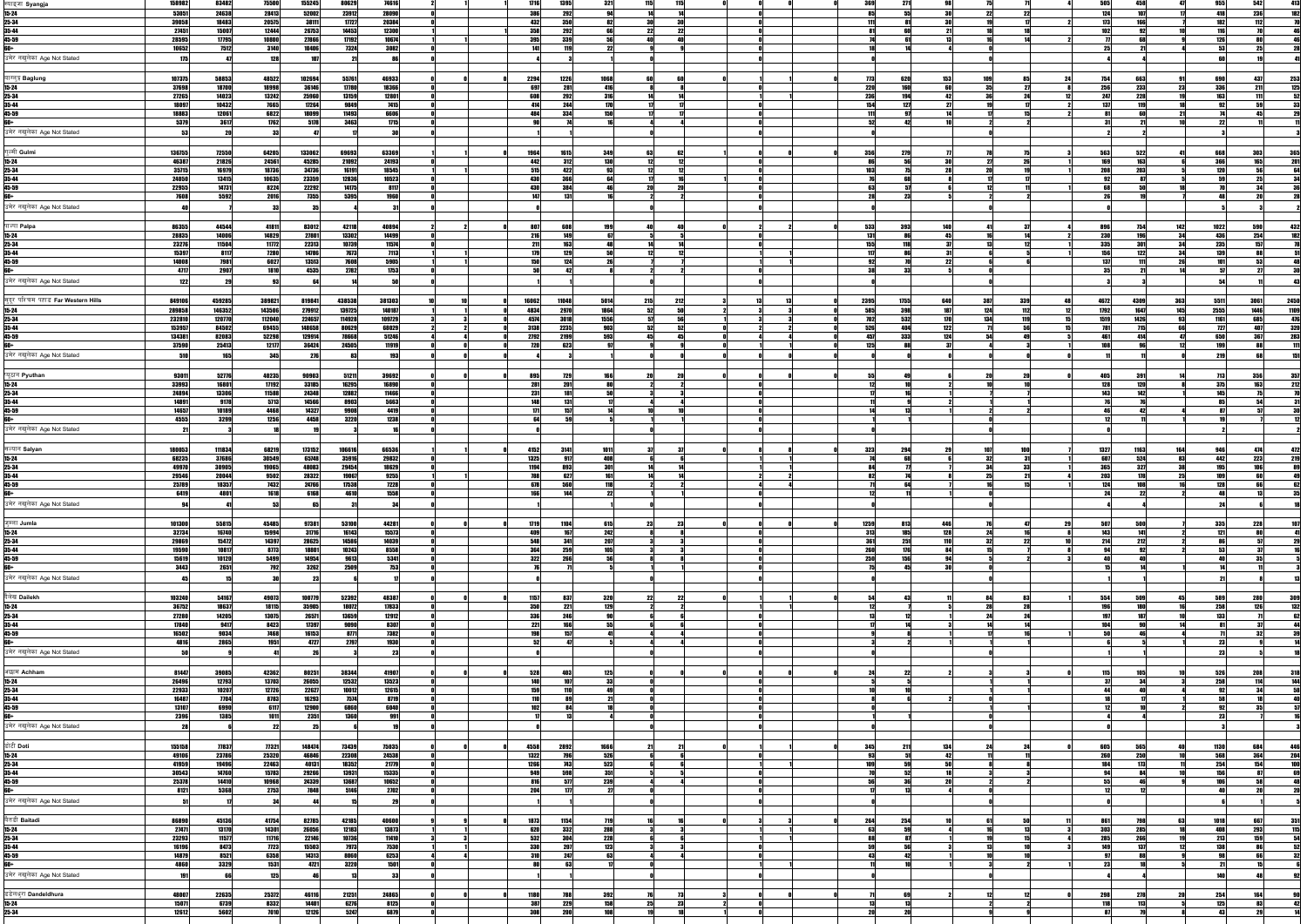| स्याङ्जा Syangja                    | 158982           | 83482                   | 75500                | 155245                | 80629            | 74616            | 1716              | 1395         | 321          |           |     | 369         | 271         |                              |            | 505          | 458               |            | 955                 | 542                 | 4131             |
|-------------------------------------|------------------|-------------------------|----------------------|-----------------------|------------------|------------------|-------------------|--------------|--------------|-----------|-----|-------------|-------------|------------------------------|------------|--------------|-------------------|------------|---------------------|---------------------|------------------|
| 15-24                               | 53051            | 24638                   | 28413                | 52002                 | 23912            | 28090            | 386               | 292          |              |           |     |             | 55          |                              | 22         | 124          | 107               |            | 418                 | 236                 | 182              |
| 25-34                               | 39058            | 18483                   | 20575<br>12444       | 38111                 | 17727            | 20384            | 432<br>358        | 350<br>292   |              | 22        |     |             |             | 21                           |            | 173<br>102   | 1ĥĥ               |            | 182<br>116          |                     |                  |
| 35-44<br>45-59                      | 27451<br>28595   | 15007<br>17795          | 10800                | 26753<br>27866        | 14453<br>17192   | 12300<br>10674   | 395               | 339          |              |           |     |             |             |                              |            |              |                   |            | 126                 |                     |                  |
|                                     | 10652            | 7512                    | 3140                 | 10406                 | 7324             | 3082             | 1/11              |              |              |           |     |             |             |                              |            | 25           |                   |            | 53                  |                     |                  |
| उमेर नखुलेका Age Not Stated         | 175 <sup>1</sup> |                         | 128                  |                       |                  |                  |                   |              |              |           |     |             |             |                              |            |              |                   |            |                     |                     |                  |
|                                     |                  |                         |                      |                       |                  |                  |                   |              |              |           |     |             |             |                              |            |              |                   |            |                     |                     |                  |
| बाग्लुङ्ग Baglung                   | 107375           | 58853                   | 48522                | 102694                | 55761            | 46933            | 2294              | 1226         | 1068         |           |     | 773         | 620         | 153                          |            | 754          | 663               |            |                     | 437                 | 253              |
| 15-24                               | 37698            | 18700                   | 18998                | 36146                 | 17780            | 18366            | 697               |              | <b>416</b>   |           |     | <b>220</b>  | 16Al        |                              |            | 256          | 233               |            | 336                 |                     | 125              |
| 25-34                               | 27265            |                         | 13242                | 25960                 | 13159            | 12801            | 608               | 292          | 316          |           |     | 236         | 194         |                              |            | 247          | 228               |            | 163                 |                     |                  |
| 35-44                               | 18097            | 14023<br>10432<br>12061 | 7665                 | 17264                 | 9849             | 7415             |                   |              |              |           |     |             | 197         |                              |            | 137          |                   |            |                     |                     |                  |
| 45-59                               | <b>18883</b>     |                         | 6822                 | 18099                 | 11493            | 6606             | <b>ARA</b>        |              |              |           |     |             |             |                              |            |              |                   |            |                     |                     |                  |
|                                     | 5379             | 3617                    | 1762                 | 5178                  | 3463             | 1715             |                   |              |              |           |     |             | <b>A</b>    |                              |            |              |                   |            |                     |                     |                  |
| उमेर नखुलेका Age Not Stated         |                  |                         |                      |                       |                  |                  |                   |              |              |           |     |             |             |                              |            |              |                   |            |                     |                     |                  |
|                                     |                  |                         |                      |                       |                  |                  |                   |              |              |           |     |             |             |                              |            |              |                   |            |                     |                     |                  |
| गुल्मी Gulmi                        | 136755           | 72550                   | 64205                | 133062                | 69693            | 63369            | 1964              | 1615         | 349          | 63        |     | 356         | 279         |                              |            | 563          | 522               |            | 668                 | 303                 | 365              |
| 15-24                               | 46387            | 21826                   | 24561                | 45285                 | 21092            | 24193            | 442               | 312          | 130          |           |     |             |             | 30l                          |            | 169l         | 163               |            | 366                 |                     | <b>201</b>       |
| 25-34                               | 35715            | 16979                   | 18736                | 34736                 | 16191            | 18545            | 515               | 422          |              |           |     | 103         |             |                              |            | <b>208</b>   | 203               |            | 120                 |                     |                  |
| 35-44                               | 24050            | 13415                   | 10635                | 23359                 | 12836            | 10523            | 430               | 366          |              |           |     |             |             |                              |            |              |                   |            |                     |                     |                  |
| 45-59                               | 22955            | 14731                   | 8224                 | 22292                 | 14175            | 8117             | 430               | 384          |              |           |     | G9          | 57          |                              |            | G9           |                   |            |                     |                     |                  |
|                                     | 7608             | 5592                    | 2016                 | 7355                  | 5395             | 1961             | 147               | 131          |              |           |     |             | 23          |                              |            |              |                   |            |                     |                     |                  |
| उमेर नखुलेका Age Not Stated         |                  |                         |                      |                       |                  |                  |                   |              |              |           |     |             |             |                              |            |              |                   |            |                     |                     |                  |
|                                     |                  |                         |                      |                       |                  |                  |                   |              |              |           |     |             |             |                              |            |              |                   |            |                     |                     |                  |
| पाल्पा Palpa                        | 86355            | 44544                   | 41811                | 83012                 | 42118            | 40894            | 807               | 608          | 199          |           |     | 533         | <b>393</b>  | <b>140</b>                   |            | 896          | 754               |            | 1022                | 590                 | 432              |
| 15-24                               | 28835            | 14006                   | 14829                | 27801                 | 13302            | 14499            | 216               | 140          |              |           |     | 131         |             | 45 I                         | 14         | 230          | 196l              |            | 436                 | 254                 | 182              |
| 25-34                               | 23276            | 11504                   | 11772                | 22313                 | 10739            | 11574            | 211               | 163          |              |           |     | 155         | 118         | 37                           |            | 335          | 301               |            | 235                 |                     |                  |
| 35-44<br>45-59                      | 15397<br>14008   | 8117<br>7981            | 7280<br>6027         | 14786<br>13513        | 7673<br>7608     | 7113<br>5905     | 179<br><b>150</b> | 124          |              |           |     |             |             | 31<br>22                     |            | 156<br>137   | 199               |            | 139<br>101          |                     |                  |
|                                     | 4717             | 2907                    | 1810                 | 4535                  | 2782             | 1753             |                   |              |              |           |     |             | 33          |                              |            |              |                   |            |                     |                     |                  |
| उमेर नखुलेका Age Not Stated         | 122              |                         |                      |                       |                  |                  |                   |              |              |           |     |             |             |                              |            |              |                   |            |                     |                     |                  |
|                                     |                  |                         |                      |                       |                  |                  |                   |              |              |           |     |             |             |                              |            |              |                   |            |                     |                     |                  |
| सुदूर पश्चिम पहाड Far Western Hills |                  |                         |                      |                       |                  |                  |                   |              |              |           |     |             |             |                              |            |              |                   |            |                     |                     |                  |
|                                     | 849106           | 459285                  | 389821<br>143506     | 819841                | 438538<br>139725 | 381303           | 16062<br>4834     | 11048        | 5014<br>1864 | 215<br>52 | 50. | 2395<br>585 | 1755<br>398 | 640<br>387<br>187<br>124     | 339<br>112 | 4672<br>1792 | 4309<br>1647      | 363<br>145 | 5511                | 3061<br><b>1446</b> | 2450<br>1109     |
| 15-24<br>25-34                      | 289858<br>232810 | 146352<br>120770        | 112040               | 279912<br>224657      | 114928           | 140187<br>109729 | 4574              | 2970<br>3018 | 1556         |           |     |             | 532         | 170 <b>I</b>                 |            | 1519         | 1426              |            | 2555<br><b>1161</b> |                     | 476              |
| 35-44                               | 153957           | 84502                   | 69455                | 148658                | 80629            | 68029            | 3138              | 2235         | 903          |           |     | 526         | ANAI        | 122                          |            | 781          |                   |            | 727                 |                     | 320              |
| 45-59                               | 134381           | 82083                   | 52298                | 129914                | 78668            | 51246            | 2792              | 2199         | 593          | 45        | 45  | 457         | 333         | 124                          |            | 461          | 414               |            | 650                 |                     | 283              |
|                                     | 37590            | 25413                   | 12177                | 36424                 | 24505            | 11919            | 720               | 623          |              |           |     | 125         |             |                              |            | 108          |                   |            |                     |                     |                  |
| उमेर नखुलेका Age Not Stated         | 510              | 165                     | 345                  | 276                   |                  | 193              |                   |              |              |           |     |             |             |                              |            |              |                   |            | 219                 |                     | 151              |
|                                     |                  |                         |                      |                       |                  |                  |                   |              |              |           |     |             |             |                              |            |              |                   |            |                     |                     |                  |
| प्यूठान Pyuthan                     | 93011            | 52776                   | 40235                | 90903                 | 51211            | 39692            | 895               |              | 166          | 20        |     |             |             |                              |            | 405          | 391               |            | <b>713</b>          | 356                 | 357              |
| $15 - 24$                           | 33993            | 16801                   | 17192                | 33185                 | 16295            | 16890            | 281               |              |              |           |     |             |             |                              |            | 128          | 120               |            | 375                 | 163                 | 212              |
| 25-34                               | 24894            |                         | 11588                | 24348                 | 12882            | 11466            | 231               |              |              |           |     |             |             |                              |            | 143          | 149               |            | 145                 |                     |                  |
| 35-44                               | 14891            | 13306<br>9178           | 5713                 | 14566                 | 8903             | 5663             | 148               | 131          |              |           |     |             |             |                              |            |              |                   |            |                     |                     |                  |
| 45-59                               | 14657            | 10189                   | 4468                 | 14327                 | 9908             | 4419             |                   | 157          |              |           |     |             |             |                              |            |              |                   |            |                     |                     |                  |
|                                     | 4555             | 3299                    | 1256                 | 4458                  | 3220             | 1238             |                   |              |              |           |     |             |             |                              |            |              |                   |            |                     |                     |                  |
| उमेर नखुलेका Age Not Stated         |                  |                         |                      |                       |                  |                  |                   |              |              |           |     |             |             |                              |            |              |                   |            |                     |                     |                  |
|                                     |                  |                         |                      |                       |                  |                  |                   |              |              |           |     |             |             |                              |            |              |                   |            |                     |                     |                  |
| सल्यान Salyan                       | 180053           | 111834                  | 68219                | 173152                | 106616           | 66536            | 4152              | 3141         | 1011         |           |     | -32         |             |                              |            | 1327         | 1163              |            |                     |                     | 472              |
| $15 - 24$                           | 68235            | 37686                   | 30549                | 65748                 | 35916            | 29832            | 1325              | 917          | 408          |           |     |             |             |                              |            | 607          | 524               |            | 442                 | 223                 | $\overline{219}$ |
| 25-34                               | 49970            | 30905                   | 19065                | 48083                 | 29454            | 18629            | 1194              | 893          |              |           |     |             |             |                              |            | 365          | 327               |            | 195                 |                     |                  |
| 35-44                               | 29546            | 20044                   | 9502                 | 28322                 | 19067            | 9255             | 788               | 627          |              |           |     |             |             |                              |            | 203          | 179               |            |                     |                     |                  |
| 45-59                               | 25789            | 18357<br>4801           | 7432                 | 24766                 | 17538<br>4610    | 7228<br>1558     | 678<br><b>166</b> | 560          |              |           |     |             |             |                              |            | 124          |                   |            | 128                 |                     |                  |
|                                     | 6419             |                         | 1618                 | 6168                  |                  |                  |                   |              |              |           |     |             |             |                              |            |              |                   |            |                     |                     |                  |
| उमेर नखुलेका Age Not Stated         |                  |                         |                      |                       |                  |                  |                   |              |              |           |     |             |             |                              |            |              |                   |            |                     |                     |                  |
|                                     |                  |                         |                      |                       |                  |                  |                   |              |              |           |     |             |             |                              |            |              |                   |            |                     |                     |                  |
| ज्म्ला Jumla                        | 101300           | 55815                   | 45485                | 97381                 | 53100            | 44281            | 1719              | 1104         | 615          | 231       |     | 1259        | 813         | 446                          |            | 507          |                   |            | 335                 | 221                 |                  |
| 15-24                               | 32734            | <u>16740</u>            | 15994                | 31716                 | 16143            | 15573            | <b>ANG</b>        |              | 242<br>207   |           |     |             |             | 128                          |            | 143<br>214   |                   |            |                     |                     |                  |
| 25-34<br>35-44                      | 29869            | <u>15472</u>            | 14397<br><b>8773</b> | 28625<br><b>18801</b> | 14586<br>10243   | 14039<br>8558    | 548<br>364        |              |              |           |     |             | 251<br>176  |                              |            |              |                   |            | 52                  |                     |                  |
| 45-59                               | 19590<br>15619   | 10817<br>10120          | 5499                 | 14954                 | 9613             | 5341             | 322               |              |              |           |     | 250         | 156         |                              |            |              |                   |            |                     |                     |                  |
|                                     | 3443             | 2651                    | 792                  | 3262                  | 2509             |                  |                   |              |              |           |     |             |             |                              |            |              |                   |            |                     |                     |                  |
| उमेर नखुलेका Age Not Stated         |                  |                         |                      |                       |                  |                  |                   |              |              |           |     |             |             |                              |            |              |                   |            |                     |                     |                  |
|                                     |                  |                         |                      |                       |                  |                  |                   |              |              |           |     |             |             |                              |            |              |                   |            |                     |                     |                  |
| दैलेख Dailekh                       | 103240           | 54167                   | 49073                | 100779                | 52392            | 48387            | 1157              | 8371         | 320          |           |     |             |             |                              |            | 554          | 509               |            | 589                 | 280                 | 309              |
| 15-24                               | 36752            | 18637                   | 18115                | 35905                 | 18072            | 17833            | 350               | 221          |              | 22        |     |             |             |                              |            | 196          | 180               |            | 258                 |                     | 132              |
| 25-34                               | 27280            | 14205                   | 13075                | 26571                 | 13659            | 12912            | 336               | 246          |              |           |     |             |             |                              |            | 197          | 187               |            | 133                 |                     |                  |
| 35-44                               | 17840            | 9417                    | 8423                 | 17397                 | 9090             | 8307             | 221               |              |              |           |     |             |             |                              |            | 104          |                   |            |                     |                     |                  |
| 45-59                               | 16502            | 9034                    | 7468                 | 16153                 | 8771             | 7382             |                   |              |              |           |     |             |             |                              |            |              |                   |            |                     |                     |                  |
|                                     | 4816             | 2865                    | 1951                 | 4727                  | 2797             | <b>1930</b>      | Б9                |              |              |           |     |             |             |                              |            |              |                   |            |                     |                     |                  |
| उमेर नखुलेका Age Not Stated         |                  |                         |                      |                       |                  |                  |                   |              |              |           |     |             |             |                              |            |              |                   |            |                     |                     |                  |
|                                     |                  |                         |                      |                       |                  |                  |                   |              |              |           |     |             |             |                              |            |              |                   |            |                     |                     |                  |
| अछाम Achham                         | 81447            | 39085                   | 42362                | 80251                 | 38344            | 41907            | 528               |              |              |           |     |             |             |                              |            | 115          |                   |            | 526                 |                     | 318              |
| 15-24                               | 26496            | 12793                   | 13703                | 26055                 | 12532            | 13523            | 140               |              |              |           |     |             |             |                              |            |              |                   |            | 258                 |                     | 111              |
| 25-34                               | 22933            | 10207                   | 12726                | 22627                 | 10012            | 12615            | <b>159</b>        |              |              |           |     |             |             |                              |            |              |                   |            |                     |                     |                  |
| 35-44                               | 16487            | 7704                    | 8783                 | 16293                 | 7574             | 8/19             | 110               | 89)          |              |           |     |             |             |                              |            |              |                   |            |                     |                     |                  |
| 45-59<br>60+                        | 13107<br>2396    | 6990<br>1385            | 6117<br>1011         | 12900<br>2351         | 6860<br>1360     | 6040<br>991      | 102               |              |              |           |     |             |             |                              |            |              |                   |            | 92<br>23            |                     |                  |
| उमेर नखुलेका Age Not Stated         |                  |                         |                      |                       |                  |                  |                   |              |              |           |     |             |             |                              |            |              |                   |            |                     |                     |                  |
|                                     |                  |                         |                      |                       |                  |                  |                   |              |              |           |     |             |             |                              |            |              |                   |            |                     |                     |                  |
| डोटी Doti                           |                  |                         |                      |                       |                  |                  |                   |              |              |           |     |             |             |                              |            |              |                   |            |                     |                     |                  |
| $15 - 24$                           | 155158           | 77837                   | 77321                | 148474                | 73439<br>22308   | 75035            | 4558<br>1322      | 2892         | 1666<br>526  |           |     | 345         | 211         | 134<br><b>A</b> <sub>2</sub> |            | 605<br>260   | 565<br><b>250</b> |            | 1130<br>568         | 684<br>364          | 446              |
| 25-34                               | 49106<br>41959   | 23786<br><u>19496</u>   | 25320<br>22463       | 46846<br>40131        | 18352            | 24538<br>21779   | 1266              | 743          | 523          |           |     |             |             |                              |            | 184          | 179               |            | 254                 |                     | 204<br>100       |
| 35-44                               | 30543            | 14760                   | 15783                | 29266                 | 13931            | 15335            | 949               | 59           | 35           |           |     |             | 59          |                              |            |              |                   |            | 156                 |                     |                  |
| 45-59                               | 25378            | 14410                   | 10968                | 24339                 | 13687            | 10652            | 816               | 577          | 239          |           |     |             |             |                              |            | 55           |                   |            | 106                 |                     |                  |
| 60 L                                | 8121             | 5368                    | 2753                 | 7848                  | 5146             | 2702             | 204               | 177          |              |           |     |             |             |                              |            |              |                   |            |                     |                     |                  |
| उमेर नखुलेका Age Not Stated         |                  |                         |                      |                       |                  |                  |                   |              |              |           |     |             |             |                              |            |              |                   |            |                     |                     |                  |
|                                     |                  |                         |                      |                       |                  |                  |                   |              |              |           |     |             |             |                              |            |              |                   |            |                     |                     |                  |
| बैतडी Baitadi                       | 86890            | 45136                   | 41754                | 82785                 | 42185            | 40600            | 1873              | 1154         | 719          |           |     | 264         | 254         |                              |            | 861          | 798               |            | 1018                | 667                 | 351              |
| 15-24                               | 27471            | 13170                   | 14301                | 26056                 | 12183            | 13873            | 620               | 332          | 288          |           |     |             |             |                              |            | 303          | 285               |            | 408                 | 293                 | 115              |
| 25-34                               | 23293            | 11577                   | 11716                | 22146                 | 10736            | 11410            | 532               | 304          | 228          |           |     |             | 87          |                              |            | 285          | 266               |            | 213                 | 159                 | 54               |
| 35-44                               | 16196            | 8473                    | 7723                 | 15503                 | 7973             | 7530             | 330               | 207          | 123          |           |     |             |             |                              |            | 149          | 127               |            | 138                 |                     | 52               |
| 45-59                               | 14879            | 8521                    | 6358                 | 14313                 | 8060             | 6253             | 310               | 247          |              |           |     | 42          | <b>42</b>   |                              |            | - 07         |                   |            | QR                  |                     | -32              |
| 60+                                 | 4860             | 3329                    | 1531                 | 4721                  | 3220             | 1501             |                   |              |              |           |     |             |             |                              |            | 23           |                   |            |                     |                     |                  |
| उमेर नखुलेका Age Not Stated         |                  |                         | 125                  |                       |                  |                  |                   |              |              |           |     |             |             |                              |            |              |                   |            | 11                  |                     |                  |
|                                     |                  |                         |                      |                       |                  |                  |                   |              |              |           |     |             |             |                              |            |              |                   |            |                     |                     |                  |
| डडेलधुरा Dandeldhura                | 48007            | 22635                   | 25372                | 46116                 | 21251            | 24865            | <b>1180</b>       | 78           | 392          |           |     |             |             |                              |            |              |                   |            | 254                 | 164                 |                  |
| $15 - 24$                           | <u>15071</u>     | 6739                    | 8332                 | <b>14401</b>          | 6276             | 8125             | 387               | 229          |              | 25        |     |             |             |                              |            | 118          |                   |            | 125                 |                     |                  |
| $25 - 34$                           | 12612            | 5602                    | <b>7010</b>          | 12126                 | 5247             | 6879             | 308               |              |              |           |     |             |             |                              |            |              |                   |            | 43                  |                     |                  |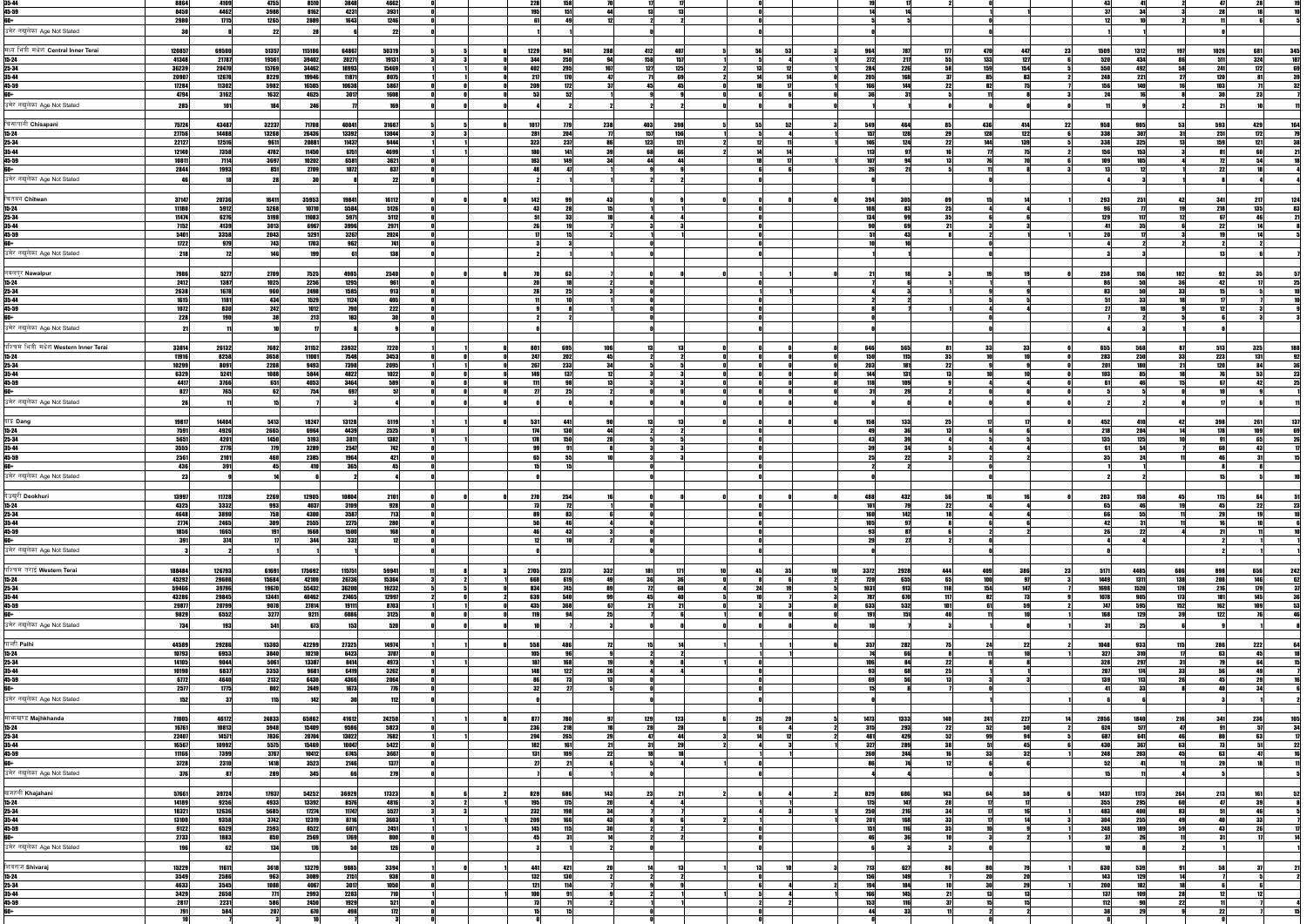| $35 - 44$                              | 8864<br>4109                                                                | 4755                 | 8510           | <u>3848</u>    | 4662                | 228         |                   |     |            |            |      |    |            |                   |          |               |            |                                                      |     |              |            |     |
|----------------------------------------|-----------------------------------------------------------------------------|----------------------|----------------|----------------|---------------------|-------------|-------------------|-----|------------|------------|------|----|------------|-------------------|----------|---------------|------------|------------------------------------------------------|-----|--------------|------------|-----|
| 45-59                                  | 8450<br>4462                                                                | 3988                 | 8162           | 4231           | 3931                | 195         |                   |     |            |            |      |    |            |                   |          |               |            |                                                      |     |              |            |     |
|                                        | 2980<br>1715                                                                | 1265                 | 2889           | 1643           | 1246                |             |                   |     |            |            |      |    |            |                   |          |               |            |                                                      |     |              |            |     |
| उमेर नखुलेका Age Not Stated            |                                                                             |                      |                |                |                     |             |                   |     |            |            |      |    |            |                   |          |               |            |                                                      |     |              |            |     |
|                                        |                                                                             |                      |                |                |                     |             |                   |     |            |            |      |    |            |                   |          |               |            |                                                      |     |              |            |     |
| मध्य भित्री मधेश Central Inner Terai   | 69500<br>120857                                                             | 51357                | 115186         | 64867          | 50319               | 1229        | 941               | 288 | 412        | 40         |      |    | 964        |                   | 177      | 470           | 447        | 1509<br>1312                                         | 19. | 1026         | 681        | 34  |
| $15 - 24$                              | 21787<br>41348                                                              | 19561                | 39402          | 20271          | 19131               | 344         | 250               |     | 158        | 157        |      |    | 272        | 217               | 55       | $\boxed{133}$ | 127        | 520<br>434                                           |     | 511          | 324        |     |
| $25 - 34$                              | 36239<br>20470                                                              | 15769                | 34462          | 18993          | 15469               | 402         | 295<br>170        | 107 | 127        | 125        |      |    | 284        | 226<br>168l       | 58<br>27 | 159           | 154        | 550<br>492                                           | 58  | 241          | 172        |     |
| 35-44                                  | 20907<br>12678<br>11302                                                     | 8229<br>5982         | 19946<br>16505 | 11871          | 8075<br>5867        | 217<br>209  | 172               |     | 45         |            |      |    | 205        | 144               |          |               | 83         | 248<br>221<br>140<br>156                             |     | 120<br>103   |            |     |
| 45-59<br>60+                           | 17284<br>4794<br>3162                                                       | 1632                 | 4625           | 10638<br>3017  | 1608                | 53          |                   |     |            |            |      |    |            |                   |          |               |            |                                                      |     |              |            |     |
| उमेर नखुलेका Age Not Stated            | 285                                                                         |                      |                |                | 169                 |             |                   |     |            |            |      |    |            |                   |          |               |            |                                                      |     |              |            |     |
|                                        | 101                                                                         | 184                  |                |                |                     |             |                   |     |            |            |      |    |            |                   |          |               |            |                                                      |     |              |            |     |
|                                        |                                                                             |                      |                |                |                     |             |                   |     |            |            |      |    |            |                   |          |               |            |                                                      |     |              |            | 164 |
| चिसापानी Chisapani                     | 75724<br>43487                                                              | 32237                | 71708          | 40041          | 31667<br>13044      | 1017<br>281 | 204               | 238 | 403<br>157 | 398<br>156 |      |    | 549<br>157 | 128               |          | 436<br>128    | 414<br>122 | 958<br>905 <br>338<br>307                            |     | 593<br>251   | 429<br>179 |     |
| $15 - 24$<br>$25 - 34$                 | 27756<br>14488<br>22127<br>12516                                            | 13268<br>9611        | 26436<br>20881 | 13392<br>11437 | 9444                | 323         | 237               |     | 123        |            |      |    | 146        | 124               |          |               |            | 338<br>325                                           |     | 150          |            |     |
|                                        | 12140<br>7358                                                               | 4782                 | 11450          | 6751           | 4699                | <b>180</b>  |                   |     |            |            |      |    |            |                   |          |               |            | 156                                                  | 153 |              |            |     |
| <u>45-59  </u>                         | <u>10811</u><br>7114                                                        | 3697                 | 10202          | 6581           | 3621                | 183         |                   |     |            |            |      |    |            |                   |          |               |            | íÑ                                                   |     |              |            |     |
| 60:                                    | 2844<br>1993                                                                | 851                  | 270            | 1872           | 837                 |             |                   |     |            |            |      |    |            |                   |          |               |            |                                                      |     |              |            |     |
| उमेर नखुलेका Age Not Stated            |                                                                             |                      |                |                |                     |             |                   |     |            |            |      |    |            |                   |          |               |            |                                                      |     |              |            |     |
|                                        |                                                                             |                      |                |                |                     |             |                   |     |            |            |      |    |            |                   |          |               |            |                                                      |     |              |            |     |
| चितवन Chitwan                          | 37147<br>20736                                                              | 16411                | 35953          | 19841          | 16112               | 142         |                   |     |            |            |      |    | 394        | <b>305</b>        |          |               |            | 293<br>251                                           |     |              |            |     |
| $15 - 24$                              | 11180<br>5912                                                               | 5268                 | 10710          | 5584           | 5126                | 43          |                   |     |            |            |      |    |            | 83                | 25       |               |            |                                                      |     | 218          | 135        |     |
| $25 - 34$                              | 11474<br>6276                                                               | 5198                 | 11083          | 5971           | 5112                |             | 33                |     |            |            |      |    | 134        |                   | 35       |               |            | 129<br>117                                           |     | 67           |            |     |
| $35 - 44$                              | 7152<br>4139                                                                | 3013                 | 6967           | 3996           | 2971                |             |                   |     |            |            |      |    |            |                   |          |               |            |                                                      |     | 22           |            |     |
| <u>45-59 </u>                          | 5401<br>3358                                                                | 2043                 | 5291           | 3267           | 2024                |             |                   |     |            |            |      |    |            | 43                |          |               |            |                                                      |     |              |            |     |
| 60+                                    | 1722                                                                        | 743<br>979           | 1703           | 962            | 741                 |             |                   |     |            |            |      |    |            |                   |          |               |            |                                                      |     |              |            |     |
| उमेर नखुलेका Age Not Stated            | 218                                                                         | 146                  |                |                |                     |             |                   |     |            |            |      |    |            |                   |          |               |            |                                                      |     |              |            |     |
|                                        |                                                                             |                      |                |                |                     |             |                   |     |            |            |      |    |            |                   |          |               |            |                                                      |     |              |            |     |
| नवलपुर Nawalpur                        | 7986<br>5277                                                                | 2709                 | 7525           | 4985           | 2540                |             |                   |     |            |            |      |    |            |                   |          |               |            | 258<br>156                                           | 102 | 92           | 35         |     |
| $15 - 24$                              | 2412<br>1387                                                                | 1025                 | 2256           | 1295           | 961                 |             |                   |     |            |            |      |    |            |                   |          |               |            |                                                      |     | $\mathbf{a}$ |            |     |
| $25 - 34$                              | 2638<br>1678                                                                | 960                  | 2498           | 1585           | 913                 | 28          |                   |     |            |            |      |    |            |                   |          |               |            | -50<br>92                                            | -22 |              |            |     |
| $35 - 44$                              | 1615<br>1181                                                                | 434                  | 1529           | 1194           | 405                 |             |                   |     |            |            |      |    |            |                   |          |               |            |                                                      |     |              |            |     |
| <u>45-59  </u>                         | 1072<br>830                                                                 | 242                  | 1012           |                | <b>222</b>          |             |                   |     |            |            |      |    |            |                   |          |               |            |                                                      |     |              |            |     |
|                                        | 228                                                                         |                      | 213            |                |                     |             |                   |     |            |            |      |    |            |                   |          |               |            |                                                      |     |              |            |     |
| उमेर नखुलेका Age Not Stated            |                                                                             |                      |                |                |                     |             |                   |     |            |            |      |    |            |                   |          |               |            |                                                      |     |              |            |     |
|                                        |                                                                             |                      |                |                |                     |             |                   |     |            |            |      |    |            |                   |          |               |            |                                                      |     |              |            |     |
| पश्चिम भित्री मधेश Western Inner Terai | 33814<br>26132                                                              | 7682                 | 31152          | 23932          | 7990                | nn+         | <b>GOR</b>        |     |            |            |      |    |            | 565               |          |               |            | <b>CEE</b><br>$\frac{000}{250}$<br>$\frac{283}{283}$ |     |              |            |     |
| $15 - 24$                              | <u>11916</u><br>8258                                                        | <b>3658</b>          | 11001          | <b>7548</b>    | 3453                | 247         | 202               |     |            |            |      |    | 150        | 115               |          |               |            |                                                      |     | 223          |            |     |
| $25 - 34$                              | 10299<br>8091                                                               | 2208                 | 9493           | 7398           | 2095                | 267         | 233<br>137        |     |            |            |      |    | 203        |                   |          |               |            | 201<br>180                                           |     |              |            |     |
| $35 - 44$                              | 6329<br>5241<br>4417<br>3766                                                | 1088                 | 5844           | 4822           | 1022<br>589         | 140         |                   |     |            |            |      |    |            | 131               |          |               |            | 103                                                  |     |              |            |     |
| <u>45-59  </u>                         | 827                                                                         | 651<br>62            | 4053<br>754    | 3464<br>697    |                     |             |                   |     |            |            |      |    |            |                   |          |               |            |                                                      |     |              |            |     |
| उमेर नखुलेका Age Not Stated            |                                                                             |                      |                |                |                     |             |                   |     |            |            |      |    |            |                   |          |               |            |                                                      |     |              |            |     |
|                                        |                                                                             |                      |                |                |                     |             |                   |     |            |            |      |    |            |                   |          |               |            |                                                      |     |              |            |     |
|                                        |                                                                             |                      |                |                |                     |             |                   |     |            |            |      |    |            |                   |          |               |            |                                                      |     |              |            |     |
| दाङ्ग Dang                             | 19817<br>14404                                                              | 5413                 | 18247          | 13128          | 5119                | 531         | 441<br><b>130</b> |     |            |            |      |    | 158        | 1331<br>49<br>36  | 13       |               |            | 452<br>410                                           |     | 398          | 261        |     |
| $15 - 24$                              | 7591<br>4926<br>5651<br>4201                                                | 2665                 | 6964           | 4439<br>3811   | 2525<br>1382        | 174<br>178  | 150               |     |            |            |      |    |            |                   |          |               |            | 204<br>218<br>135                                    | 125 | 178          | 109        |     |
| $25 - 34$<br>$35 - 44$                 | 3555<br>2776                                                                | 1450<br>779 <b>I</b> | 5193<br>3289   | 2547           | <b>742</b>          | 99          |                   |     |            |            |      |    |            |                   |          |               |            | 51                                                   |     |              |            |     |
| $45 - 59$                              | 2561<br>2101                                                                | 460                  | 2385           |                | 421                 | 65          |                   |     |            |            |      |    |            |                   |          |               |            |                                                      |     |              |            |     |
| 60+                                    | 436<br>391                                                                  | 45                   | 410            | 365            |                     |             |                   |     |            |            |      |    |            |                   |          |               |            |                                                      |     |              |            |     |
| उमेर नखुलेका Age Not Stated            | 23                                                                          |                      |                |                |                     |             |                   |     |            |            |      |    |            |                   |          |               |            |                                                      |     |              |            |     |
|                                        |                                                                             |                      |                |                |                     |             |                   |     |            |            |      |    |            |                   |          |               |            |                                                      |     |              |            |     |
| देउखुरी Deokhuri                       | 13997<br>11728                                                              | 2269                 | 12905          | 10804          | 2101                | <b>270</b>  | 254               |     |            |            |      |    | 488        | 4321              |          |               |            | <b>203</b><br>158                                    |     |              |            |     |
| $15 - 24$                              | 4325                                                                        | 993                  | 4037           | <b>3109</b>    |                     |             |                   |     |            |            |      |    |            |                   |          |               |            |                                                      |     |              |            |     |
| $25 - 34$                              | $\begin{array}{r} \hline 3332 \\ \hline 3890 \\ \hline \end{array}$<br>4648 | 758                  | 4300           | 3587           | 713                 |             |                   |     |            |            |      |    |            | 149               |          |               |            |                                                      |     |              |            |     |
| 35-44                                  | 2465                                                                        | 309                  | 2555           | 2275           |                     |             |                   |     |            |            |      |    |            |                   |          |               |            |                                                      |     |              |            |     |
| <u>45-59 </u>                          | 2774<br>1856<br>1665                                                        |                      |                |                |                     |             |                   |     |            |            |      |    |            |                   |          |               |            |                                                      |     |              |            |     |
|                                        | 391                                                                         |                      | 344            | 332            |                     |             |                   |     |            |            |      |    |            |                   |          |               |            |                                                      |     |              |            |     |
| उमेर नखुलेका Age Not Stated            |                                                                             |                      |                |                |                     |             |                   |     |            |            |      |    |            |                   |          |               |            |                                                      |     |              |            |     |
|                                        |                                                                             |                      |                |                |                     |             |                   |     |            |            |      |    |            |                   |          |               |            |                                                      |     |              |            |     |
| पश्चिम तराई Western Terai              | 188484<br>126793                                                            | 61691                | 175692         | 115751         | 59941               | 2705        | 2373              | 332 |            |            |      |    | 3372       | 2928              | 444      | 409           | 386        | 5171<br>4485                                         | 686 | 898          | 656        | 24  |
| $15 - 24$                              | 29608<br>45292                                                              | 15684                | 42100          | 26736          | 15364               | 668         | 619               |     |            |            |      |    | 720        | 655               | 65       |               |            | 1449<br>1311                                         | 138 | 208          | 146        |     |
| 25-34<br>35-44                         | 39796<br>59466                                                              | 19670                | 55432          | 36200          | 19232               | 834         | 745               |     |            |            |      |    | 1031       | 913               | 118      | 154           | 147        | 1520<br>1698                                         | 178 | 216          | 179        |     |
|                                        | 29845<br>43286                                                              | 13441                | 40462          | 27465          | 12997               | 639         | 540               |     | 451        |            |      |    |            | 670               | 117      |               |            | 1078<br>905                                          | 173 | 181          | 145        |     |
| 45-59                                  | 20799<br>29877                                                              | 9078                 | 27814          | 19111          | 8703                | 435         | 368               |     |            |            |      |    | 633        | 532               |          |               |            | 595<br>747                                           | 152 | 162          |            |     |
|                                        | 6552<br>9829                                                                | 3277                 | 9211           | <b>GNRG</b>    | 3125                | 110         |                   |     |            |            |      |    |            | 151               |          |               |            | 169<br>129                                           |     | 122          |            |     |
| उमेर नखुलेका Age Not Stated            | 734                                                                         | 541<br>193           | 673            | 153            | 520                 |             |                   |     |            |            |      |    |            |                   |          |               |            |                                                      |     |              |            |     |
|                                        |                                                                             |                      |                |                |                     |             |                   |     |            |            |      |    |            |                   |          |               |            |                                                      |     |              |            |     |
| पाल्ही Palhi                           | 44589<br>29286                                                              | 15303                | 42299          | 27325          | 14974               | 558         |                   |     |            |            |      |    | 357        | 2821              |          |               |            | 1048<br>9331                                         | 115 | 286          | 222        |     |
| 15-24<br>$25 - 34$                     | 10793<br>6953<br>14105                                                      | 3840                 | 10210<br>13387 | 6423<br>8414   | <b>3787</b><br>4973 | 105<br>187  | 168               |     |            |            |      |    |            |                   | 221      |               |            | 310<br>327<br>297<br>328                             |     |              |            |     |
| $35 - 44$                              | 9044<br>6837                                                                | 5061<br>3353         | 9681           | 6419           | 3262                | 148         | 199               |     |            |            |      |    |            |                   |          |               |            | 207<br>174                                           |     |              |            |     |
| 45-59                                  | <u> 10190 - </u><br>6772<br>4640                                            | 2132                 | 6430           | 4366           | 2064                |             |                   |     |            |            |      |    |            |                   |          |               |            | 139<br>113                                           |     |              |            |     |
|                                        | 2577<br>1775                                                                | 802                  | 2449           | 1673           |                     | 32          |                   |     |            |            |      |    |            |                   |          |               |            |                                                      |     |              |            |     |
| उमर नखुलेका Age Not Stated             | 152                                                                         | 115<br>-37           | 142            |                | 112                 |             |                   |     |            |            |      |    |            |                   |          |               |            |                                                      |     |              |            |     |
|                                        |                                                                             |                      |                |                |                     |             |                   |     |            |            |      |    |            |                   |          |               |            |                                                      |     |              |            |     |
| माभ्रुखण्ड Majhkhanda                  | 71005<br>46172                                                              | 24833                | 65862          | 41612          | 24250               | 877         |                   |     | 129        | 123        | 25 I | ZU | 1473       | 1333              | 140      | 241           | 227        | 2056<br>1840                                         | 216 | 341          | 236        | 105 |
|                                        | 10813<br>16761                                                              | 5948                 | 15409          | 9586           | 5823                | 236         | 218               |     | 28         | 28         |      |    | 315        | 293               | 22       | -52           |            | 577<br>624                                           | A7  | 91           | -57        | -34 |
| 15-24<br>25-34                         | 22407<br>14571                                                              | 7836                 | 20704          | 13022          | 7682                | 294         | 265               |     |            | AA I       |      | 12 | 481        | 429               | 52       |               |            | 641<br>687                                           |     | 80           | 63         |     |
| 35-44                                  | 16567<br>10992                                                              | 5575                 | 15469          | 10047          | 5422                | 182         | 161               |     |            | 29         |      |    | 327        | 289               | 38       |               |            | 367<br>430                                           | 63  | 73           |            |     |
| $45 - 59$                              | 11166<br>7399                                                               | 3767                 | 10412          | 6745           | 3667                | 131         |                   |     |            |            |      |    | 260        | 244               |          |               |            | 248<br>203                                           |     | 63           |            |     |
| 60+                                    | 3728<br>2310                                                                | 1418                 | 3523           | 2146           | 1377                | 27          |                   |     |            |            |      |    |            |                   | 19       |               |            | 52                                                   |     | 29           |            |     |
| उमेर नखुलेका Age Not Stated            | 376                                                                         | 289                  | 345            |                | 279                 |             |                   |     |            |            |      |    |            |                   |          |               |            |                                                      |     |              |            |     |
|                                        |                                                                             |                      |                |                |                     |             |                   |     |            |            |      |    |            |                   |          |               |            |                                                      |     |              |            |     |
| खजहनी Khajahani                        | 57661<br>39724                                                              | 17937                | 54252          | 36929          | 17323               | 829         | 686               | 143 | -231       |            |      |    | 829        | 686               | 143      |               |            | 1437<br>1173                                         | 264 | 213          | 161        |     |
| $15 - 24$                              | 14189<br>9256                                                               | 4933                 | 13392          | 8576           | 4816                | 195         | 175               |     |            |            |      |    | 175        | 147               |          |               |            | 355<br>295                                           |     |              |            |     |
| $25 - 34$                              | 12636<br><u>18321</u>                                                       | 5685                 | 17274          | 11747          | 5527                | 232         |                   |     |            |            |      |    | 250        | 216               |          |               |            | <b>400</b><br>483                                    |     |              |            |     |
| 35-44                                  | 9358<br><b>13100</b>                                                        | 3742                 | 12319          | 8716           | 3603                | 209         |                   |     |            |            |      |    | 201        | 1681              | 33       |               |            | 304<br>255                                           |     |              | -95        |     |
| 45-59                                  | 9122<br>6529                                                                | 2593                 | 8522           | 6071<br>1769   | 2451<br><b>ROO</b>  | 145<br>45   | 11!               |     |            |            |      |    |            | 116               |          |               |            | 189<br>248<br>27                                     |     | 43           |            |     |
| 60+                                    | 2733<br>1883                                                                | 850                  | 2569           |                |                     |             |                   |     |            |            |      |    |            |                   |          |               |            |                                                      |     |              |            |     |
| उमेर नखलेका Age Not Stated             | 196                                                                         | 134                  |                |                |                     |             |                   |     |            |            |      |    |            |                   |          |               |            |                                                      |     |              |            |     |
|                                        |                                                                             |                      |                |                |                     |             |                   |     |            |            |      |    |            |                   |          |               |            |                                                      |     |              |            |     |
| शिवराज Shivaraj                        | 15229<br>11611                                                              | <b>3618</b>          | 13279          | 9885           | 3394                | 441         | 421               |     |            |            |      |    | 713        | 6271              |          |               |            | 630 <br>539                                          |     |              |            |     |
| $15 - 24$                              | 3549<br>2586<br>3545<br>4633                                                | 963<br>1088          | 3089<br>4067   | 2151<br>3017   | 938<br>1050         | 132<br>121  | 130<br>114        |     |            |            |      |    | 156<br>194 | 149<br>184        |          |               |            | 143<br>129<br>200                                    | 182 |              |            |     |
| 25-34<br>35-44                         |                                                                             |                      |                |                |                     |             |                   |     |            |            |      |    |            |                   |          |               |            |                                                      |     |              |            |     |
|                                        |                                                                             |                      |                |                | 710                 |             |                   |     |            |            |      |    | 161        |                   |          |               |            |                                                      |     |              |            |     |
|                                        | 3429<br>2658                                                                | $\overline{111}$     | 2993           | 2283<br>1929   |                     | 100<br>73   |                   |     |            |            |      |    | 153        | 145<br><b>116</b> |          |               |            | 137<br>109<br>112                                    |     |              |            |     |
| 45-59<br>60+                           | 2817<br>2231<br>791<br>584                                                  | 586<br>207           | 2450<br>670    | 498            | 521<br>172          | 15          |                   |     |            |            |      |    |            | 33<br><b>AA</b>   |          |               |            | 39<br>29                                             |     | 22           |            |     |